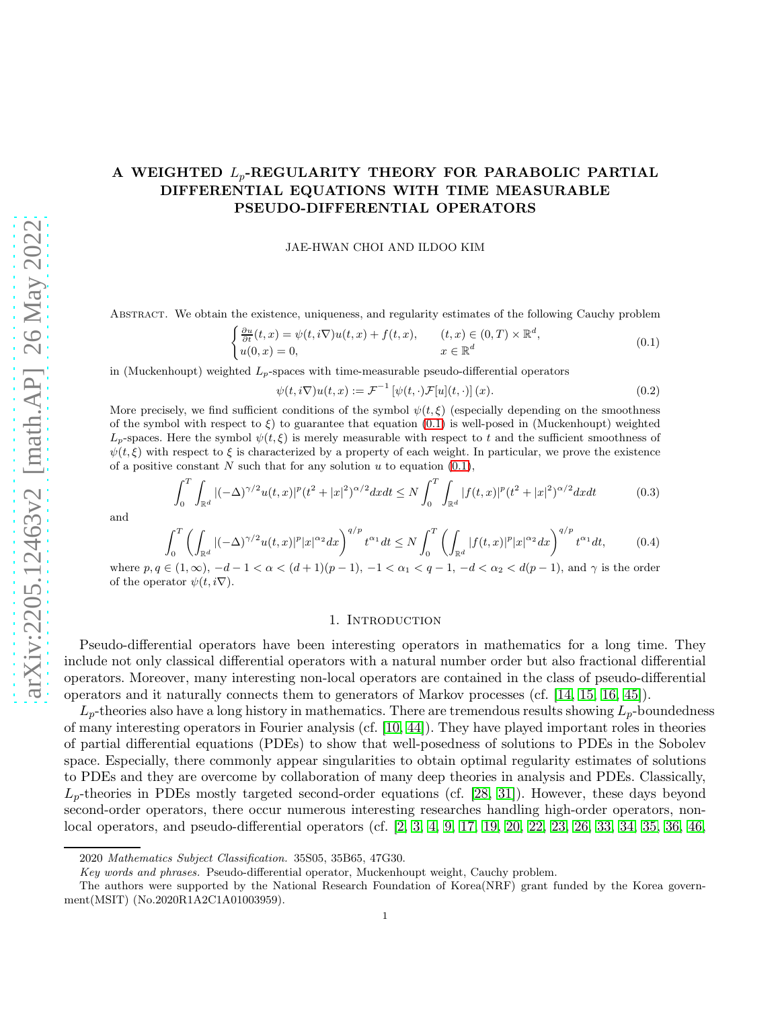# A WEIGHTED  $L_p$ -REGULARITY THEORY FOR PARABOLIC PARTIAL DIFFERENTIAL EQUATIONS WITH TIME MEASURABLE PSEUDO-DIFFERENTIAL OPERATORS

#### JAE-HWAN CHOI AND ILDOO KIM

Abstract. We obtain the existence, uniqueness, and regularity estimates of the following Cauchy problem

<span id="page-0-0"></span>
$$
\begin{cases} \frac{\partial u}{\partial t}(t,x) = \psi(t,i\nabla)u(t,x) + f(t,x), & (t,x) \in (0,T) \times \mathbb{R}^d, \\ u(0,x) = 0, & x \in \mathbb{R}^d \end{cases}
$$
(0.1)

in (Muckenhoupt) weighted  $L_p$ -spaces with time-measurable pseudo-differential operators

<span id="page-0-1"></span>
$$
\psi(t,i\nabla)u(t,x):=\mathcal{F}^{-1}\left[\psi(t,\cdot)\mathcal{F}[u](t,\cdot)\right](x). \tag{0.2}
$$

More precisely, we find sufficient conditions of the symbol  $\psi(t,\xi)$  (especially depending on the smoothness of the symbol with respect to  $\xi$ ) to guarantee that equation [\(0.1\)](#page-0-0) is well-posed in (Muckenhoupt) weighted  $L_p$ -spaces. Here the symbol  $\psi(t,\xi)$  is merely measurable with respect to t and the sufficient smoothness of  $\psi(t,\xi)$  with respect to  $\xi$  is characterized by a property of each weight. In particular, we prove the existence of a positive constant N such that for any solution u to equation  $(0.1)$ ,

$$
\int_0^T \int_{\mathbb{R}^d} |(-\Delta)^{\gamma/2} u(t,x)|^p (t^2+|x|^2)^{\alpha/2} dx dt \le N \int_0^T \int_{\mathbb{R}^d} |f(t,x)|^p (t^2+|x|^2)^{\alpha/2} dx dt \tag{0.3}
$$

and

$$
\int_0^T \left( \int_{\mathbb{R}^d} |(-\Delta)^{\gamma/2} u(t,x)|^p |x|^{\alpha_2} dx \right)^{q/p} t^{\alpha_1} dt \le N \int_0^T \left( \int_{\mathbb{R}^d} |f(t,x)|^p |x|^{\alpha_2} dx \right)^{q/p} t^{\alpha_1} dt, \tag{0.4}
$$

where  $p, q \in (1, \infty), -d-1 < \alpha < (d+1)(p-1), -1 < \alpha_1 < q-1, -d < \alpha_2 < d(p-1)$ , and  $\gamma$  is the order of the operator  $\psi(t, i\nabla)$ .

#### <span id="page-0-3"></span><span id="page-0-2"></span>1. Introduction

Pseudo-differential operators have been interesting operators in mathematics for a long time. They include not only classical differential operators with a natural number order but also fractional differential operators. Moreover, many interesting non-local operators are contained in the class of pseudo-differential operators and it naturally connects them to generators of Markov processes (cf. [\[14,](#page-43-0) [15,](#page-43-1) [16,](#page-43-2) [45\]](#page-44-0)).

 $L_p$ -theories also have a long history in mathematics. There are tremendous results showing  $L_p$ -boundedness of many interesting operators in Fourier analysis (cf. [\[10,](#page-42-0) [44\]](#page-44-1)). They have played important roles in theories of partial differential equations (PDEs) to show that well-posedness of solutions to PDEs in the Sobolev space. Especially, there commonly appear singularities to obtain optimal regularity estimates of solutions to PDEs and they are overcome by collaboration of many deep theories in analysis and PDEs. Classically,  $L_p$ -theories in PDEs mostly targeted second-order equations (cf. [\[28,](#page-43-3) [31\]](#page-43-4)). However, these days beyond second-order operators, there occur numerous interesting researches handling high-order operators, nonlocal operators, and pseudo-differential operators (cf. [\[2,](#page-42-1) [3,](#page-42-2) [4,](#page-42-3) [9,](#page-42-4) [17,](#page-43-5) [19,](#page-43-6) [20,](#page-43-7) [22,](#page-43-8) [23,](#page-43-9) [26,](#page-43-10) [33,](#page-43-11) [34,](#page-43-12) [35,](#page-43-13) [36,](#page-43-14) [46,](#page-44-2)

<sup>2020</sup> Mathematics Subject Classification. 35S05, 35B65, 47G30.

Key words and phrases. Pseudo-differential operator, Muckenhoupt weight, Cauchy problem.

The authors were supported by the National Research Foundation of Korea(NRF) grant funded by the Korea government(MSIT) (No.2020R1A2C1A01003959).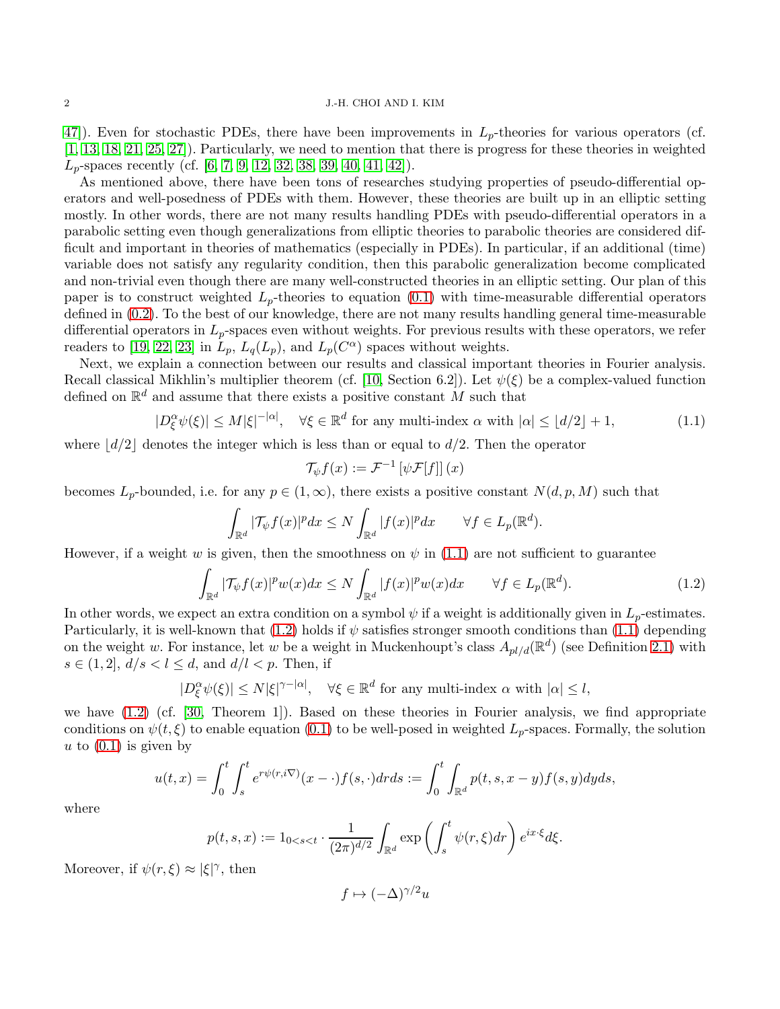47). Even for stochastic PDEs, there have been improvements in  $L_p$ -theories for various operators (cf. [\[1,](#page-42-5) [13,](#page-42-6) [18,](#page-43-15) [21,](#page-43-16) [25,](#page-43-17) [27\]](#page-43-18)). Particularly, we need to mention that there is progress for these theories in weighted  $L_p$ -spaces recently (cf. [\[6,](#page-42-7) [7,](#page-42-8) [9,](#page-42-4) [12,](#page-42-9) [32,](#page-43-19) [38,](#page-43-20) [39,](#page-43-21) [40,](#page-43-22) [41,](#page-44-4) [42\]](#page-44-5)).

As mentioned above, there have been tons of researches studying properties of pseudo-differential operators and well-posedness of PDEs with them. However, these theories are built up in an elliptic setting mostly. In other words, there are not many results handling PDEs with pseudo-differential operators in a parabolic setting even though generalizations from elliptic theories to parabolic theories are considered difficult and important in theories of mathematics (especially in PDEs). In particular, if an additional (time) variable does not satisfy any regularity condition, then this parabolic generalization become complicated and non-trivial even though there are many well-constructed theories in an elliptic setting. Our plan of this paper is to construct weighted  $L_p$ -theories to equation [\(0.1\)](#page-0-0) with time-measurable differential operators defined in [\(0.2\)](#page-0-1). To the best of our knowledge, there are not many results handling general time-measurable differential operators in  $L_p$ -spaces even without weights. For previous results with these operators, we refer readers to [\[19,](#page-43-6) [22,](#page-43-8) [23\]](#page-43-9) in  $L_p$ ,  $L_q(L_p)$ , and  $L_p(C^{\alpha})$  spaces without weights.

Next, we explain a connection between our results and classical important theories in Fourier analysis. Recall classical Mikhlin's multiplier theorem (cf. [\[10,](#page-42-0) Section 6.2]). Let  $\psi(\xi)$  be a complex-valued function defined on  $\mathbb{R}^d$  and assume that there exists a positive constant M such that

$$
|D_{\xi}^{\alpha}\psi(\xi)| \le M|\xi|^{-|\alpha|}, \quad \forall \xi \in \mathbb{R}^d \text{ for any multi-index } \alpha \text{ with } |\alpha| \le \lfloor d/2 \rfloor + 1,
$$
 (1.1)

where  $\lfloor d/2 \rfloor$  denotes the integer which is less than or equal to  $d/2$ . Then the operator

<span id="page-1-1"></span><span id="page-1-0"></span>
$$
\mathcal{T}_{\psi}f(x) := \mathcal{F}^{-1}\left[\psi\mathcal{F}[f]\right](x)
$$

becomes  $L_p$ -bounded, i.e. for any  $p \in (1,\infty)$ , there exists a positive constant  $N(d,p,M)$  such that

$$
\int_{\mathbb{R}^d} |\mathcal{T}_{\psi}f(x)|^p dx \le N \int_{\mathbb{R}^d} |f(x)|^p dx \qquad \forall f \in L_p(\mathbb{R}^d).
$$

However, if a weight w is given, then the smoothness on  $\psi$  in [\(1.1\)](#page-1-0) are not sufficient to guarantee

$$
\int_{\mathbb{R}^d} |\mathcal{T}_{\psi} f(x)|^p w(x) dx \le N \int_{\mathbb{R}^d} |f(x)|^p w(x) dx \qquad \forall f \in L_p(\mathbb{R}^d). \tag{1.2}
$$

In other words, we expect an extra condition on a symbol  $\psi$  if a weight is additionally given in  $L_p$ -estimates. Particularly, it is well-known that [\(1.2\)](#page-1-1) holds if  $\psi$  satisfies stronger smooth conditions than [\(1.1\)](#page-1-0) depending on the weight w. For instance, let w be a weight in Muckenhoupt's class  $A_{pl/d}(\mathbb{R}^d)$  (see Definition [2.1\)](#page-5-0) with  $s \in (1, 2], d/s < l \leq d$ , and  $d/l < p$ . Then, if

$$
|D_{\xi}^{\alpha}\psi(\xi)| \le N|\xi|^{\gamma - |\alpha|}, \quad \forall \xi \in \mathbb{R}^d \text{ for any multi-index } \alpha \text{ with } |\alpha| \le l,
$$

we have [\(1.2\)](#page-1-1) (cf. [\[30,](#page-43-23) Theorem 1]). Based on these theories in Fourier analysis, we find appropriate conditions on  $\psi(t,\xi)$  to enable equation [\(0.1\)](#page-0-0) to be well-posed in weighted  $L_p$ -spaces. Formally, the solution u to  $(0.1)$  is given by

$$
u(t,x) = \int_0^t \int_s^t e^{r\psi(r,i\nabla)}(x-\cdot)f(s,\cdot)d\tau ds := \int_0^t \int_{\mathbb{R}^d} p(t,s,x-y)f(s,y)dyds,
$$

where

$$
p(t,s,x) := 1_{0 < s < t} \cdot \frac{1}{(2\pi)^{d/2}} \int_{\mathbb{R}^d} \exp\left(\int_s^t \psi(r,\xi) dr\right) e^{ix\cdot\xi} d\xi.
$$

Moreover, if  $\psi(r,\xi) \approx |\xi|^{\gamma}$ , then

$$
f \mapsto (-\Delta)^{\gamma/2} u
$$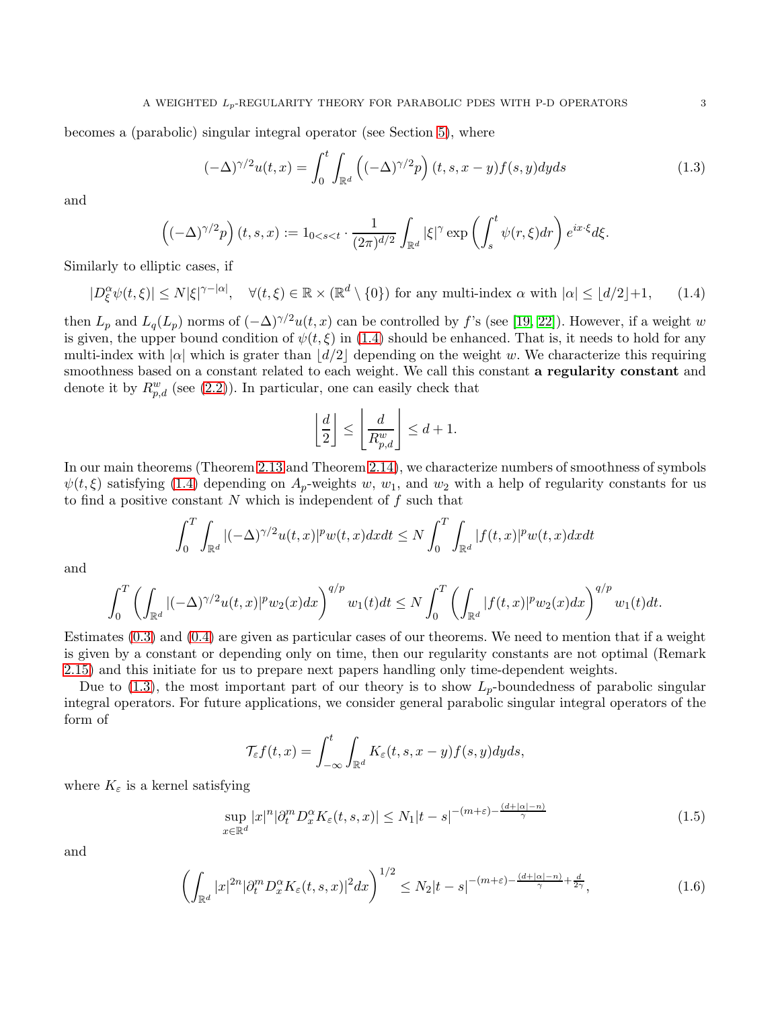becomes a (parabolic) singular integral operator (see Section [5\)](#page-15-0), where

$$
(-\Delta)^{\gamma/2}u(t,x) = \int_0^t \int_{\mathbb{R}^d} \left( (-\Delta)^{\gamma/2} p \right) (t,s,x-y) f(s,y) dyds \tag{1.3}
$$

and

$$
\left( (-\Delta)^{\gamma/2} p \right) (t,s,x) := 1_{0 < s < t} \cdot \frac{1}{(2\pi)^{d/2}} \int_{\mathbb{R}^d} |\xi|^\gamma \exp\left( \int_s^t \psi(r,\xi) dr \right) e^{ix\cdot\xi} d\xi.
$$

Similarly to elliptic cases, if

 $|D_{\xi}^{\alpha}\psi(t,\xi)| \leq N|\xi|^{\gamma-|\alpha|}, \quad \forall (t,\xi) \in \mathbb{R} \times (\mathbb{R}^d \setminus \{0\})$  for any multi-index  $\alpha$  with  $|\alpha| \leq \lfloor d/2 \rfloor + 1, \quad (1.4)$ 

then  $L_p$  and  $L_q(L_p)$  norms of  $(-\Delta)^{\gamma/2}u(t, x)$  can be controlled by f's (see [\[19,](#page-43-6) [22\]](#page-43-8)). However, if a weight w is given, the upper bound condition of  $\psi(t,\xi)$  in [\(1.4\)](#page-2-0) should be enhanced. That is, it needs to hold for any multi-index with  $|\alpha|$  which is grater than  $|d/2|$  depending on the weight w. We characterize this requiring smoothness based on a constant related to each weight. We call this constant a regularity constant and denote it by  $R_{p,d}^w$  (see [\(2.2\)](#page-5-1)). In particular, one can easily check that

<span id="page-2-1"></span><span id="page-2-0"></span>
$$
\left\lfloor \frac{d}{2} \right\rfloor \le \left\lfloor \frac{d}{R_{p,d}^w} \right\rfloor \le d+1.
$$

In our main theorems (Theorem [2.13](#page-8-0) and Theorem [2.14\)](#page-8-1), we characterize numbers of smoothness of symbols  $\psi(t,\xi)$  satisfying [\(1.4\)](#page-2-0) depending on  $A_p$ -weights w, w<sub>1</sub>, and w<sub>2</sub> with a help of regularity constants for us to find a positive constant  $N$  which is independent of  $f$  such that

$$
\int_0^T \int_{\mathbb{R}^d} |(-\Delta)^{\gamma/2} u(t,x)|^p w(t,x) dx dt \le N \int_0^T \int_{\mathbb{R}^d} |f(t,x)|^p w(t,x) dx dt
$$

and

$$
\int_0^T \left( \int_{\mathbb{R}^d} |(-\Delta)^{\gamma/2} u(t,x)|^p w_2(x) dx \right)^{q/p} w_1(t) dt \le N \int_0^T \left( \int_{\mathbb{R}^d} |f(t,x)|^p w_2(x) dx \right)^{q/p} w_1(t) dt.
$$

Estimates [\(0.3\)](#page-0-2) and [\(0.4\)](#page-0-3) are given as particular cases of our theorems. We need to mention that if a weight is given by a constant or depending only on time, then our regularity constants are not optimal (Remark [2.15\)](#page-8-2) and this initiate for us to prepare next papers handling only time-dependent weights.

Due to [\(1.3\)](#page-2-1), the most important part of our theory is to show  $L_p$ -boundedness of parabolic singular integral operators. For future applications, we consider general parabolic singular integral operators of the form of

<span id="page-2-3"></span><span id="page-2-2"></span>
$$
\mathcal{T}_{\varepsilon}f(t,x) = \int_{-\infty}^{t} \int_{\mathbb{R}^d} K_{\varepsilon}(t,s,x-y)f(s,y)dyds,
$$

where  $K_{\varepsilon}$  is a kernel satisfying

$$
\sup_{x \in \mathbb{R}^d} |x|^n |\partial_t^m D_x^{\alpha} K_{\varepsilon}(t, s, x)| \le N_1 |t - s|^{-(m + \varepsilon) - \frac{(d + |\alpha| - n)}{\gamma}}
$$
(1.5)

and

$$
\left(\int_{\mathbb{R}^d} |x|^{2n} |\partial_t^m D_x^{\alpha} K_{\varepsilon}(t,s,x)|^2 dx\right)^{1/2} \le N_2 |t-s|^{-(m+\varepsilon) - \frac{(d+|\alpha|-n)}{\gamma} + \frac{d}{2\gamma}},\tag{1.6}
$$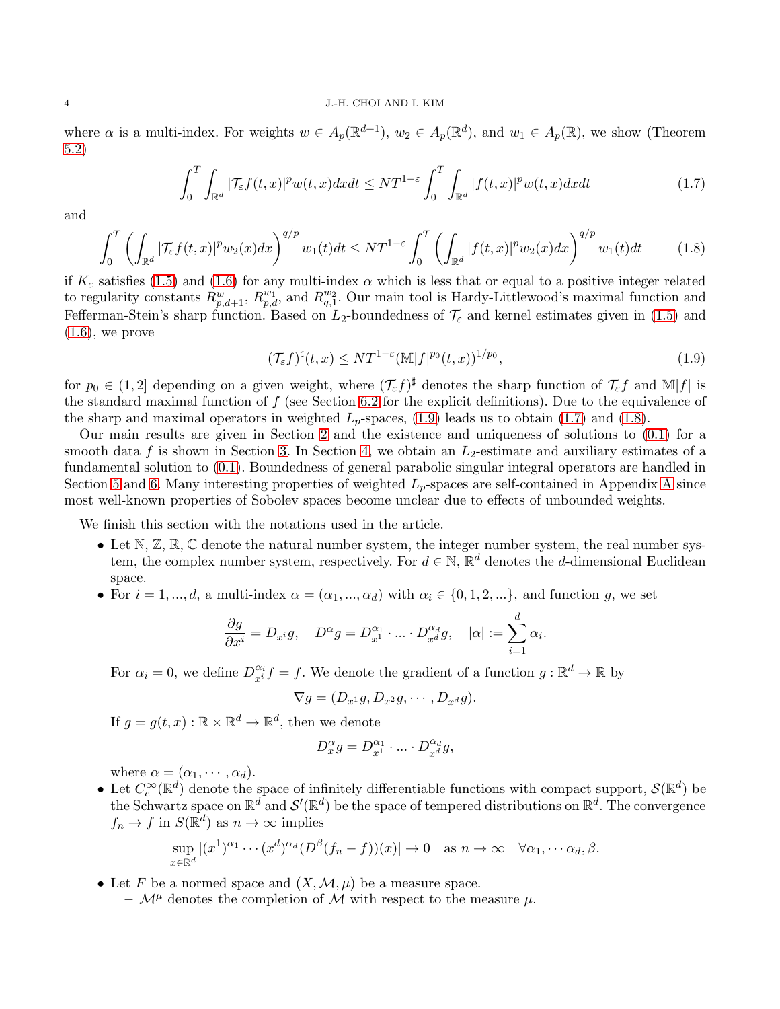where  $\alpha$  is a multi-index. For weights  $w \in A_p(\mathbb{R}^{d+1})$ ,  $w_2 \in A_p(\mathbb{R}^d)$ , and  $w_1 \in A_p(\mathbb{R})$ , we show (Theorem [5.2\)](#page-17-0)

$$
\int_0^T \int_{\mathbb{R}^d} |\mathcal{T}_{\varepsilon} f(t,x)|^p w(t,x) dx dt \leq N T^{1-\varepsilon} \int_0^T \int_{\mathbb{R}^d} |f(t,x)|^p w(t,x) dx dt \tag{1.7}
$$

and

$$
\int_0^T \left( \int_{\mathbb{R}^d} |\mathcal{T}_{\varepsilon} f(t,x)|^p w_2(x) dx \right)^{q/p} w_1(t) dt \leq N T^{1-\varepsilon} \int_0^T \left( \int_{\mathbb{R}^d} |f(t,x)|^p w_2(x) dx \right)^{q/p} w_1(t) dt \tag{1.8}
$$

if  $K_{\varepsilon}$  satisfies [\(1.5\)](#page-2-2) and [\(1.6\)](#page-2-3) for any multi-index  $\alpha$  which is less that or equal to a positive integer related to regularity constants  $R_{p,d+1}^w$ ,  $R_{p,d}^{w_1}$ , and  $R_{q,1}^{w_2}$ . Our main tool is Hardy-Littlewood's maximal function and Fefferman-Stein's sharp function. Based on  $L_2$ -boundedness of  $\mathcal{T}_{\varepsilon}$  and kernel estimates given in [\(1.5\)](#page-2-2) and  $(1.6)$ , we prove

<span id="page-3-2"></span><span id="page-3-1"></span><span id="page-3-0"></span>
$$
(\mathcal{T}_{\varepsilon}f)^{\sharp}(t,x) \leq NT^{1-\varepsilon}(\mathbb{M}|f|^{p_0}(t,x))^{1/p_0},\tag{1.9}
$$

for  $p_0 \in (1,2]$  depending on a given weight, where  $(\mathcal{T}_{\varepsilon} f)^{\sharp}$  denotes the sharp function of  $\mathcal{T}_{\varepsilon} f$  and  $\mathbb{M}|f|$  is the standard maximal function of  $f$  (see Section [6.2](#page-18-0) for the explicit definitions). Due to the equivalence of the sharp and maximal operators in weighted  $L_p$ -spaces, [\(1.9\)](#page-3-0) leads us to obtain [\(1.7\)](#page-3-1) and [\(1.8\)](#page-3-2).

Our main results are given in Section [2](#page-4-0) and the existence and uniqueness of solutions to [\(0.1\)](#page-0-0) for a smooth data f is shown in Section [3.](#page-9-0) In Section [4,](#page-12-0) we obtain an  $L_2$ -estimate and auxiliary estimates of a fundamental solution to [\(0.1\)](#page-0-0). Boundedness of general parabolic singular integral operators are handled in Section [5](#page-15-0) and [6.](#page-17-1) Many interesting properties of weighted  $L_p$ -spaces are self-contained in [A](#page-35-0)ppendix A since most well-known properties of Sobolev spaces become unclear due to effects of unbounded weights.

We finish this section with the notations used in the article.

- Let  $\mathbb{N}, \mathbb{Z}, \mathbb{R}, \mathbb{C}$  denote the natural number system, the integer number system, the real number system, the complex number system, respectively. For  $d \in \mathbb{N}$ ,  $\mathbb{R}^d$  denotes the d-dimensional Euclidean space.
- For  $i = 1, ..., d$ , a multi-index  $\alpha = (\alpha_1, ..., \alpha_d)$  with  $\alpha_i \in \{0, 1, 2, ...\}$ , and function g, we set

$$
\frac{\partial g}{\partial x^i} = D_{x^i} g, \quad D^{\alpha} g = D_{x^1}^{\alpha_1} \cdot \ldots \cdot D_{x^d}^{\alpha_d} g, \quad |\alpha| := \sum_{i=1}^d \alpha_i.
$$

For  $\alpha_i = 0$ , we define  $D_{x_i}^{\alpha_i} f = f$ . We denote the gradient of a function  $g : \mathbb{R}^d \to \mathbb{R}$  by

$$
\nabla g = (D_{x^1}g, D_{x^2}g, \cdots, D_{x^d}g).
$$

If  $g = g(t, x) : \mathbb{R} \times \mathbb{R}^d \to \mathbb{R}^d$ , then we denote

$$
D_x^{\alpha} g = D_{x^1}^{\alpha_1} \cdot \ldots \cdot D_{x^d}^{\alpha_d} g,
$$

where  $\alpha = (\alpha_1, \cdots, \alpha_d)$ .

• Let  $C_c^{\infty}(\mathbb{R}^d)$  denote the space of infinitely differentiable functions with compact support,  $\mathcal{S}(\mathbb{R}^d)$  be the Schwartz space on  $\mathbb{R}^d$  and  $\mathcal{S}'(\mathbb{R}^d)$  be the space of tempered distributions on  $\mathbb{R}^d$ . The convergence  $f_n \to f$  in  $S(\mathbb{R}^d)$  as  $n \to \infty$  implies

$$
\sup_{x\in\mathbb{R}^d} |(x^1)^{\alpha_1}\cdots(x^d)^{\alpha_d}(D^{\beta}(f_n-f))(x)| \to 0 \text{ as } n\to\infty \quad \forall \alpha_1,\cdots,\alpha_d,\beta.
$$

• Let F be a normed space and  $(X, \mathcal{M}, \mu)$  be a measure space.

–  $\mathcal{M}^{\mu}$  denotes the completion of M with respect to the measure  $\mu$ .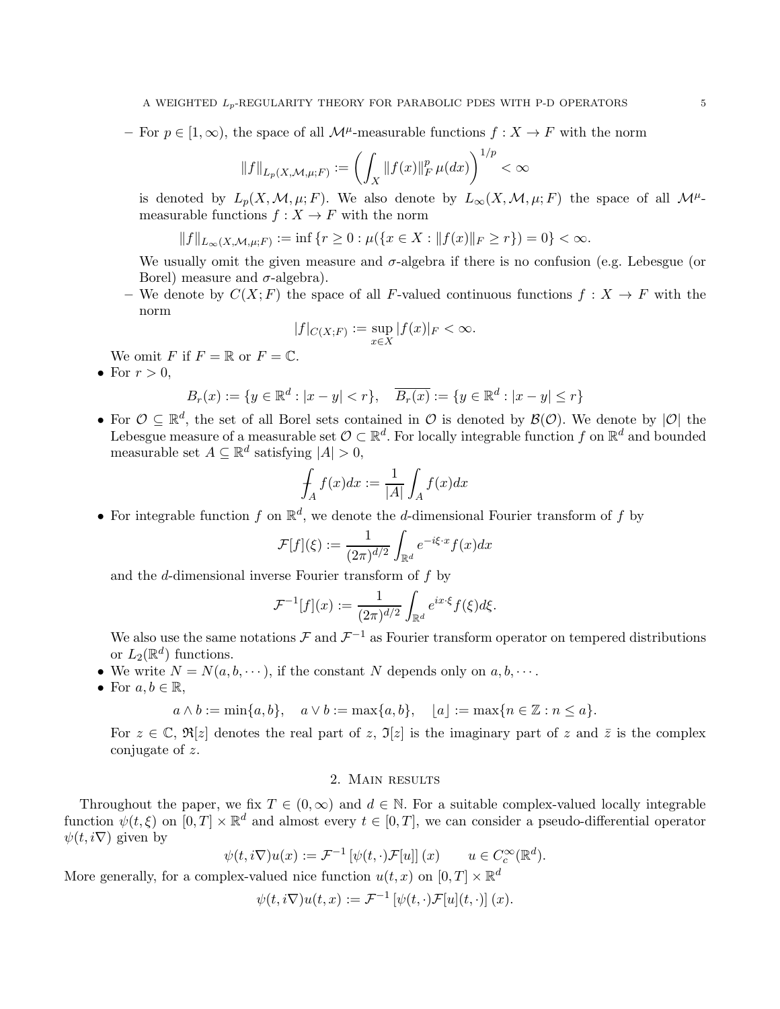$-$  For  $p \in [1, \infty)$ , the space of all  $\mathcal{M}^{\mu}$ -measurable functions  $f : X \to F$  with the norm

$$
||f||_{L_p(X, \mathcal{M}, \mu; F)} := \left( \int_X ||f(x)||_F^p \mu(dx) \right)^{1/p} < \infty
$$

is denoted by  $L_p(X, \mathcal{M}, \mu; F)$ . We also denote by  $L_{\infty}(X, \mathcal{M}, \mu; F)$  the space of all  $\mathcal{M}^{\mu}$ measurable functions  $f: X \to F$  with the norm

$$
||f||_{L_{\infty}(X,\mathcal{M},\mu;F)} := \inf\{r \ge 0 : \mu(\{x \in X : ||f(x)||_F \ge r\}) = 0\} < \infty.
$$

We usually omit the given measure and  $\sigma$ -algebra if there is no confusion (e.g. Lebesgue (or Borel) measure and  $\sigma$ -algebra).

– We denote by  $C(X; F)$  the space of all F-valued continuous functions  $f: X \to F$  with the norm

$$
|f|_{C(X;F)} := \sup_{x \in X} |f(x)|_F < \infty.
$$

We omit F if  $F = \mathbb{R}$  or  $F = \mathbb{C}$ .

• For  $r > 0$ ,

$$
B_r(x) := \{ y \in \mathbb{R}^d : |x - y| < r \}, \quad \overline{B_r(x)} := \{ y \in \mathbb{R}^d : |x - y| \le r \}
$$

• For  $\mathcal{O} \subseteq \mathbb{R}^d$ , the set of all Borel sets contained in  $\mathcal{O}$  is denoted by  $\mathcal{B}(\mathcal{O})$ . We denote by  $|\mathcal{O}|$  the Lebesgue measure of a measurable set  $\mathcal{O} \subset \mathbb{R}^d$ . For locally integrable function f on  $\mathbb{R}^d$  and bounded measurable set  $A \subseteq \mathbb{R}^d$  satisfying  $|A| > 0$ ,

$$
\int_A f(x)dx := \frac{1}{|A|} \int_A f(x)dx
$$

• For integrable function  $f$  on  $\mathbb{R}^d$ , we denote the d-dimensional Fourier transform of  $f$  by

$$
\mathcal{F}[f](\xi) := \frac{1}{(2\pi)^{d/2}} \int_{\mathbb{R}^d} e^{-i\xi \cdot x} f(x) dx
$$

and the d-dimensional inverse Fourier transform of f by

$$
\mathcal{F}^{-1}[f](x) := \frac{1}{(2\pi)^{d/2}} \int_{\mathbb{R}^d} e^{ix\cdot\xi} f(\xi) d\xi.
$$

We also use the same notations  $\mathcal F$  and  $\mathcal F^{-1}$  as Fourier transform operator on tempered distributions or  $L_2(\mathbb{R}^d)$  functions.

- We write  $N = N(a, b, \dots)$ , if the constant N depends only on  $a, b, \dots$ .
- For  $a, b \in \mathbb{R}$ ,

$$
a \wedge b := \min\{a, b\}, \quad a \vee b := \max\{a, b\}, \quad \lfloor a \rfloor := \max\{n \in \mathbb{Z} : n \leq a\}.
$$

For  $z \in \mathbb{C}$ ,  $\Re[z]$  denotes the real part of z,  $\Im[z]$  is the imaginary part of z and  $\overline{z}$  is the complex conjugate of z.

## 2. Main results

<span id="page-4-0"></span>Throughout the paper, we fix  $T \in (0,\infty)$  and  $d \in \mathbb{N}$ . For a suitable complex-valued locally integrable function  $\psi(t,\xi)$  on  $[0,T] \times \mathbb{R}^d$  and almost every  $t \in [0,T]$ , we can consider a pseudo-differential operator  $\psi(t, i\nabla)$  given by

$$
\psi(t, i\nabla)u(x) := \mathcal{F}^{-1}\left[\psi(t, \cdot)\mathcal{F}[u]\right](x) \qquad u \in C_c^{\infty}(\mathbb{R}^d).
$$

More generally, for a complex-valued nice function  $u(t, x)$  on  $[0, T] \times \mathbb{R}^d$ 

$$
\psi(t,i\nabla)u(t,x):=\mathcal{F}^{-1}\left[\psi(t,\cdot)\mathcal{F}[u](t,\cdot)\right](x).
$$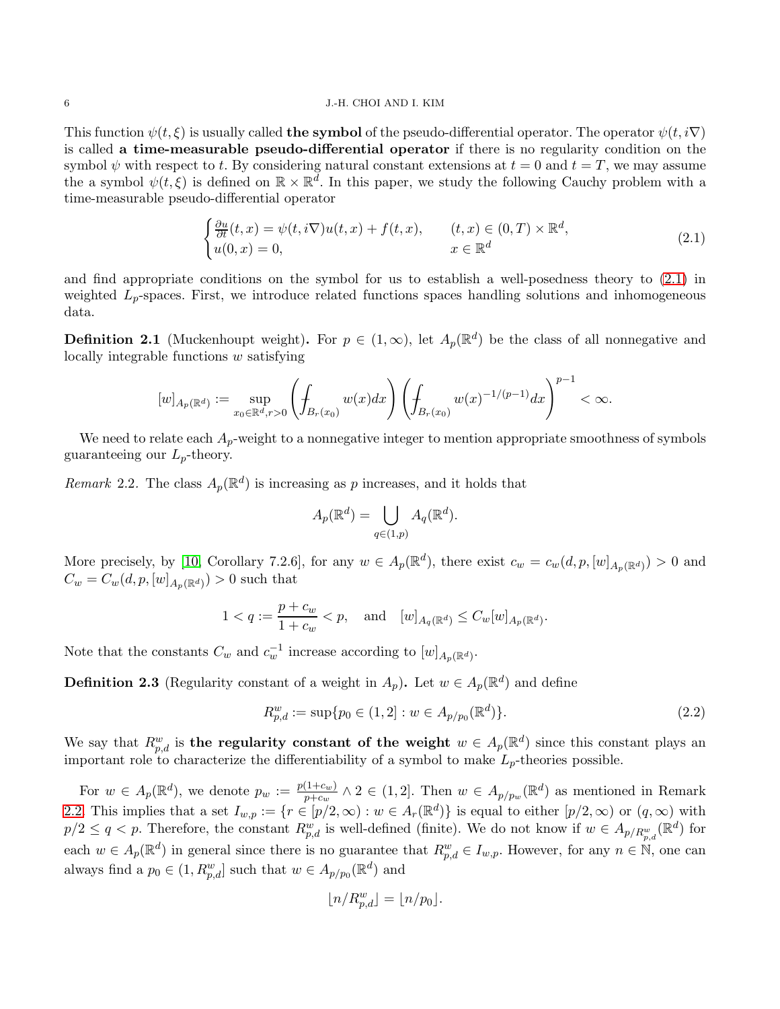#### 6 J.-H. CHOI AND I. KIM

This function  $\psi(t, \xi)$  is usually called **the symbol** of the pseudo-differential operator. The operator  $\psi(t, i\nabla)$ is called a time-measurable pseudo-differential operator if there is no regularity condition on the symbol  $\psi$  with respect to t. By considering natural constant extensions at  $t = 0$  and  $t = T$ , we may assume the a symbol  $\psi(t,\xi)$  is defined on  $\mathbb{R} \times \mathbb{R}^{\bar{d}}$ . In this paper, we study the following Cauchy problem with a time-measurable pseudo-differential operator

<span id="page-5-2"></span>
$$
\begin{cases} \frac{\partial u}{\partial t}(t,x) = \psi(t,i\nabla)u(t,x) + f(t,x), & (t,x) \in (0,T) \times \mathbb{R}^d, \\ u(0,x) = 0, & x \in \mathbb{R}^d \end{cases}
$$
\n(2.1)

and find appropriate conditions on the symbol for us to establish a well-posedness theory to [\(2.1\)](#page-5-2) in weighted  $L_p$ -spaces. First, we introduce related functions spaces handling solutions and inhomogeneous data.

<span id="page-5-0"></span>**Definition 2.1** (Muckenhoupt weight). For  $p \in (1,\infty)$ , let  $A_p(\mathbb{R}^d)$  be the class of all nonnegative and locally integrable functions  $w$  satisfying

$$
[w]_{A_p(\mathbb{R}^d)} := \sup_{x_0 \in \mathbb{R}^d, r > 0} \left( \int_{B_r(x_0)} w(x) dx \right) \left( \int_{B_r(x_0)} w(x)^{-1/(p-1)} dx \right)^{p-1} < \infty.
$$

We need to relate each  $A_p$ -weight to a nonnegative integer to mention appropriate smoothness of symbols guaranteeing our  $L_p$ -theory.

<span id="page-5-3"></span>Remark 2.2. The class  $A_p(\mathbb{R}^d)$  is increasing as p increases, and it holds that

$$
A_p(\mathbb{R}^d) = \bigcup_{q \in (1,p)} A_q(\mathbb{R}^d).
$$

More precisely, by [\[10,](#page-42-0) Corollary 7.2.6], for any  $w \in A_p(\mathbb{R}^d)$ , there exist  $c_w = c_w(d, p, [w]_{A_p(\mathbb{R}^d)}) > 0$  and  $C_w = C_w(d, p, [w]_{A_p(\mathbb{R}^d)}) > 0$  such that

$$
1 < q := \frac{p + c_w}{1 + c_w} < p, \quad \text{and} \quad [w]_{A_q(\mathbb{R}^d)} \leq C_w[w]_{A_p(\mathbb{R}^d)}.
$$

Note that the constants  $C_w$  and  $c_w^{-1}$  increase according to  $[w]_{A_p(\mathbb{R}^d)}$ .

<span id="page-5-4"></span>**Definition 2.3** (Regularity constant of a weight in  $A_p$ ). Let  $w \in A_p(\mathbb{R}^d)$  and define

$$
R_{p,d}^w := \sup \{ p_0 \in (1,2] : w \in A_{p/p_0}(\mathbb{R}^d) \}. \tag{2.2}
$$

We say that  $R_{p,d}^w$  is the regularity constant of the weight  $w \in A_p(\mathbb{R}^d)$  since this constant plays an important role to characterize the differentiability of a symbol to make  $L_p$ -theories possible.

For  $w \in A_p(\mathbb{R}^d)$ , we denote  $p_w := \frac{p(1+c_w)}{p+c_w}$  $\frac{(1+c_w)}{p+c_w} \wedge 2 \in (1,2].$  Then  $w \in A_{p/p_w}(\mathbb{R}^d)$  as mentioned in Remark [2.2.](#page-5-3) This implies that a set  $I_{w,p} := \{r \in [p/2,\infty) : w \in A_r(\mathbb{R}^d)\}\$ is equal to either  $[p/2,\infty)$  or  $(q,\infty)$  with  $p/2 \le q < p$ . Therefore, the constant  $R_{p,d}^w$  is well-defined (finite). We do not know if  $w \in A_{p/R_{p,d}^w}(\mathbb{R}^d)$  for each  $w \in A_p(\mathbb{R}^d)$  in general since there is no guarantee that  $R_{p,d}^w \in I_{w,p}$ . However, for any  $n \in \mathbb{N}$ , one can always find a  $p_0 \in (1, R^w_{p,d}]$  such that  $w \in A_{p/p_0}(\mathbb{R}^d)$  and

<span id="page-5-1"></span>
$$
\lfloor n/R_{p,d}^w\rfloor=\lfloor n/p_0\rfloor.
$$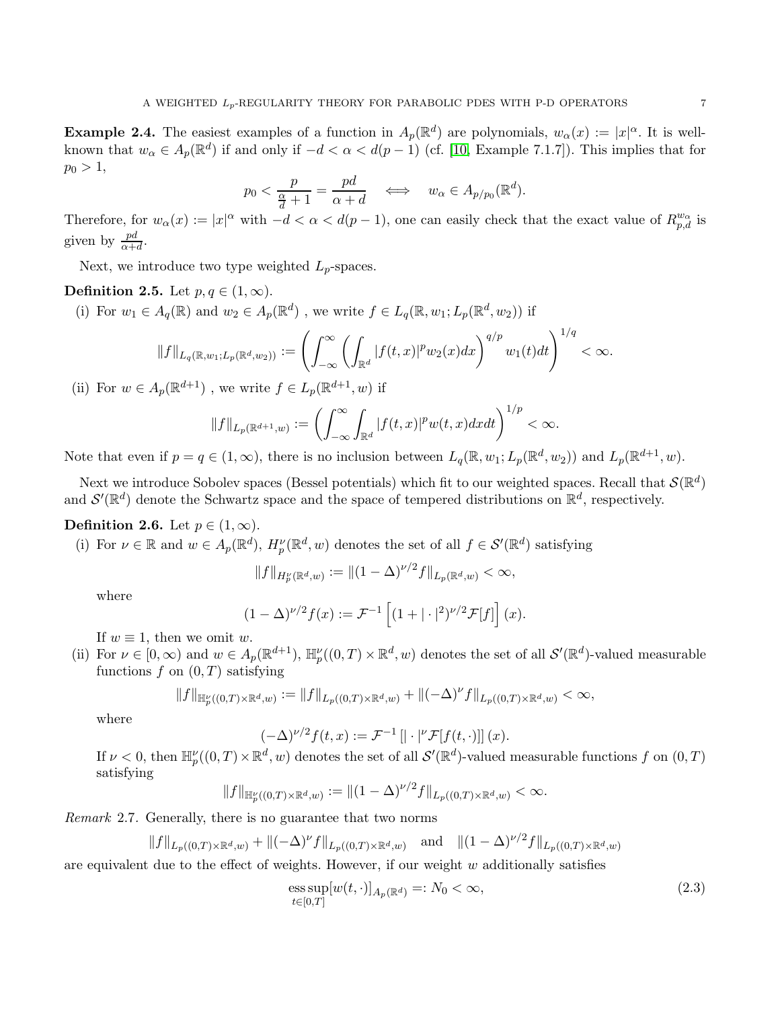**Example 2.4.** The easiest examples of a function in  $A_p(\mathbb{R}^d)$  are polynomials,  $w_\alpha(x) := |x|^\alpha$ . It is wellknown that  $w_{\alpha} \in A_p(\mathbb{R}^d)$  if and only if  $-d < \alpha < d(p-1)$  (cf. [\[10,](#page-42-0) Example 7.1.7]). This implies that for  $p_0 > 1$ ,

$$
p_0 < \frac{p}{\frac{\alpha}{d} + 1} = \frac{pd}{\alpha + d} \quad \iff \quad w_\alpha \in A_{p/p_0}(\mathbb{R}^d).
$$

Therefore, for  $w_{\alpha}(x) := |x|^{\alpha}$  with  $-d < \alpha < d(p-1)$ , one can easily check that the exact value of  $R_{p,d}^{w_{\alpha}}$  is given by  $\frac{pd}{\alpha+d}$ .

Next, we introduce two type weighted  $L_p$ -spaces.

Definition 2.5. Let  $p, q \in (1, \infty)$ .

(i) For  $w_1 \in A_q(\mathbb{R})$  and  $w_2 \in A_p(\mathbb{R}^d)$ , we write  $f \in L_q(\mathbb{R}, w_1; L_p(\mathbb{R}^d, w_2))$  if

$$
||f||_{L_q(\mathbb{R},w_1;L_p(\mathbb{R}^d,w_2))} := \left(\int_{-\infty}^{\infty} \left(\int_{\mathbb{R}^d} |f(t,x)|^p w_2(x) dx\right)^{q/p} w_1(t) dt\right)^{1/q} < \infty.
$$

(ii) For  $w \in A_p(\mathbb{R}^{d+1})$ , we write  $f \in L_p(\mathbb{R}^{d+1}, w)$  if

$$
||f||_{L_p(\mathbb{R}^{d+1},w)} := \left(\int_{-\infty}^{\infty} \int_{\mathbb{R}^d} |f(t,x)|^p w(t,x) dxdt\right)^{1/p} < \infty.
$$

Note that even if  $p = q \in (1, \infty)$ , there is no inclusion between  $L_q(\mathbb{R}, w_1; L_p(\mathbb{R}^d, w_2))$  and  $L_p(\mathbb{R}^{d+1}, w)$ .

Next we introduce Sobolev spaces (Bessel potentials) which fit to our weighted spaces. Recall that  $\mathcal{S}(\mathbb{R}^d)$ and  $\mathcal{S}'(\mathbb{R}^d)$  denote the Schwartz space and the space of tempered distributions on  $\mathbb{R}^d$ , respectively.

# <span id="page-6-1"></span>Definition 2.6. Let  $p \in (1,\infty)$ .

(i) For  $\nu \in \mathbb{R}$  and  $w \in A_p(\mathbb{R}^d)$ ,  $H_p^{\nu}(\mathbb{R}^d, w)$  denotes the set of all  $f \in \mathcal{S}'(\mathbb{R}^d)$  satisfying

$$
||f||_{H_p^{\nu}(\mathbb{R}^d,w)} := ||(1-\Delta)^{\nu/2} f||_{L_p(\mathbb{R}^d,w)} < \infty,
$$

where

$$
(1 - \Delta)^{\nu/2} f(x) := \mathcal{F}^{-1} \left[ (1 + |\cdot|^2)^{\nu/2} \mathcal{F}[f] \right] (x).
$$

If  $w \equiv 1$ , then we omit w.

(ii) For  $\nu \in [0,\infty)$  and  $w \in A_p(\mathbb{R}^{d+1})$ ,  $\mathbb{H}_p^{\nu}((0,T) \times \mathbb{R}^d, w)$  denotes the set of all  $\mathcal{S}'(\mathbb{R}^d)$ -valued measurable functions  $f$  on  $(0, T)$  satisfying

$$
||f||_{\mathbb{H}_p^{\nu}((0,T)\times\mathbb{R}^d,w)}:=||f||_{L_p((0,T)\times\mathbb{R}^d,w)}+||(-\Delta)^{\nu}f||_{L_p((0,T)\times\mathbb{R}^d,w)}<\infty,
$$

where

$$
(-\Delta)^{\nu/2} f(t,x) := \mathcal{F}^{-1}\left[\left|\cdot\right|^{\nu} \mathcal{F}[f(t,\cdot)]\right](x).
$$

If  $\nu < 0$ , then  $\mathbb{H}_{p}^{\nu}((0,T) \times \mathbb{R}^{d}, w)$  denotes the set of all  $\mathcal{S}'(\mathbb{R}^{d})$ -valued measurable functions f on  $(0,T)$ satisfying

$$
||f||_{\mathbb{H}_p^{\nu}((0,T)\times \mathbb{R}^d,w)}:=||(1-\Delta)^{\nu/2}f||_{L_p((0,T)\times \mathbb{R}^d,w)}<\infty.
$$

<span id="page-6-2"></span>Remark 2.7. Generally, there is no guarantee that two norms

$$
||f||_{L_p((0,T)\times\mathbb{R}^d,w)} + ||(-\Delta)^{\nu}f||_{L_p((0,T)\times\mathbb{R}^d,w)} \text{ and } ||(1-\Delta)^{\nu/2}f||_{L_p((0,T)\times\mathbb{R}^d,w)}
$$

are equivalent due to the effect of weights. However, if our weight  $w$  additionally satisfies

<span id="page-6-0"></span>
$$
\underset{t\in[0,T]}{\mathrm{ess\,sup}}[w(t,\cdot)]_{A_p(\mathbb{R}^d)}=:N_0<\infty,
$$
\n(2.3)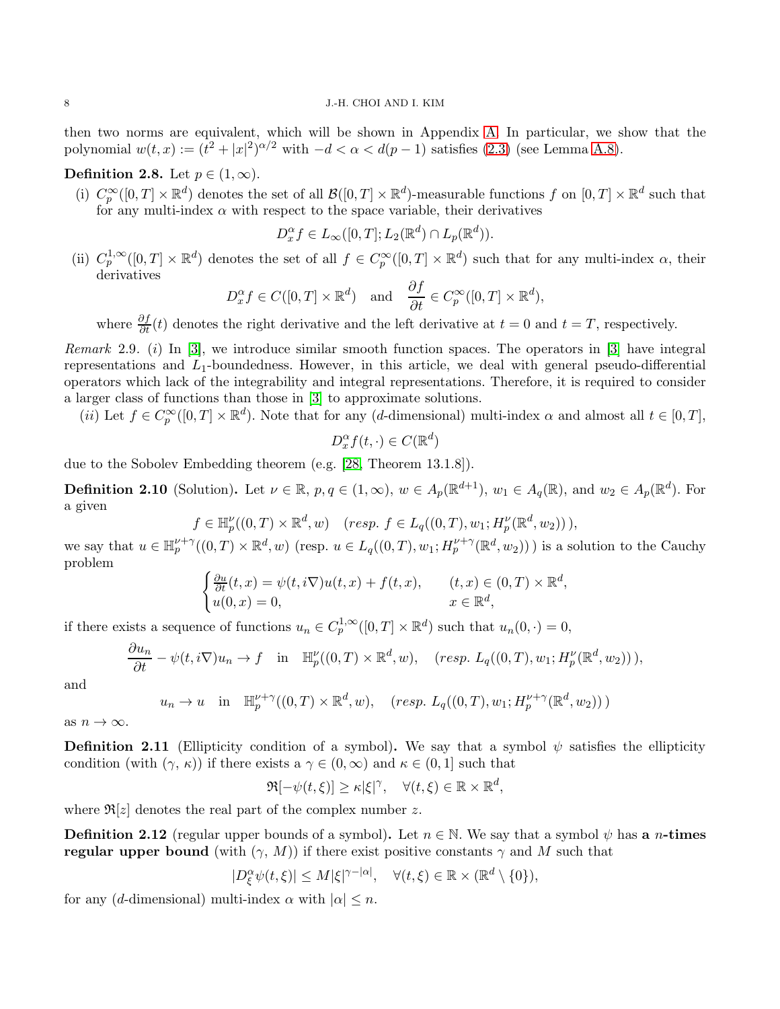then two norms are equivalent, which will be shown in Appendix [A.](#page-35-0) In particular, we show that the polynomial  $w(t, x) := (t^2 + |x|^2)^{\alpha/2}$  with  $-d < \alpha < d(p-1)$  satisfies [\(2.3\)](#page-6-0) (see Lemma [A.8\)](#page-41-0).

# Definition 2.8. Let  $p \in (1,\infty)$ .

(i)  $C_p^{\infty}([0,T] \times \mathbb{R}^d)$  denotes the set of all  $\mathcal{B}([0,T] \times \mathbb{R}^d)$ -measurable functions f on  $[0,T] \times \mathbb{R}^d$  such that for any multi-index  $\alpha$  with respect to the space variable, their derivatives

$$
D_x^{\alpha} f \in L_{\infty}([0, T]; L_2(\mathbb{R}^d) \cap L_p(\mathbb{R}^d)).
$$

(ii)  $C_p^{1,\infty}([0,T] \times \mathbb{R}^d)$  denotes the set of all  $f \in C_p^{\infty}([0,T] \times \mathbb{R}^d)$  such that for any multi-index  $\alpha$ , their derivatives

$$
D_x^{\alpha} f \in C([0, T] \times \mathbb{R}^d)
$$
 and  $\frac{\partial f}{\partial t} \in C_p^{\infty}([0, T] \times \mathbb{R}^d)$ ,

where  $\frac{\partial f}{\partial t}(t)$  denotes the right derivative and the left derivative at  $t = 0$  and  $t = T$ , respectively.

<span id="page-7-2"></span>Remark 2.9. (i) In [\[3\]](#page-42-2), we introduce similar smooth function spaces. The operators in [\[3\]](#page-42-2) have integral representations and  $L_1$ -boundedness. However, in this article, we deal with general pseudo-differential operators which lack of the integrability and integral representations. Therefore, it is required to consider a larger class of functions than those in [\[3\]](#page-42-2) to approximate solutions.

(*ii*) Let  $f \in C_p^{\infty}([0,T] \times \mathbb{R}^d)$ . Note that for any (*d*-dimensional) multi-index  $\alpha$  and almost all  $t \in [0,T]$ ,

$$
D_x^{\alpha} f(t, \cdot) \in C(\mathbb{R}^d)
$$

due to the Sobolev Embedding theorem (e.g. [\[28,](#page-43-3) Theorem 13.1.8]).

<span id="page-7-3"></span>**Definition 2.10** (Solution). Let  $\nu \in \mathbb{R}$ ,  $p, q \in (1, \infty)$ ,  $w \in A_p(\mathbb{R}^{d+1})$ ,  $w_1 \in A_q(\mathbb{R})$ , and  $w_2 \in A_p(\mathbb{R}^d)$ . For a given

 $f \in \mathbb{H}_{p}^{V}((0, T) \times \mathbb{R}^{d}, w)$   $(resp. f \in L_{q}((0, T), w_{1}; H_{p}^{\nu}(\mathbb{R}^{d}, w_{2}))),$ 

we say that  $u \in \mathbb{H}_{p}^{\nu+\gamma}((0,T) \times \mathbb{R}^{d}, w)$  (resp.  $u \in L_q((0,T), w_1; H_p^{\nu+\gamma}(\mathbb{R}^{d}, w_2))$ ) is a solution to the Cauchy problem

$$
\begin{cases} \frac{\partial u}{\partial t}(t,x) = \psi(t,i\nabla)u(t,x) + f(t,x), & (t,x) \in (0,T) \times \mathbb{R}^d, \\ u(0,x) = 0, & x \in \mathbb{R}^d, \end{cases}
$$

if there exists a sequence of functions  $u_n \in C_p^{1,\infty}([0,T] \times \mathbb{R}^d)$  such that  $u_n(0,\cdot) = 0$ ,

$$
\frac{\partial u_n}{\partial t} - \psi(t, i\nabla)u_n \to f \quad \text{in} \quad \mathbb{H}_p^{\nu}((0, T) \times \mathbb{R}^d, w), \quad (resp. \ L_q((0, T), w_1; H_p^{\nu}(\mathbb{R}^d, w_2))),
$$

and

$$
u_n \to u \quad \text{in} \quad \mathbb{H}_p^{\nu+\gamma}((0,T) \times \mathbb{R}^d, w), \quad (resp. \ L_q((0,T), w_1; H_p^{\nu+\gamma}(\mathbb{R}^d, w_2)))
$$

as  $n \to \infty$ .

<span id="page-7-0"></span>**Definition 2.11** (Ellipticity condition of a symbol). We say that a symbol  $\psi$  satisfies the ellipticity condition (with  $(\gamma, \kappa)$ ) if there exists a  $\gamma \in (0, \infty)$  and  $\kappa \in (0, 1]$  such that

$$
\Re[-\psi(t,\xi)] \geq \kappa |\xi|^\gamma, \quad \forall (t,\xi) \in \mathbb{R} \times \mathbb{R}^d,
$$

where  $\Re[z]$  denotes the real part of the complex number z.

<span id="page-7-1"></span>**Definition 2.12** (regular upper bounds of a symbol). Let  $n \in \mathbb{N}$ . We say that a symbol  $\psi$  has a *n*-times regular upper bound (with  $(\gamma, M)$ ) if there exist positive constants  $\gamma$  and M such that

$$
|D_{\xi}^{\alpha}\psi(t,\xi)| \leq M|\xi|^{\gamma - |\alpha|}, \quad \forall (t,\xi) \in \mathbb{R} \times (\mathbb{R}^d \setminus \{0\}),
$$

for any (d-dimensional) multi-index  $\alpha$  with  $|\alpha| \leq n$ .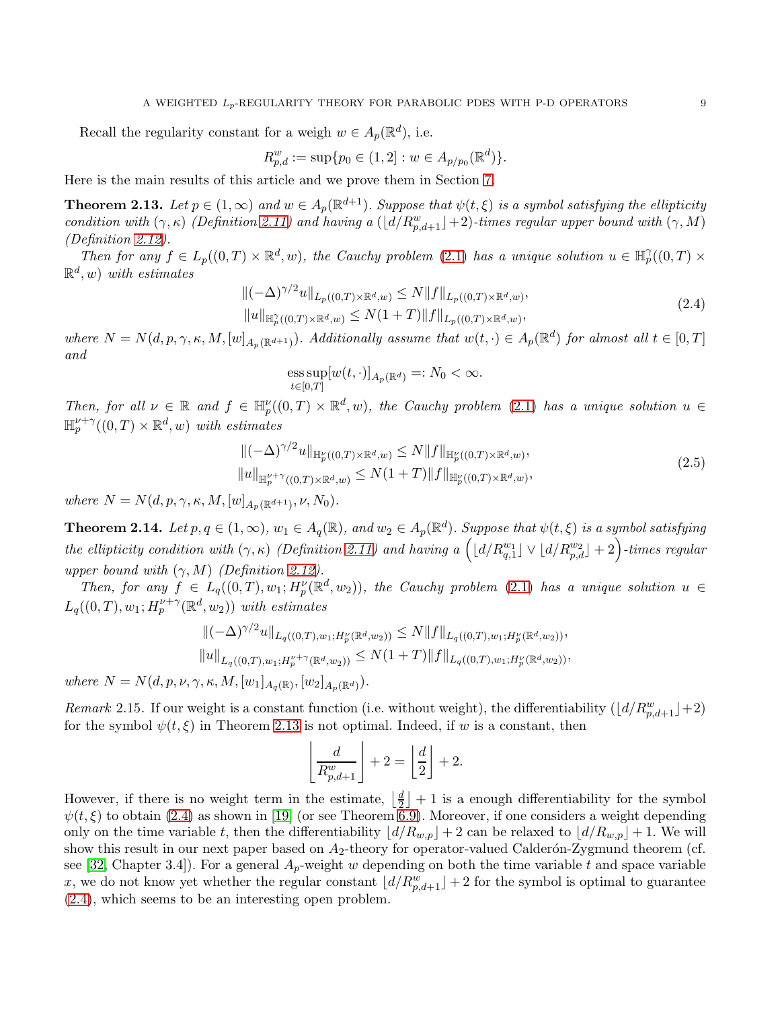Recall the regularity constant for a weigh  $w \in A_p(\mathbb{R}^d)$ , i.e.

$$
R_{p,d}^w := \sup \{ p_0 \in (1,2] : w \in A_{p/p_0}(\mathbb{R}^d) \}.
$$

Here is the main results of this article and we prove them in Section [7.](#page-33-0)

<span id="page-8-0"></span>**Theorem 2.13.** Let  $p \in (1,\infty)$  and  $w \in A_p(\mathbb{R}^{d+1})$ . Suppose that  $\psi(t,\xi)$  is a symbol satisfying the ellipticity condition with  $(\gamma, \kappa)$  (Definition [2.11\)](#page-7-0) and having a  $(\lfloor d/R_{p,d+1}^w\rfloor+2)$ -times regular upper bound with  $(\gamma, M)$ (Definition [2.12\)](#page-7-1).

Then for any  $f \in L_p((0,T) \times \mathbb{R}^d, w)$ , the Cauchy problem [\(2.1\)](#page-5-2) has a unique solution  $u \in \mathbb{H}_p^{\gamma}((0,T) \times$  $\mathbb{R}^d$ , w) with estimates

<span id="page-8-3"></span>
$$
\|(-\Delta)^{\gamma/2}u\|_{L_p((0,T)\times\mathbb{R}^d,w)} \le N\|f\|_{L_p((0,T)\times\mathbb{R}^d,w)},
$$
  
\n
$$
\|u\|_{\mathbb{H}_p^{\gamma}((0,T)\times\mathbb{R}^d,w)} \le N(1+T)\|f\|_{L_p((0,T)\times\mathbb{R}^d,w)},
$$
\n(2.4)

where  $N = N(d, p, \gamma, \kappa, M, [w]_{A_p(\mathbb{R}^{d+1})})$ . Additionally assume that  $w(t, \cdot) \in A_p(\mathbb{R}^d)$  for almost all  $t \in [0, T]$ and

ess sup
$$
[w(t, \cdot)]_{A_p(\mathbb{R}^d)} =: N_0 < \infty
$$
.  
 $t \in [0,T]$ 

Then, for all  $\nu \in \mathbb{R}$  and  $f \in \mathbb{H}_{p}^{\nu}((0,T) \times \mathbb{R}^{d}, w)$ , the Cauchy problem [\(2.1\)](#page-5-2) has a unique solution  $u \in$  $\mathbb{H}_{p}^{\nu+\gamma}((0,T)\times\mathbb{R}^{d},w)$  with estimates

<span id="page-8-4"></span>
$$
\|(-\Delta)^{\gamma/2}u\|_{\mathbb{H}_p^{\nu}((0,T)\times\mathbb{R}^d,w)} \le N\|f\|_{\mathbb{H}_p^{\nu}((0,T)\times\mathbb{R}^d,w)},
$$
  
\n
$$
\|u\|_{\mathbb{H}_p^{\nu+\gamma}((0,T)\times\mathbb{R}^d,w)} \le N(1+T)\|f\|_{\mathbb{H}_p^{\nu}((0,T)\times\mathbb{R}^d,w)},
$$
\n(2.5)

where  $N = N(d, p, \gamma, \kappa, M, [w]_{A_p(\mathbb{R}^{d+1})}, \nu, N_0)$ .

<span id="page-8-1"></span>**Theorem 2.14.** Let  $p, q \in (1, \infty)$ ,  $w_1 \in A_q(\mathbb{R})$ , and  $w_2 \in A_p(\mathbb{R}^d)$ . Suppose that  $\psi(t,\xi)$  is a symbol satisfying the ellipticity condition with  $(\gamma, \kappa)$  (Definition [2.11\)](#page-7-0) and having a  $\left( \lfloor d/R^{w_1}_{q,1} \rfloor \vee \lfloor d/R^{w_2}_{p,d} \rfloor +2 \right)$ -times regular upper bound with  $(\gamma, M)$  (Definition [2.12\)](#page-7-1).

Then, for any  $f \in L_q((0,T),w_1; H_p^{\nu}(\mathbb{R}^d,w_2)),$  the Cauchy problem [\(2.1\)](#page-5-2) has a unique solution  $u \in$  $L_q((0,T), w_1; H_p^{\nu+\gamma}(\mathbb{R}^d, w_2))$  with estimates

$$
\|(-\Delta)^{\gamma/2}u\|_{L_q((0,T),w_1;H_p^{\nu}(\mathbb{R}^d,w_2))} \leq N\|f\|_{L_q((0,T),w_1;H_p^{\nu}(\mathbb{R}^d,w_2))},
$$
  
\n
$$
\|u\|_{L_q((0,T),w_1;H_p^{\nu+\gamma}(\mathbb{R}^d,w_2))} \leq N(1+T)\|f\|_{L_q((0,T),w_1;H_p^{\nu}(\mathbb{R}^d,w_2))},
$$

where  $N = N(d, p, \nu, \gamma, \kappa, M, [w_1]_{A_q(\mathbb{R})}, [w_2]_{A_p(\mathbb{R}^d)}).$ 

<span id="page-8-2"></span>Remark 2.15. If our weight is a constant function (i.e. without weight), the differentiability  $(\lfloor d/R_{p,d+1}^w \rfloor + 2)$ for the symbol  $\psi(t,\xi)$  in Theorem [2.13](#page-8-0) is not optimal. Indeed, if w is a constant, then

$$
\left\lfloor \frac{d}{R_{p,d+1}^w} \right\rfloor + 2 = \left\lfloor \frac{d}{2} \right\rfloor + 2.
$$

However, if there is no weight term in the estimate,  $\frac{d}{2}$  $\left(\frac{d}{2}\right) + 1$  is a enough differentiability for the symbol  $\psi(t,\xi)$  to obtain [\(2.4\)](#page-8-3) as shown in [\[19\]](#page-43-6) (or see Theorem [6.9\)](#page-25-0). Moreover, if one considers a weight depending only on the time variable t, then the differentiability  $\lfloor d/R_{w,p} \rfloor + 2$  can be relaxed to  $\lfloor d/R_{w,p} \rfloor + 1$ . We will show this result in our next paper based on  $A_2$ -theory for operator-valued Calderón-Zygmund theorem (cf. see [\[32,](#page-43-19) Chapter 3.4]). For a general  $A_p$ -weight w depending on both the time variable t and space variable x, we do not know yet whether the regular constant  $\lfloor d/R_{p,d+1}^w \rfloor + 2$  for the symbol is optimal to guarantee [\(2.4\)](#page-8-3), which seems to be an interesting open problem.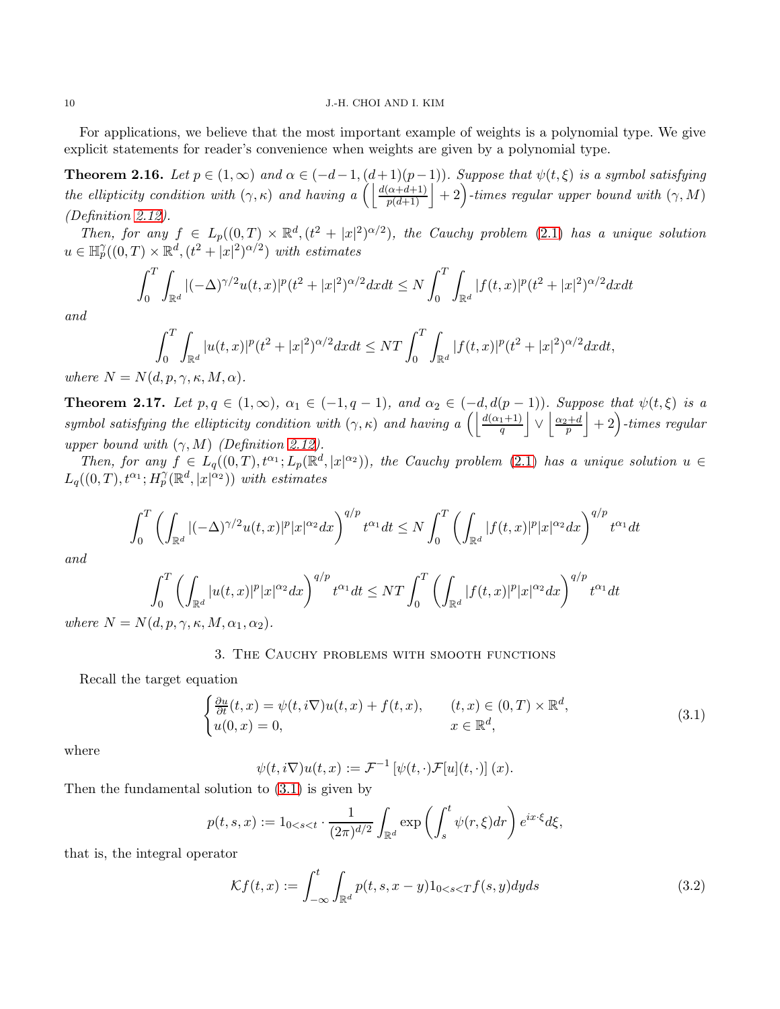#### 10 J.-H. CHOI AND I. KIM

For applications, we believe that the most important example of weights is a polynomial type. We give explicit statements for reader's convenience when weights are given by a polynomial type.

**Theorem 2.16.** Let  $p \in (1,\infty)$  and  $\alpha \in (-d-1,(d+1)(p-1))$ . Suppose that  $\psi(t,\xi)$  is a symbol satisfying the ellipticity condition with  $(\gamma, \kappa)$  and having a  $\left( \left| \frac{d(\alpha+d+1)}{p(d+1)} \right| + 2 \right)$ -times regular upper bound with  $(\gamma, M)$ (Definition [2.12\)](#page-7-1).

Then, for any  $f \in L_p((0,T) \times \mathbb{R}^d, (t^2 + |x|^2)^{\alpha/2})$ , the Cauchy problem [\(2.1\)](#page-5-2) has a unique solution  $u \in \mathbb{H}_{p}^{\gamma}((0,T) \times \mathbb{R}^{d}, (t^{2}+|x|^{2})^{\alpha/2})$  with estimates

$$
\int_0^T \int_{\mathbb{R}^d} |(-\Delta)^{\gamma/2} u(t,x)|^p (t^2+|x|^2)^{\alpha/2} dx dt \le N \int_0^T \int_{\mathbb{R}^d} |f(t,x)|^p (t^2+|x|^2)^{\alpha/2} dx dt
$$

and

$$
\int_0^T \int_{\mathbb{R}^d} |u(t,x)|^p (t^2+|x|^2)^{\alpha/2} dx dt \le NT \int_0^T \int_{\mathbb{R}^d} |f(t,x)|^p (t^2+|x|^2)^{\alpha/2} dx dt,
$$

where  $N = N(d, p, \gamma, \kappa, M, \alpha)$ .

**Theorem 2.17.** Let  $p, q \in (1, \infty)$ ,  $\alpha_1 \in (-1, q - 1)$ , and  $\alpha_2 \in (-d, d(p - 1))$ . Suppose that  $\psi(t, \xi)$  is a symbol satisfying the ellipticity condition with  $(\gamma, \kappa)$  and having a  $\left( \left| \frac{d(\alpha_1+1)}{q} \right| \vee \left| \frac{\alpha_2+d}{p} \right| + 2 \right)$ -times regular upper bound with  $(\gamma, M)$  (Definition [2.12\)](#page-7-1).

Then, for any  $f \in L_q((0,T), t^{\alpha_1}; L_p(\mathbb{R}^d, |x|^{\alpha_2}))$ , the Cauchy problem [\(2.1\)](#page-5-2) has a unique solution  $u \in$  $L_q((0,T),t^{\alpha_1};H_p^{\gamma}(\mathbb{R}^d,|x|^{\alpha_2}))$  with estimates

$$
\int_0^T \left( \int_{\mathbb{R}^d} |(-\Delta)^{\gamma/2} u(t,x)|^p |x|^{\alpha_2} dx \right)^{q/p} t^{\alpha_1} dt \le N \int_0^T \left( \int_{\mathbb{R}^d} |f(t,x)|^p |x|^{\alpha_2} dx \right)^{q/p} t^{\alpha_1} dt
$$

and

$$
\int_0^T \left( \int_{\mathbb{R}^d} |u(t,x)|^p |x|^{\alpha_2} dx \right)^{q/p} t^{\alpha_1} dt \le NT \int_0^T \left( \int_{\mathbb{R}^d} |f(t,x)|^p |x|^{\alpha_2} dx \right)^{q/p} t^{\alpha_1} dt
$$

<span id="page-9-0"></span>where  $N = N(d, p, \gamma, \kappa, M, \alpha_1, \alpha_2)$ .

### 3. The Cauchy problems with smooth functions

Recall the target equation

<span id="page-9-1"></span>
$$
\begin{cases} \frac{\partial u}{\partial t}(t,x) = \psi(t,i\nabla)u(t,x) + f(t,x), & (t,x) \in (0,T) \times \mathbb{R}^d, \\ u(0,x) = 0, & x \in \mathbb{R}^d, \end{cases}
$$
\n(3.1)

where

<span id="page-9-2"></span>
$$
\psi(t, i\nabla)u(t, x) := \mathcal{F}^{-1}\left[\psi(t, \cdot)\mathcal{F}[u](t, \cdot)\right](x).
$$

Then the fundamental solution to [\(3.1\)](#page-9-1) is given by

$$
p(t,s,x) := 1_{0 < s < t} \cdot \frac{1}{(2\pi)^{d/2}} \int_{\mathbb{R}^d} \exp\left(\int_s^t \psi(r,\xi) dr\right) e^{ix\cdot\xi} d\xi,
$$

that is, the integral operator

$$
\mathcal{K}f(t,x) := \int_{-\infty}^{t} \int_{\mathbb{R}^d} p(t,s,x-y) 1_{0 < s < T} f(s,y) \, dy \, ds \tag{3.2}
$$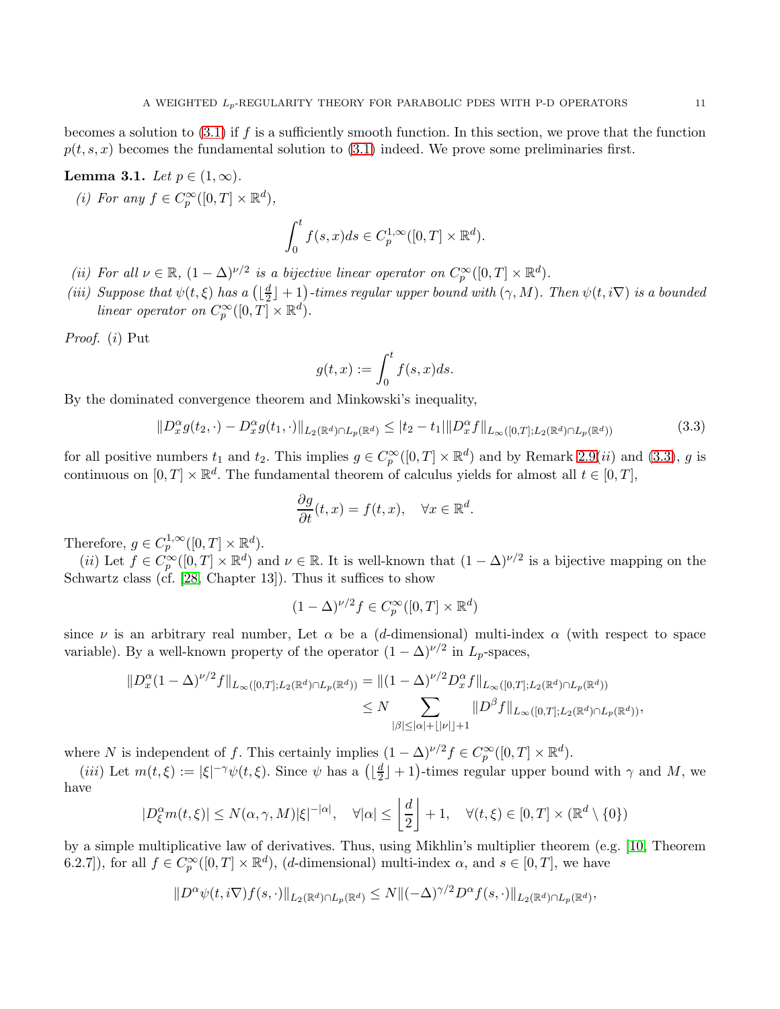## <span id="page-10-1"></span>Lemma 3.1. Let  $p \in (1,\infty)$ .

(i) For any  $f \in C_p^{\infty}([0,T] \times \mathbb{R}^d)$ ,

$$
\int_0^t f(s, x)ds \in C_p^{1, \infty}([0, T] \times \mathbb{R}^d).
$$

- (ii) For all  $\nu \in \mathbb{R}$ ,  $(1 \Delta)^{\nu/2}$  is a bijective linear operator on  $C_p^{\infty}([0, T] \times \mathbb{R}^d)$ .
- (iii) Suppose that  $\psi(t,\xi)$  has a  $\left(\frac{d}{2}\right)$  $\lfloor \frac{d}{2} \rfloor + 1 \big)$ -times regular upper bound with  $(\gamma, M)$ . Then  $\psi(t, i \nabla)$  is a bounded linear operator on  $C_p^{\infty}([0,T] \times \mathbb{R}^d)$ .

Proof. (i) Put

$$
g(t,x):=\int_0^t f(s,x)ds.
$$

By the dominated convergence theorem and Minkowski's inequality,

<span id="page-10-0"></span>
$$
||D_x^{\alpha}g(t_2,\cdot)-D_x^{\alpha}g(t_1,\cdot)||_{L_2(\mathbb{R}^d)\cap L_p(\mathbb{R}^d)} \leq |t_2-t_1|\|D_x^{\alpha}f\|_{L_\infty([0,T];L_2(\mathbb{R}^d)\cap L_p(\mathbb{R}^d))}
$$
(3.3)

for all positive numbers  $t_1$  and  $t_2$ . This implies  $g \in C_p^{\infty}([0,T] \times \mathbb{R}^d)$  and by Remark [2.9\(](#page-7-2)*ii*) and [\(3.3\)](#page-10-0), g is continuous on  $[0, T] \times \mathbb{R}^d$ . The fundamental theorem of calculus yields for almost all  $t \in [0, T]$ ,

$$
\frac{\partial g}{\partial t}(t,x) = f(t,x), \quad \forall x \in \mathbb{R}^d.
$$

Therefore,  $g \in C_p^{1,\infty}([0,T] \times \mathbb{R}^d)$ .

(*ii*) Let  $f \in C_p^{\infty}([0,T] \times \mathbb{R}^d)$  and  $\nu \in \mathbb{R}$ . It is well-known that  $(1 - \Delta)^{\nu/2}$  is a bijective mapping on the Schwartz class (cf. [\[28,](#page-43-3) Chapter 13]). Thus it suffices to show

$$
(1 - \Delta)^{\nu/2} f \in C_p^{\infty}([0, T] \times \mathbb{R}^d)
$$

since  $\nu$  is an arbitrary real number, Let  $\alpha$  be a (d-dimensional) multi-index  $\alpha$  (with respect to space variable). By a well-known property of the operator  $(1 - \Delta)^{\nu/2}$  in  $L_p$ -spaces,

$$
||D_x^{\alpha}(1-\Delta)^{\nu/2}f||_{L_{\infty}([0,T];L_2(\mathbb{R}^d)\cap L_p(\mathbb{R}^d))} = ||(1-\Delta)^{\nu/2}D_x^{\alpha}f||_{L_{\infty}([0,T];L_2(\mathbb{R}^d)\cap L_p(\mathbb{R}^d))}
$$
  
\$\le N\$ 
$$
||D^{\beta}f||_{L_{\infty}([0,T];L_2(\mathbb{R}^d)\cap L_p(\mathbb{R}^d))},
$$
  
\$|\beta|\le |\alpha|+||\nu||+1\$

where N is independent of f. This certainly implies  $(1 - \Delta)^{\nu/2} f \in C_p^{\infty}([0, T] \times \mathbb{R}^d)$ .

(*iii*) Let  $m(t,\xi) := |\xi|^{-\gamma} \psi(t,\xi)$ . Since  $\psi$  has a  $\left( \lfloor \frac{d}{2} \rfloor \right)$  $\frac{d}{2}$  | + 1)-times regular upper bound with  $\gamma$  and  $M$ , we have

$$
|D_{\xi}^{\alpha}m(t,\xi)| \le N(\alpha,\gamma,M)|\xi|^{-|\alpha|}, \quad \forall |\alpha| \le \left\lfloor \frac{d}{2} \right\rfloor + 1, \quad \forall (t,\xi) \in [0,T] \times (\mathbb{R}^d \setminus \{0\})
$$

by a simple multiplicative law of derivatives. Thus, using Mikhlin's multiplier theorem (e.g. [\[10,](#page-42-0) Theorem 6.2.7]), for all  $f \in C_p^{\infty}([0,T] \times \mathbb{R}^d)$ , (d-dimensional) multi-index  $\alpha$ , and  $s \in [0,T]$ , we have

$$
||D^{\alpha}\psi(t,i\nabla)f(s,\cdot)||_{L_2(\mathbb{R}^d)\cap L_p(\mathbb{R}^d)} \leq N||(-\Delta)^{\gamma/2}D^{\alpha}f(s,\cdot)||_{L_2(\mathbb{R}^d)\cap L_p(\mathbb{R}^d)},
$$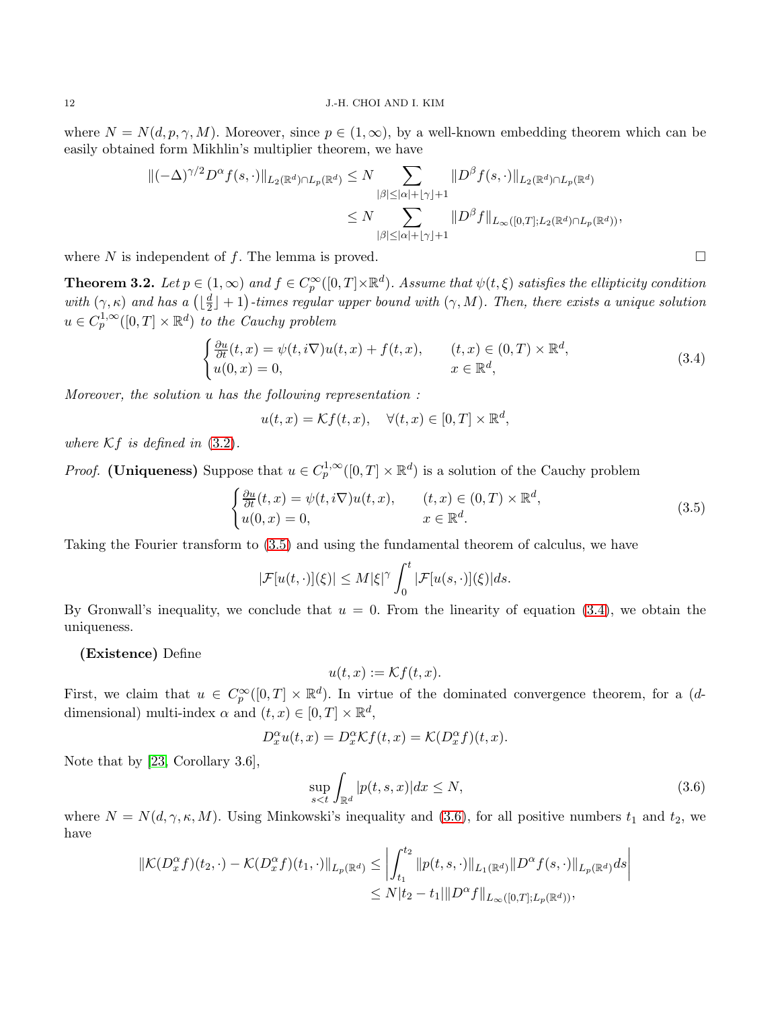where  $N = N(d, p, \gamma, M)$ . Moreover, since  $p \in (1, \infty)$ , by a well-known embedding theorem which can be easily obtained form Mikhlin's multiplier theorem, we have

$$
\begin{aligned} \|(-\Delta)^{\gamma/2} D^{\alpha} f(s, \cdot) \|_{L_2(\mathbb{R}^d) \cap L_p(\mathbb{R}^d)} &\le N \sum_{|\beta| \le |\alpha| + \lfloor \gamma \rfloor + 1} \|D^{\beta} f(s, \cdot) \|_{L_2(\mathbb{R}^d) \cap L_p(\mathbb{R}^d)} \\ &\le N \sum_{|\beta| \le |\alpha| + \lfloor \gamma \rfloor + 1} \|D^{\beta} f \|_{L_\infty([0, T]; L_2(\mathbb{R}^d) \cap L_p(\mathbb{R}^d))}, \end{aligned}
$$

where N is independent of f. The lemma is proved.  $\square$ 

<span id="page-11-3"></span>**Theorem 3.2.** Let  $p \in (1,\infty)$  and  $f \in C_p^{\infty}([0,T] \times \mathbb{R}^d)$ . Assume that  $\psi(t,\xi)$  satisfies the ellipticity condition with  $(\gamma, \kappa)$  and has a  $\left(\lfloor \frac{d}{2}\right\rfloor)$  $\frac{d}{2} \rfloor + 1$ )-times regular upper bound with  $(\gamma, M)$ . Then, there exists a unique solution  $u \in C_p^{1,\infty}([0,T] \times \mathbb{R}^d)$  to the Cauchy problem

<span id="page-11-1"></span>
$$
\begin{cases} \frac{\partial u}{\partial t}(t,x) = \psi(t,i\nabla)u(t,x) + f(t,x), & (t,x) \in (0,T) \times \mathbb{R}^d, \\ u(0,x) = 0, & x \in \mathbb{R}^d, \end{cases}
$$
\n(3.4)

Moreover, the solution u has the following representation :

$$
u(t,x) = \mathcal{K}f(t,x), \quad \forall (t,x) \in [0,T] \times \mathbb{R}^d,
$$

where  $Kf$  is defined in  $(3.2)$ .

*Proof.* (Uniqueness) Suppose that  $u \in C_p^{1,\infty}([0,T] \times \mathbb{R}^d)$  is a solution of the Cauchy problem

<span id="page-11-0"></span>
$$
\begin{cases} \frac{\partial u}{\partial t}(t,x) = \psi(t,i\nabla)u(t,x), & (t,x) \in (0,T) \times \mathbb{R}^d, \\ u(0,x) = 0, & x \in \mathbb{R}^d. \end{cases}
$$
\n(3.5)

Taking the Fourier transform to [\(3.5\)](#page-11-0) and using the fundamental theorem of calculus, we have

$$
|\mathcal{F}[u(t,\cdot)](\xi)| \le M|\xi|^\gamma \int_0^t |\mathcal{F}[u(s,\cdot)](\xi)|ds.
$$

By Gronwall's inequality, we conclude that  $u = 0$ . From the linearity of equation [\(3.4\)](#page-11-1), we obtain the uniqueness.

(Existence) Define

$$
u(t,x) := \mathcal{K}f(t,x).
$$

First, we claim that  $u \in C_p^{\infty}([0,T] \times \mathbb{R}^d)$ . In virtue of the dominated convergence theorem, for a (ddimensional) multi-index  $\alpha$  and  $(t, x) \in [0, T] \times \mathbb{R}^d$ ,

$$
D_x^{\alpha}u(t,x) = D_x^{\alpha}\mathcal{K}f(t,x) = \mathcal{K}(D_x^{\alpha}f)(t,x).
$$

Note that by [\[23,](#page-43-9) Corollary 3.6],

<span id="page-11-2"></span>
$$
\sup_{s\n(3.6)
$$

where  $N = N(d, \gamma, \kappa, M)$ . Using Minkowski's inequality and [\(3.6\)](#page-11-2), for all positive numbers  $t_1$  and  $t_2$ , we have

$$
\begin{aligned} \|\mathcal{K}(D_x^{\alpha}f)(t_2,\cdot)-\mathcal{K}(D_x^{\alpha}f)(t_1,\cdot)\|_{L_p(\mathbb{R}^d)} &\leq \left|\int_{t_1}^{t_2} \|p(t,s,\cdot)\|_{L_1(\mathbb{R}^d)} \|D^{\alpha}f(s,\cdot)\|_{L_p(\mathbb{R}^d)} ds\right| \\ &\leq N|t_2-t_1| \|D^{\alpha}f\|_{L_{\infty}([0,T];L_p(\mathbb{R}^d))}, \end{aligned}
$$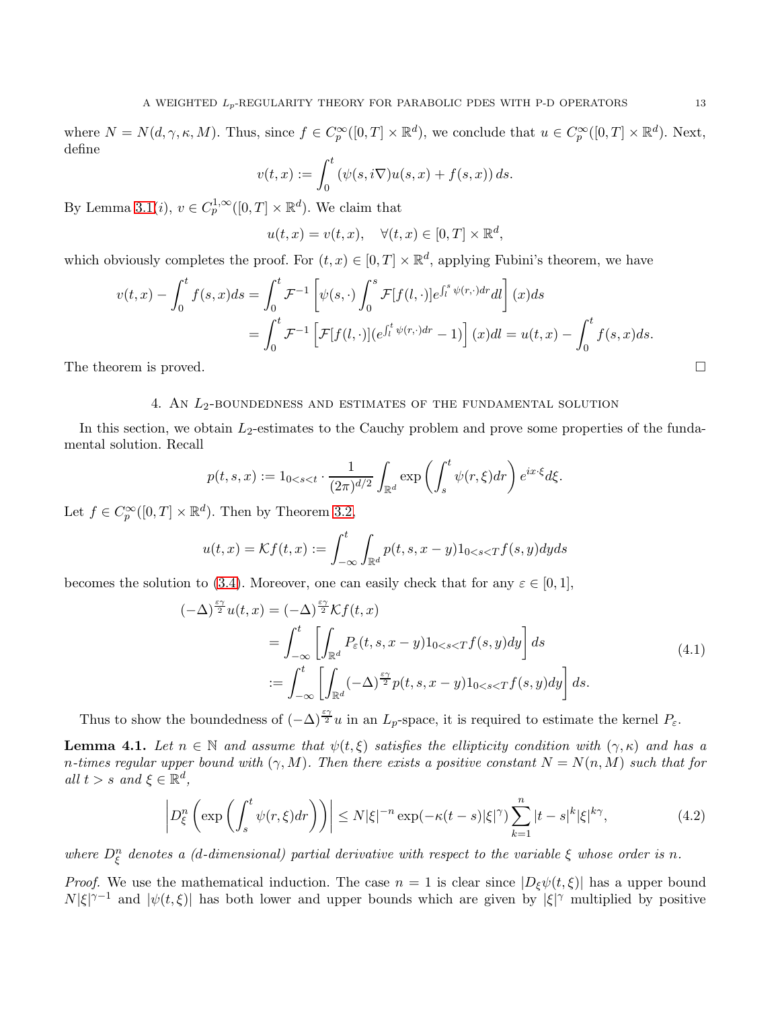where  $N = N(d, \gamma, \kappa, M)$ . Thus, since  $f \in C_p^{\infty}([0, T] \times \mathbb{R}^d)$ , we conclude that  $u \in C_p^{\infty}([0, T] \times \mathbb{R}^d)$ . Next, define

$$
v(t,x) := \int_0^t \left(\psi(s,i\nabla)u(s,x) + f(s,x)\right)ds.
$$

By Lemma [3.1\(](#page-10-1)*i*),  $v \in C_p^{1,\infty}([0,T] \times \mathbb{R}^d)$ . We claim that

$$
u(t,x) = v(t,x), \quad \forall (t,x) \in [0,T] \times \mathbb{R}^d,
$$

which obviously completes the proof. For  $(t, x) \in [0, T] \times \mathbb{R}^d$ , applying Fubini's theorem, we have

$$
v(t,x) - \int_0^t f(s,x)ds = \int_0^t \mathcal{F}^{-1} \left[ \psi(s,\cdot) \int_0^s \mathcal{F}[f(l,\cdot)]e^{\int_l^s \psi(r,\cdot)dr}dl \right](x)ds
$$
  
= 
$$
\int_0^t \mathcal{F}^{-1} \left[ \mathcal{F}[f(l,\cdot)](e^{\int_l^t \psi(r,\cdot)dr} - 1) \right](x)dl = u(t,x) - \int_0^t f(s,x)ds.
$$

<span id="page-12-0"></span>The theorem is proved.

## 4. An  $L_2$ -boundedness and estimates of the fundamental solution

In this section, we obtain  $L_2$ -estimates to the Cauchy problem and prove some properties of the fundamental solution. Recall

$$
p(t,s,x) := 1_{0 < s < t} \cdot \frac{1}{(2\pi)^{d/2}} \int_{\mathbb{R}^d} \exp\left(\int_s^t \psi(r,\xi) dr\right) e^{ix\cdot\xi} d\xi.
$$

Let  $f \in C_p^{\infty}([0,T] \times \mathbb{R}^d)$ . Then by Theorem [3.2,](#page-11-3)

$$
u(t,x) = \mathcal{K}f(t,x) := \int_{-\infty}^{t} \int_{\mathbb{R}^d} p(t,s,x-y) 1_{0 < s < T} f(s,y) dy ds
$$

becomes the solution to [\(3.4\)](#page-11-1). Moreover, one can easily check that for any  $\varepsilon \in [0,1]$ ,

<span id="page-12-3"></span>
$$
(-\Delta)^{\frac{\varepsilon \gamma}{2}} u(t, x) = (-\Delta)^{\frac{\varepsilon \gamma}{2}} \mathcal{K}f(t, x)
$$
  
\n
$$
= \int_{-\infty}^{t} \left[ \int_{\mathbb{R}^d} P_{\varepsilon}(t, s, x - y) 1_{0 < s < T} f(s, y) dy \right] ds
$$
  
\n
$$
:= \int_{-\infty}^{t} \left[ \int_{\mathbb{R}^d} (-\Delta)^{\frac{\varepsilon \gamma}{2}} p(t, s, x - y) 1_{0 < s < T} f(s, y) dy \right] ds.
$$
\n(4.1)

Thus to show the boundedness of  $(-\Delta)^{\frac{\varepsilon \gamma}{2}} u$  in an  $L_p$ -space, it is required to estimate the kernel  $P_{\varepsilon}$ .

<span id="page-12-2"></span>**Lemma 4.1.** Let  $n \in \mathbb{N}$  and assume that  $\psi(t,\xi)$  satisfies the ellipticity condition with  $(\gamma,\kappa)$  and has a n-times regular upper bound with  $(\gamma, M)$ . Then there exists a positive constant  $N = N(n, M)$  such that for all  $t > s$  and  $\xi \in \mathbb{R}^d$ ,

<span id="page-12-1"></span>
$$
\left| D_{\xi}^{n} \left( \exp \left( \int_{s}^{t} \psi(r,\xi) dr \right) \right) \right| \leq N |\xi|^{-n} \exp(-\kappa(t-s)|\xi|^{\gamma}) \sum_{k=1}^{n} |t-s|^{k} |\xi|^{k\gamma}, \tag{4.2}
$$

where  $D_{\xi}^{n}$  denotes a (d-dimensional) partial derivative with respect to the variable  $\xi$  whose order is n.

*Proof.* We use the mathematical induction. The case  $n = 1$  is clear since  $|D_{\xi}\psi(t,\xi)|$  has a upper bound  $N|\xi|^{\gamma-1}$  and  $|\psi(t,\xi)|$  has both lower and upper bounds which are given by  $|\xi|^{\gamma}$  multiplied by positive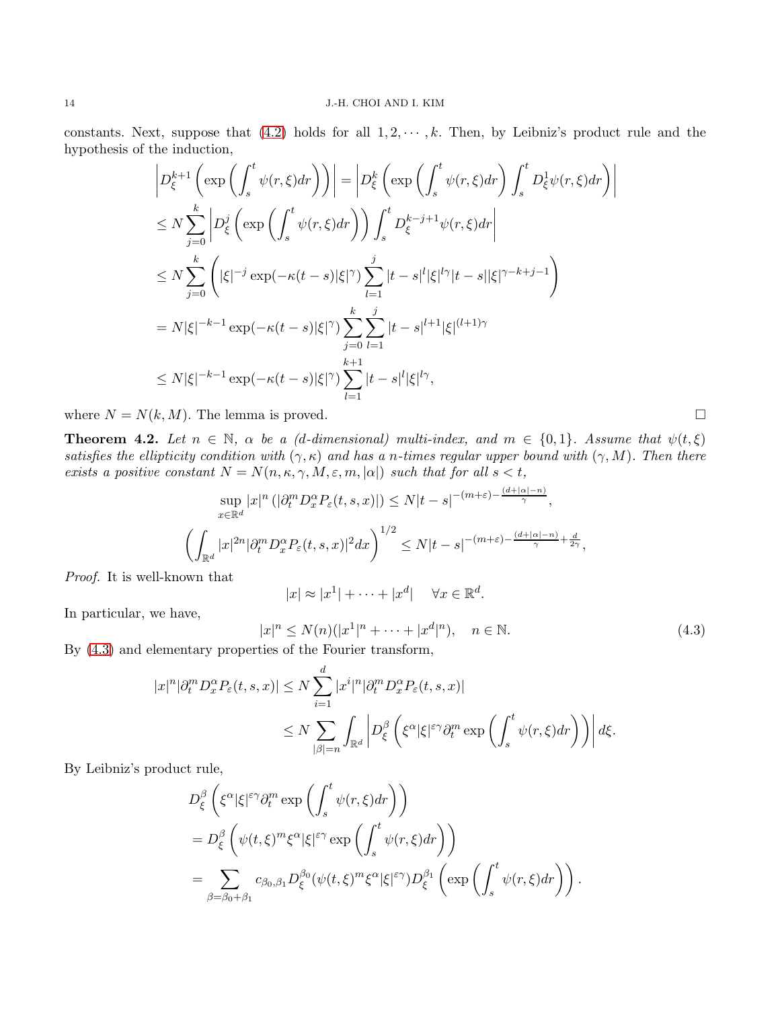#### 14 J.-H. CHOI AND I. KIM

constants. Next, suppose that [\(4.2\)](#page-12-1) holds for all  $1, 2, \dots, k$ . Then, by Leibniz's product rule and the hypothesis of the induction,

$$
\left| D_{\xi}^{k+1} \left( \exp \left( \int_{s}^{t} \psi(r,\xi) dr \right) \right) \right| = \left| D_{\xi}^{k} \left( \exp \left( \int_{s}^{t} \psi(r,\xi) dr \right) \int_{s}^{t} D_{\xi}^{1} \psi(r,\xi) dr \right) \right|
$$
  
\n
$$
\leq N \sum_{j=0}^{k} \left| D_{\xi}^{j} \left( \exp \left( \int_{s}^{t} \psi(r,\xi) dr \right) \right) \int_{s}^{t} D_{\xi}^{k-j+1} \psi(r,\xi) dr \right|
$$
  
\n
$$
\leq N \sum_{j=0}^{k} \left( |\xi|^{-j} \exp(-\kappa(t-s)|\xi|)^{\gamma} \sum_{l=1}^{j} |t-s|^{l} |\xi|^{l\gamma} |t-s| |\xi|^{\gamma-k+j-1} \right)
$$
  
\n
$$
= N |\xi|^{-k-1} \exp(-\kappa(t-s)|\xi|)^{\gamma} \sum_{j=0}^{k} \sum_{l=1}^{j} |t-s|^{l+1} |\xi|^{(l+1)\gamma}
$$
  
\n
$$
\leq N |\xi|^{-k-1} \exp(-\kappa(t-s)|\xi|)^{\gamma} \sum_{l=1}^{k+1} |t-s|^{l} |\xi|^{l\gamma},
$$

where  $N = N(k, M)$ . The lemma is proved.

<span id="page-13-1"></span>**Theorem 4.2.** Let  $n \in \mathbb{N}$ ,  $\alpha$  be a (d-dimensional) multi-index, and  $m \in \{0,1\}$ . Assume that  $\psi(t,\xi)$ satisfies the ellipticity condition with  $(\gamma, \kappa)$  and has a n-times regular upper bound with  $(\gamma, M)$ . Then there exists a positive constant  $N = N(n, \kappa, \gamma, M, \varepsilon, m, |\alpha|)$  such that for all  $s < t$ ,

$$
\sup_{x \in \mathbb{R}^d} |x|^n \left( |\partial_t^m D_x^{\alpha} P_{\varepsilon}(t, s, x)| \right) \le N|t - s|^{-(m+\varepsilon) - \frac{(d+|\alpha|-n)}{\gamma}},
$$
  

$$
\left( \int_{\mathbb{R}^d} |x|^{2n} |\partial_t^m D_x^{\alpha} P_{\varepsilon}(t, s, x)|^2 dx \right)^{1/2} \le N|t - s|^{-(m+\varepsilon) - \frac{(d+|\alpha|-n)}{\gamma} + \frac{d}{2\gamma}},
$$

Proof. It is well-known that

$$
|x| \approx |x^1| + \dots + |x^d| \quad \forall x \in \mathbb{R}^d.
$$

In particular, we have,

<span id="page-13-0"></span>
$$
|x|^n \le N(n)(|x^1|^n + \dots + |x^d|^n), \quad n \in \mathbb{N}.
$$
  
(4.3)

By [\(4.3\)](#page-13-0) and elementary properties of the Fourier transform,

$$
\begin{split} |x|^n |\partial_t^m D_x^{\alpha} P_{\varepsilon}(t,s,x)|&\leq N \sum_{i=1}^d |x^i|^n |\partial_t^m D_x^{\alpha} P_{\varepsilon}(t,s,x)|\\ &\leq N \sum_{|\beta|=n} \int_{\mathbb{R}^d} \left| D_\xi^\beta \left( \xi^\alpha |\xi|^{\varepsilon\gamma} \partial_t^m \exp\left(\int_s^t \psi(r,\xi) dr\right) \right) \right| d\xi. \end{split}
$$

By Leibniz's product rule,

$$
\begin{split} &D_\xi^\beta\left(\xi^\alpha|\xi|^{\varepsilon\gamma}\partial_t^m\exp\left(\int_s^t\psi(r,\xi)dr\right)\right)\\ &=D_\xi^\beta\left(\psi(t,\xi)^m\xi^\alpha|\xi|^{\varepsilon\gamma}\exp\left(\int_s^t\psi(r,\xi)dr\right)\right)\\ &=\sum_{\beta=\beta_0+\beta_1}c_{\beta_0,\beta_1}D_\xi^{\beta_0}(\psi(t,\xi)^m\xi^\alpha|\xi|^{\varepsilon\gamma})D_\xi^{\beta_1}\left(\exp\left(\int_s^t\psi(r,\xi)dr\right)\right). \end{split}
$$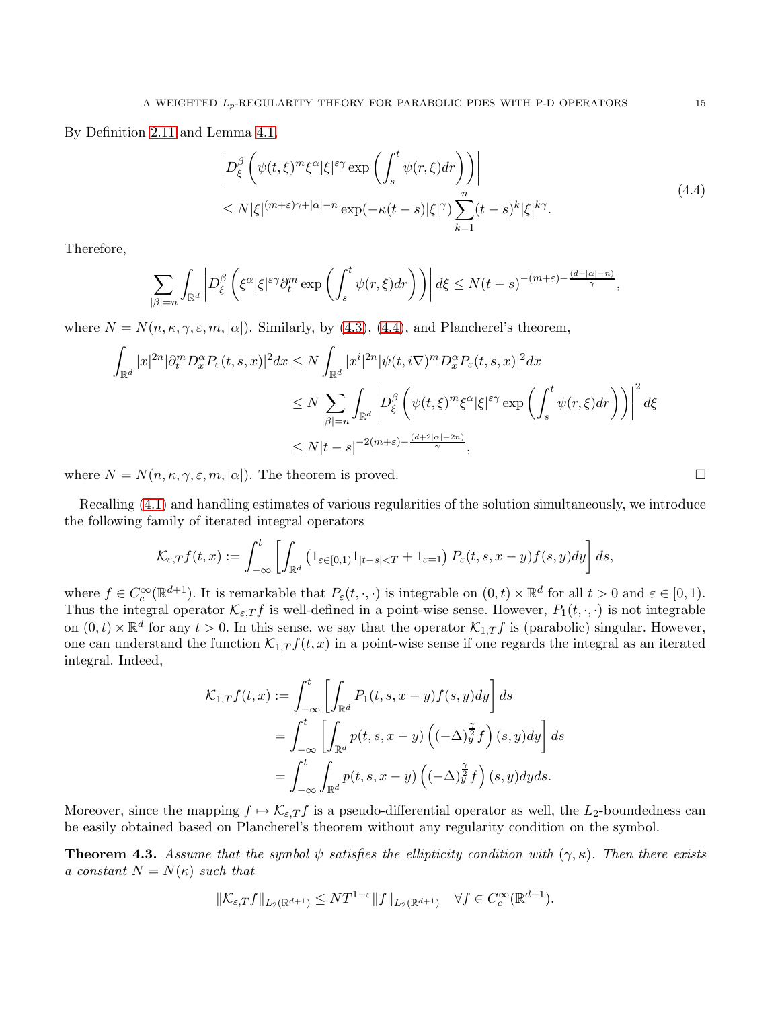By Definition [2.11](#page-7-0) and Lemma [4.1,](#page-12-2)

<span id="page-14-0"></span>
$$
\left| D_{\xi}^{\beta} \left( \psi(t,\xi)^{m} \xi^{\alpha} |\xi|^{\varepsilon \gamma} \exp \left( \int_{s}^{t} \psi(r,\xi) dr \right) \right) \right|
$$
  
 
$$
\leq N |\xi|^{(m+\varepsilon)\gamma + |\alpha| - n} \exp(-\kappa(t-s)|\xi|^{\gamma}) \sum_{k=1}^{n} (t-s)^{k} |\xi|^{k\gamma}.
$$
 (4.4)

Therefore,

$$
\sum_{|\beta|=n} \int_{\mathbb{R}^d} \left| D^{\beta}_{\xi} \left( \xi^{\alpha} |\xi|^{\varepsilon \gamma} \partial_t^m \exp \left( \int_s^t \psi(r,\xi) dr \right) \right) \right| d\xi \le N(t-s)^{-(m+\varepsilon) - \frac{(d+|\alpha|-n)}{\gamma}},
$$

where  $N = N(n, \kappa, \gamma, \varepsilon, m, |\alpha|)$ . Similarly, by [\(4.3\)](#page-13-0), [\(4.4\)](#page-14-0), and Plancherel's theorem,

$$
\int_{\mathbb{R}^d} |x|^{2n} |\partial_t^m D_x^{\alpha} P_{\varepsilon}(t,s,x)|^2 dx \le N \int_{\mathbb{R}^d} |x^i|^{2n} |\psi(t,i\nabla)^m D_x^{\alpha} P_{\varepsilon}(t,s,x)|^2 dx
$$
  
\n
$$
\le N \sum_{|\beta|=n} \int_{\mathbb{R}^d} \left| D_{\xi}^{\beta} \left( \psi(t,\xi)^m \xi^{\alpha} |\xi|^{\varepsilon \gamma} \exp \left( \int_s^t \psi(r,\xi) dr \right) \right) \right|^2 d\xi
$$
  
\n
$$
\le N |t-s|^{-2(m+\varepsilon) - \frac{(d+2|\alpha|-2n)}{\gamma}},
$$

where  $N = N(n, \kappa, \gamma, \varepsilon, m, |\alpha|)$ . The theorem is proved.

Recalling [\(4.1\)](#page-12-3) and handling estimates of various regularities of the solution simultaneously, we introduce the following family of iterated integral operators

$$
\mathcal{K}_{\varepsilon,T}f(t,x) := \int_{-\infty}^t \left[ \int_{\mathbb{R}^d} \left( 1_{\varepsilon \in [0,1]} 1_{|t-s| < T} + 1_{\varepsilon = 1} \right) P_{\varepsilon}(t,s,x-y) f(s,y) dy \right] ds,
$$

where  $f \in C_c^{\infty}(\mathbb{R}^{d+1})$ . It is remarkable that  $P_{\varepsilon}(t, \cdot, \cdot)$  is integrable on  $(0, t) \times \mathbb{R}^d$  for all  $t > 0$  and  $\varepsilon \in [0, 1)$ . Thus the integral operator  $\mathcal{K}_{\varepsilon,T}f$  is well-defined in a point-wise sense. However,  $P_1(t,\cdot,\cdot)$  is not integrable on  $(0, t) \times \mathbb{R}^d$  for any  $t > 0$ . In this sense, we say that the operator  $\mathcal{K}_{1,T} f$  is (parabolic) singular. However, one can understand the function  $\mathcal{K}_{1,T} f(t,x)$  in a point-wise sense if one regards the integral as an iterated integral. Indeed,

$$
\mathcal{K}_{1,T}f(t,x) := \int_{-\infty}^{t} \left[ \int_{\mathbb{R}^d} P_1(t,s,x-y)f(s,y)dy \right] ds
$$
  
= 
$$
\int_{-\infty}^{t} \left[ \int_{\mathbb{R}^d} p(t,s,x-y) \left( (-\Delta)^{\frac{\gamma}{2}}_y f \right)(s,y)dy \right] ds
$$
  
= 
$$
\int_{-\infty}^{t} \int_{\mathbb{R}^d} p(t,s,x-y) \left( (-\Delta)^{\frac{\gamma}{2}}_y f \right)(s,y)dyds.
$$

Moreover, since the mapping  $f \mapsto \mathcal{K}_{\varepsilon,T} f$  is a pseudo-differential operator as well, the  $L_2$ -boundedness can be easily obtained based on Plancherel's theorem without any regularity condition on the symbol.

<span id="page-14-1"></span>**Theorem 4.3.** Assume that the symbol  $\psi$  satisfies the ellipticity condition with  $(\gamma, \kappa)$ . Then there exists a constant  $N = N(\kappa)$  such that

$$
\|\mathcal{K}_{\varepsilon,T}f\|_{L_2(\mathbb{R}^{d+1})} \leq NT^{1-\varepsilon} \|f\|_{L_2(\mathbb{R}^{d+1})} \quad \forall f \in C_c^{\infty}(\mathbb{R}^{d+1}).
$$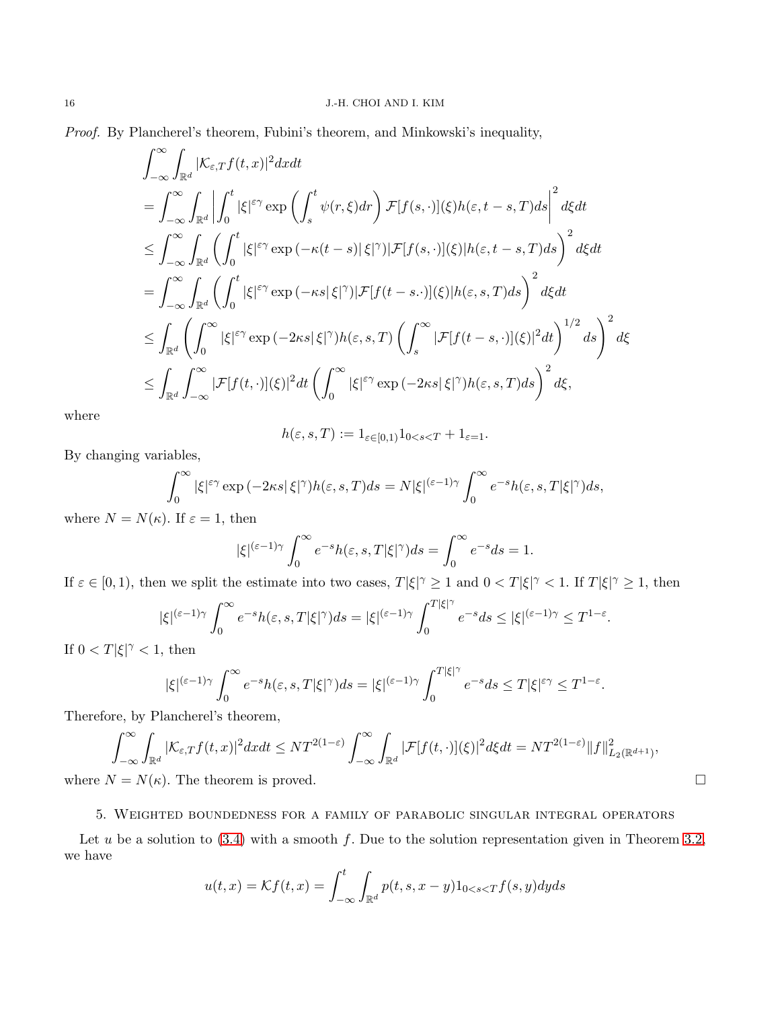Proof. By Plancherel's theorem, Fubini's theorem, and Minkowski's inequality,

$$
\int_{-\infty}^{\infty} \int_{\mathbb{R}^d} |\mathcal{K}_{\varepsilon,T} f(t,x)|^2 dxdt
$$
\n  
\n
$$
= \int_{-\infty}^{\infty} \int_{\mathbb{R}^d} \left| \int_0^t |\xi|^{\varepsilon \gamma} \exp\left(\int_s^t \psi(r,\xi) dr\right) \mathcal{F}[f(s,\cdot)](\xi) h(\varepsilon,t-s,T) ds \right|^2 d\xi dt
$$
\n  
\n
$$
\leq \int_{-\infty}^{\infty} \int_{\mathbb{R}^d} \left( \int_0^t |\xi|^{\varepsilon \gamma} \exp(-\kappa(t-s)|\xi|^\gamma)| \mathcal{F}[f(s,\cdot)](\xi) |h(\varepsilon,t-s,T) ds \right)^2 d\xi dt
$$
\n  
\n
$$
= \int_{-\infty}^{\infty} \int_{\mathbb{R}^d} \left( \int_0^t |\xi|^{\varepsilon \gamma} \exp(-\kappa s|\xi|^\gamma)| \mathcal{F}[f(t-s,\cdot)](\xi) |h(\varepsilon,s,T) ds \right)^2 d\xi dt
$$
\n  
\n
$$
\leq \int_{\mathbb{R}^d} \left( \int_0^{\infty} |\xi|^{\varepsilon \gamma} \exp(-2\kappa s|\xi|^\gamma) h(\varepsilon,s,T) \left( \int_s^{\infty} |\mathcal{F}[f(t-s,\cdot)](\xi)|^2 dt \right)^{1/2} ds \right)^2 d\xi
$$
\n  
\n
$$
\leq \int_{\mathbb{R}^d} \int_{-\infty}^{\infty} |\mathcal{F}[f(t,\cdot)](\xi)|^2 dt \left( \int_0^{\infty} |\xi|^{\varepsilon \gamma} \exp(-2\kappa s|\xi|^\gamma) h(\varepsilon,s,T) ds \right)^2 d\xi,
$$

where

$$
h(\varepsilon, s, T) := 1_{\varepsilon \in [0, 1)} 1_{0 < s < T} + 1_{\varepsilon = 1}.
$$

By changing variables,

$$
\int_0^\infty |\xi|^{\varepsilon\gamma} \exp\left(-2\kappa s |\,\xi|^\gamma\right) h(\varepsilon,s,T) ds=N|\xi|^{(\varepsilon-1)\gamma}\int_0^\infty e^{-s}h(\varepsilon,s,T|\xi|^\gamma) ds,
$$

where  $N = N(\kappa)$ . If  $\varepsilon = 1$ , then

$$
|\xi|^{(\varepsilon-1)\gamma} \int_0^\infty e^{-s} h(\varepsilon, s, T|\xi|^\gamma) ds = \int_0^\infty e^{-s} ds = 1.
$$

If  $\varepsilon \in [0, 1)$ , then we split the estimate into two cases,  $T|\xi|^{\gamma} \ge 1$  and  $0 < T|\xi|^{\gamma} < 1$ . If  $T|\xi|^{\gamma} \ge 1$ , then

$$
|\xi|^{(\varepsilon-1)\gamma}\int_0^\infty e^{-s}h(\varepsilon,s,T|\xi|^\gamma)ds=|\xi|^{(\varepsilon-1)\gamma}\int_0^{T|\xi|^\gamma}e^{-s}ds\leq|\xi|^{(\varepsilon-1)\gamma}\leq T^{1-\varepsilon}.
$$

If  $0 < T|\xi|^{\gamma} < 1$ , then

$$
|\xi|^{(\varepsilon-1)\gamma}\int_0^\infty e^{-s}h(\varepsilon,s,T|\xi|^\gamma)ds=|\xi|^{(\varepsilon-1)\gamma}\int_0^{T|\xi|^\gamma}e^{-s}ds\leq T|\xi|^{\varepsilon\gamma}\leq T^{1-\varepsilon}.
$$

Therefore, by Plancherel's theorem,

$$
\int_{-\infty}^{\infty} \int_{\mathbb{R}^d} |\mathcal{K}_{\varepsilon,T} f(t,x)|^2 dx dt \leq N T^{2(1-\varepsilon)} \int_{-\infty}^{\infty} \int_{\mathbb{R}^d} |\mathcal{F}[f(t,\cdot)](\xi)|^2 d\xi dt = N T^{2(1-\varepsilon)} \|f\|_{L_2(\mathbb{R}^{d+1})}^2,
$$
  
where  $N = N(\kappa)$ . The theorem is proved.

<span id="page-15-0"></span>

#### 5. Weighted boundedness for a family of parabolic singular integral operators

Let u be a solution to  $(3.4)$  with a smooth f. Due to the solution representation given in Theorem [3.2,](#page-11-3) we have

$$
u(t,x) = \mathcal{K}f(t,x) = \int_{-\infty}^{t} \int_{\mathbb{R}^d} p(t,s,x-y)1_{0 < s < T}f(s,y)dyds
$$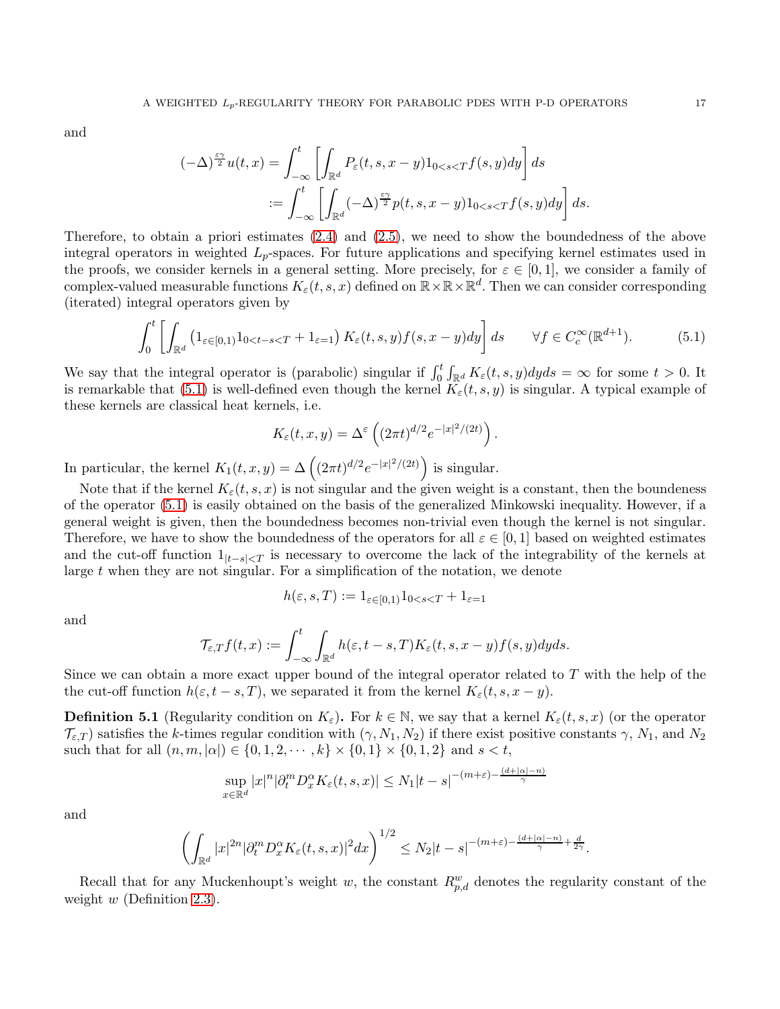and

$$
(-\Delta)^{\frac{\varepsilon\gamma}{2}}u(t,x) = \int_{-\infty}^{t} \left[ \int_{\mathbb{R}^d} P_{\varepsilon}(t,s,x-y)1_{0  

$$
:= \int_{-\infty}^{t} \left[ \int_{\mathbb{R}^d} (-\Delta)^{\frac{\varepsilon\gamma}{2}} p(t,s,x-y)1_{0
$$
$$

Therefore, to obtain a priori estimates [\(2.4\)](#page-8-3) and [\(2.5\)](#page-8-4), we need to show the boundedness of the above integral operators in weighted  $L_p$ -spaces. For future applications and specifying kernel estimates used in the proofs, we consider kernels in a general setting. More precisely, for  $\varepsilon \in [0,1]$ , we consider a family of complex-valued measurable functions  $K_{\varepsilon}(t, s, x)$  defined on  $\mathbb{R} \times \mathbb{R} \times \mathbb{R}^d$ . Then we can consider corresponding (iterated) integral operators given by

$$
\int_0^t \left[ \int_{\mathbb{R}^d} \left( 1_{\varepsilon \in [0,1]} 1_{0 < t-s < T} + 1_{\varepsilon = 1} \right) K_{\varepsilon}(t,s,y) f(s,x-y) dy \right] ds \qquad \forall f \in C_c^{\infty}(\mathbb{R}^{d+1}).\tag{5.1}
$$

We say that the integral operator is (parabolic) singular if  $\int_0^t \int_{\mathbb{R}^d} K_{\varepsilon}(t,s,y) dy ds = \infty$  for some  $t > 0$ . It is remarkable that [\(5.1\)](#page-16-0) is well-defined even though the kernel  $K_{\varepsilon}(t, s, y)$  is singular. A typical example of these kernels are classical heat kernels, i.e.

<span id="page-16-0"></span>
$$
K_{\varepsilon}(t,x,y)=\Delta^{\varepsilon}\left((2\pi t)^{d/2}e^{-|x|^{2}/(2t)}\right).
$$

In particular, the kernel  $K_1(t, x, y) = \Delta \left( (2\pi t)^{d/2} e^{-|x|^2/(2t)} \right)$  is singular.

 $\boldsymbol{x}$ 

Note that if the kernel  $K_{\varepsilon}(t, s, x)$  is not singular and the given weight is a constant, then the boundeness of the operator [\(5.1\)](#page-16-0) is easily obtained on the basis of the generalized Minkowski inequality. However, if a general weight is given, then the boundedness becomes non-trivial even though the kernel is not singular. Therefore, we have to show the boundedness of the operators for all  $\varepsilon \in [0,1]$  based on weighted estimates and the cut-off function  $1_{|t-s| is necessary to overcome the lack of the integrability of the kernels at$ large t when they are not singular. For a simplification of the notation, we denote

$$
h(\varepsilon, s, T) := 1_{\varepsilon \in [0, 1)} 1_{0 < s < T} + 1_{\varepsilon = 1}
$$

and

$$
\mathcal{T}_{\varepsilon,T}f(t,x):=\int_{-\infty}^t\int_{\mathbb{R}^d}h(\varepsilon,t-s,T)K_{\varepsilon}(t,s,x-y)f(s,y)dyds.
$$

Since we can obtain a more exact upper bound of the integral operator related to T with the help of the the cut-off function  $h(\varepsilon, t - s, T)$ , we separated it from the kernel  $K_{\varepsilon}(t, s, x - y)$ .

<span id="page-16-1"></span>**Definition 5.1** (Regularity condition on  $K_{\varepsilon}$ ). For  $k \in \mathbb{N}$ , we say that a kernel  $K_{\varepsilon}(t, s, x)$  (or the operator  $\mathcal{T}_{\varepsilon,T}$  satisfies the k-times regular condition with  $(\gamma, N_1, N_2)$  if there exist positive constants  $\gamma$ ,  $N_1$ , and  $N_2$ such that for all  $(n, m, |\alpha|) \in \{0, 1, 2, \dots, k\} \times \{0, 1\} \times \{0, 1, 2\}$  and  $s < t$ ,

$$
\sup_{x \in \mathbb{R}^d} |x|^n |\partial_t^m D_x^{\alpha} K_{\varepsilon}(t, s, x)| \le N_1 |t - s|^{-(m+\varepsilon) - \frac{(d+|\alpha| - n)}{\gamma}}
$$

and

$$
\left(\int_{\mathbb{R}^d}|x|^{2n}|\partial_t^mD_x^{\alpha}K_{\varepsilon}(t,s,x)|^2dx\right)^{1/2}\leq N_2|t-s|^{-(m+\varepsilon)-\frac{(d+|\alpha|-n)}{\gamma}+\frac{d}{2\gamma}}.
$$

Recall that for any Muckenhoupt's weight w, the constant  $R_{p,d}^w$  denotes the regularity constant of the weight  $w$  (Definition [2.3\)](#page-5-4).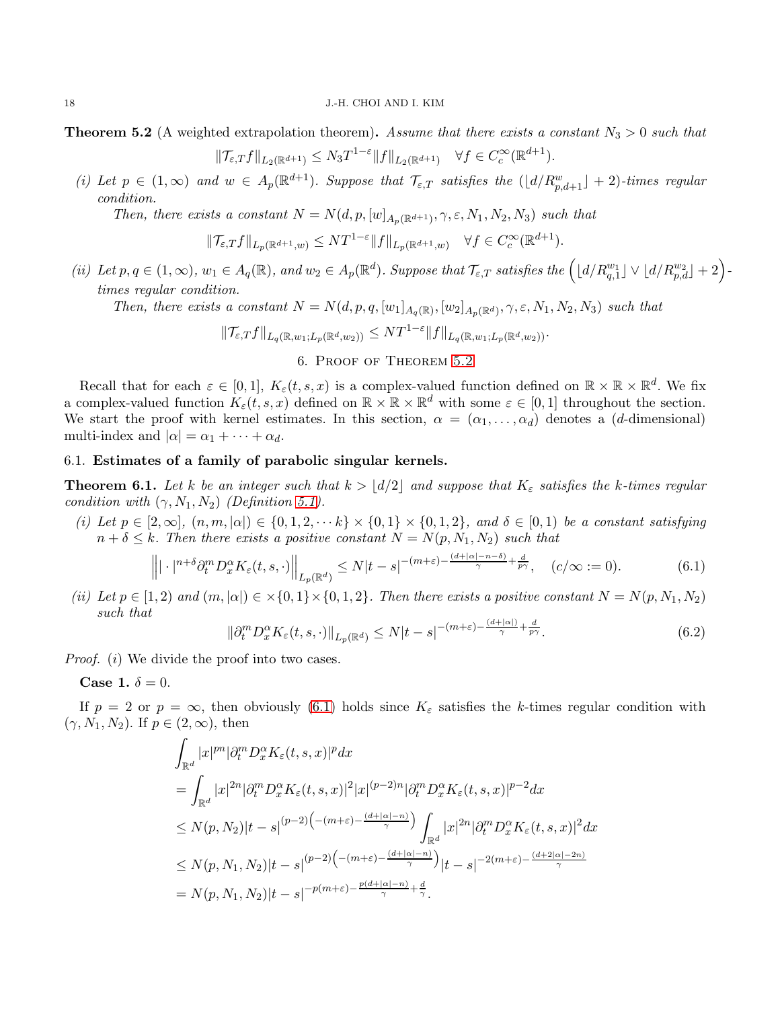<span id="page-17-0"></span>**Theorem 5.2** (A weighted extrapolation theorem). Assume that there exists a constant  $N_3 > 0$  such that

$$
\|\mathcal{T}_{\varepsilon,T}f\|_{L_2(\mathbb{R}^{d+1})} \leq N_3 T^{1-\varepsilon} \|f\|_{L_2(\mathbb{R}^{d+1})} \quad \forall f \in C_c^{\infty}(\mathbb{R}^{d+1}).
$$

(i) Let  $p \in (1,\infty)$  and  $w \in A_p(\mathbb{R}^{d+1})$ . Suppose that  $\mathcal{T}_{\varepsilon,T}$  satisfies the  $(\lfloor d/R_{p,d+1}^w \rfloor + 2)$ -times regular condition.

Then, there exists a constant  $N = N(d, p, [w]_{A_p(\mathbb{R}^{d+1})}, \gamma, \varepsilon, N_1, N_2, N_3)$  such that

$$
\|\mathcal{T}_{\varepsilon,T}f\|_{L_p(\mathbb{R}^{d+1},w)} \leq NT^{1-\varepsilon} \|f\|_{L_p(\mathbb{R}^{d+1},w)} \quad \forall f \in C_c^{\infty}(\mathbb{R}^{d+1}).
$$

(ii) Let  $p, q \in (1, \infty), w_1 \in A_q(\mathbb{R})$ , and  $w_2 \in A_p(\mathbb{R}^d)$ . Suppose that  $\mathcal{T}_{\varepsilon,T}$  satisfies the  $\left( \lfloor d/R_{q,1}^{w_1} \rfloor \vee \lfloor d/R_{p,d}^{w_2} \rfloor + 2 \right)$ . times regular condition.

Then, there exists a constant  $N = N(d, p, q, [w_1]_{A_q(\mathbb{R})}, [w_2]_{A_p(\mathbb{R}^d)}, \gamma, \varepsilon, N_1, N_2, N_3)$  such that

$$
\|\mathcal{T}_{\varepsilon,T}f\|_{L_q(\mathbb{R},w_1;L_p(\mathbb{R}^d,w_2))} \leq NT^{1-\varepsilon} \|f\|_{L_q(\mathbb{R},w_1;L_p(\mathbb{R}^d,w_2))}.
$$

### 6. Proof of Theorem [5.2](#page-17-0)

<span id="page-17-1"></span>Recall that for each  $\varepsilon \in [0,1]$ ,  $K_{\varepsilon}(t,s,x)$  is a complex-valued function defined on  $\mathbb{R} \times \mathbb{R} \times \mathbb{R}^d$ . We fix a complex-valued function  $K_{\varepsilon}(t, s, x)$  defined on  $\mathbb{R} \times \mathbb{R} \times \mathbb{R}^d$  with some  $\varepsilon \in [0, 1]$  throughout the section. We start the proof with kernel estimates. In this section,  $\alpha = (\alpha_1, \ldots, \alpha_d)$  denotes a (d-dimensional) multi-index and  $|\alpha| = \alpha_1 + \cdots + \alpha_d$ .

### 6.1. Estimates of a family of parabolic singular kernels.

<span id="page-17-4"></span>**Theorem 6.1.** Let k be an integer such that  $k > |d/2|$  and suppose that  $K_{\varepsilon}$  satisfies the k-times regular condition with  $(\gamma, N_1, N_2)$  (Definition [5.1\)](#page-16-1).

(i) Let  $p \in [2,\infty]$ ,  $(n,m,|\alpha|) \in \{0,1,2,\dots k\} \times \{0,1\} \times \{0,1,2\}$ , and  $\delta \in [0,1)$  be a constant satisfying  $n + \delta \leq k$ . Then there exists a positive constant  $N = N(p, N_1, N_2)$  such that

<span id="page-17-2"></span>
$$
\left\| |\cdot|^{n+\delta} \partial_t^m D_x^{\alpha} K_{\varepsilon}(t,s,\cdot) \right\|_{L_p(\mathbb{R}^d)} \le N|t-s|^{-(m+\varepsilon)-\frac{(d+|\alpha|-n-\delta)}{\gamma}+\frac{d}{p\gamma}}, \quad (c/\infty := 0). \tag{6.1}
$$

(ii) Let  $p \in [1,2)$  and  $(m, |\alpha|) \in \times \{0,1\} \times \{0,1,2\}$ . Then there exists a positive constant  $N = N(p, N_1, N_2)$ such that

<span id="page-17-3"></span>
$$
\|\partial_t^m D_x^{\alpha} K_{\varepsilon}(t,s,\cdot)\|_{L_p(\mathbb{R}^d)} \le N|t-s|^{-(m+\varepsilon)-\frac{(d+|\alpha|)}{\gamma}+\frac{d}{p\gamma}}.
$$
\n(6.2)

*Proof.* (*i*) We divide the proof into two cases.

Case 1.  $\delta = 0$ .

If  $p = 2$  or  $p = \infty$ , then obviously [\(6.1\)](#page-17-2) holds since  $K_{\varepsilon}$  satisfies the k-times regular condition with  $(\gamma, N_1, N_2)$ . If  $p \in (2, \infty)$ , then

$$
\int_{\mathbb{R}^d} |x|^{pn} |\partial_t^m D_x^{\alpha} K_{\varepsilon}(t,s,x)|^p dx
$$
\n
$$
= \int_{\mathbb{R}^d} |x|^{2n} |\partial_t^m D_x^{\alpha} K_{\varepsilon}(t,s,x)|^2 |x|^{(p-2)n} |\partial_t^m D_x^{\alpha} K_{\varepsilon}(t,s,x)|^{p-2} dx
$$
\n
$$
\leq N(p,N_2)|t-s|^{(p-2)\left(-(m+\varepsilon)-\frac{(d+|\alpha|-n)}{\gamma}\right)} \int_{\mathbb{R}^d} |x|^{2n} |\partial_t^m D_x^{\alpha} K_{\varepsilon}(t,s,x)|^2 dx
$$
\n
$$
\leq N(p,N_1,N_2)|t-s|^{(p-2)\left(-(m+\varepsilon)-\frac{(d+|\alpha|-n)}{\gamma}\right)} |t-s|^{-2(m+\varepsilon)-\frac{(d+2|\alpha|-2n)}{\gamma}}
$$
\n
$$
= N(p,N_1,N_2)|t-s|^{-p(m+\varepsilon)-\frac{p(d+|\alpha|-n)}{\gamma}+\frac{d}{\gamma}}.
$$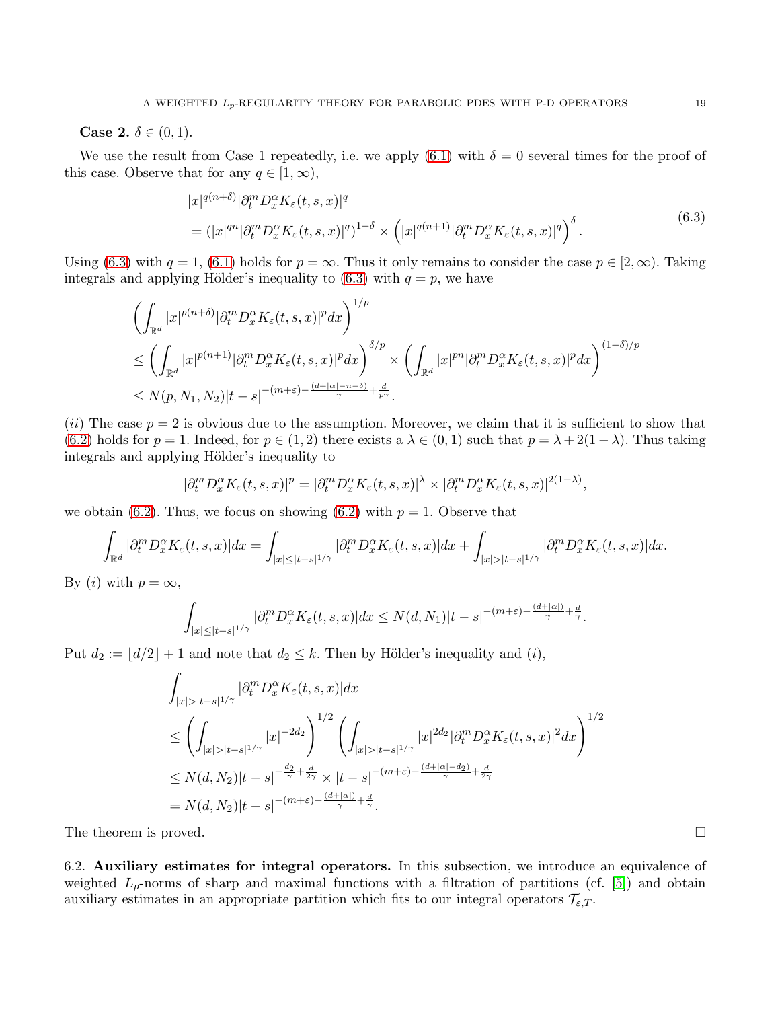**Case 2.**  $\delta \in (0, 1)$ .

We use the result from Case 1 repeatedly, i.e. we apply [\(6.1\)](#page-17-2) with  $\delta = 0$  several times for the proof of this case. Observe that for any  $q \in [1,\infty)$ ,

<span id="page-18-1"></span>
$$
|x|^{q(n+\delta)} |\partial_t^m D_x^{\alpha} K_{\varepsilon}(t,s,x)|^q
$$
  
= 
$$
(|x|^{qn} |\partial_t^m D_x^{\alpha} K_{\varepsilon}(t,s,x)|^q)^{1-\delta} \times (|x|^{q(n+1)} |\partial_t^m D_x^{\alpha} K_{\varepsilon}(t,s,x)|^q)^{\delta}.
$$
 (6.3)

Using [\(6.3\)](#page-18-1) with  $q = 1$ , [\(6.1\)](#page-17-2) holds for  $p = \infty$ . Thus it only remains to consider the case  $p \in [2, \infty)$ . Taking integrals and applying Hölder's inequality to  $(6.3)$  with  $q = p$ , we have

$$
\left(\int_{\mathbb{R}^d} |x|^{p(n+\delta)} |\partial_t^m D_x^{\alpha} K_{\varepsilon}(t,s,x)|^p dx\right)^{1/p} \n\leq \left(\int_{\mathbb{R}^d} |x|^{p(n+1)} |\partial_t^m D_x^{\alpha} K_{\varepsilon}(t,s,x)|^p dx\right)^{\delta/p} \times \left(\int_{\mathbb{R}^d} |x|^{pn} |\partial_t^m D_x^{\alpha} K_{\varepsilon}(t,s,x)|^p dx\right)^{(1-\delta)/p} \n\leq N(p,N_1,N_2)|t-s|^{-(m+\varepsilon)-\frac{(d+|\alpha|-n-\delta)}{\gamma}+\frac{d}{p\gamma}}.
$$

(ii) The case  $p = 2$  is obvious due to the assumption. Moreover, we claim that it is sufficient to show that [\(6.2\)](#page-17-3) holds for  $p = 1$ . Indeed, for  $p \in (1, 2)$  there exists a  $\lambda \in (0, 1)$  such that  $p = \lambda + 2(1 - \lambda)$ . Thus taking integrals and applying Hölder's inequality to

$$
|\partial_t^m D_x^{\alpha} K_{\varepsilon}(t,s,x)|^p = |\partial_t^m D_x^{\alpha} K_{\varepsilon}(t,s,x)|^{\lambda} \times |\partial_t^m D_x^{\alpha} K_{\varepsilon}(t,s,x)|^{2(1-\lambda)},
$$

we obtain [\(6.2\)](#page-17-3). Thus, we focus on showing (6.2) with  $p = 1$ . Observe that

$$
\int_{\mathbb{R}^d} |\partial_t^m D_x^{\alpha} K_{\varepsilon}(t,s,x)| dx = \int_{|x| \leq |t-s|^{1/\gamma}} |\partial_t^m D_x^{\alpha} K_{\varepsilon}(t,s,x)| dx + \int_{|x| > |t-s|^{1/\gamma}} |\partial_t^m D_x^{\alpha} K_{\varepsilon}(t,s,x)| dx.
$$

By (*i*) with  $p = \infty$ ,

$$
\int_{|x|\leq |t-s|^{1/\gamma}} |\partial_t^m D_x^{\alpha} K_{\varepsilon}(t,s,x)| dx \leq N(d,N_1)|t-s|^{-(m+\varepsilon)-\frac{(d+|\alpha|)}{\gamma}+\frac{d}{\gamma}}.
$$

Put  $d_2 := \lfloor d/2 \rfloor + 1$  and note that  $d_2 \leq k$ . Then by Hölder's inequality and  $(i)$ ,

$$
\int_{|x|>|t-s|^{1/\gamma}} |\partial_t^m D_x^{\alpha} K_{\varepsilon}(t,s,x)| dx
$$
\n
$$
\leq \left( \int_{|x|>|t-s|^{1/\gamma}} |x|^{-2d_2} \right)^{1/2} \left( \int_{|x|>|t-s|^{1/\gamma}} |x|^{2d_2} |\partial_t^m D_x^{\alpha} K_{\varepsilon}(t,s,x)|^2 dx \right)^{1/2}
$$
\n
$$
\leq N(d,N_2)|t-s|^{-\frac{d_2}{\gamma} + \frac{d}{2\gamma}} \times |t-s|^{-(m+\varepsilon) - \frac{(d+|\alpha|-d_2)}{\gamma} + \frac{d}{2\gamma}}
$$
\n
$$
= N(d,N_2)|t-s|^{-(m+\varepsilon) - \frac{(d+|\alpha|)}{\gamma} + \frac{d}{\gamma}}.
$$

The theorem is proved.

<span id="page-18-0"></span>6.2. Auxiliary estimates for integral operators. In this subsection, we introduce an equivalence of weighted  $L_p$ -norms of sharp and maximal functions with a filtration of partitions (cf. [\[5\]](#page-42-10)) and obtain auxiliary estimates in an appropriate partition which fits to our integral operators  $\mathcal{T}_{\varepsilon,T}$ .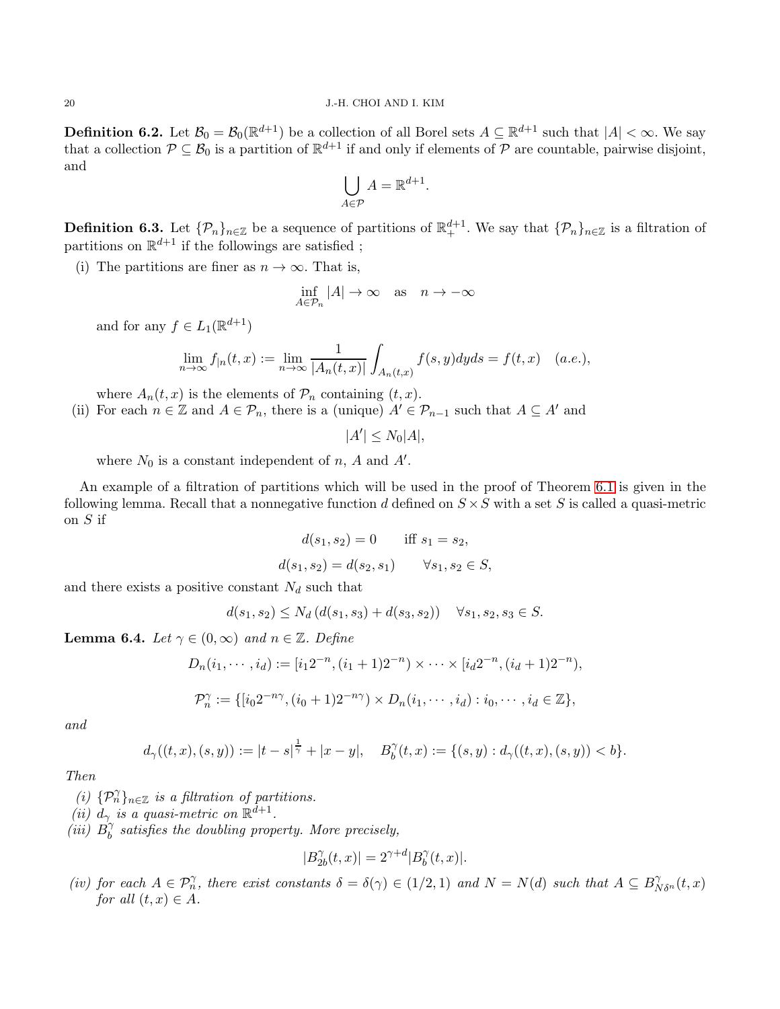**Definition 6.2.** Let  $\mathcal{B}_0 = \mathcal{B}_0(\mathbb{R}^{d+1})$  be a collection of all Borel sets  $A \subseteq \mathbb{R}^{d+1}$  such that  $|A| < \infty$ . We say that a collection  $P \subseteq B_0$  is a partition of  $\mathbb{R}^{d+1}$  if and only if elements of P are countable, pairwise disjoint, and

$$
\bigcup_{A \in \mathcal{P}} A = \mathbb{R}^{d+1}
$$

.

<span id="page-19-0"></span>**Definition 6.3.** Let  $\{\mathcal{P}_n\}_{n\in\mathbb{Z}}$  be a sequence of partitions of  $\mathbb{R}^{d+1}_+$ . We say that  $\{\mathcal{P}_n\}_{n\in\mathbb{Z}}$  is a filtration of partitions on  $\mathbb{R}^{d+1}$  if the followings are satisfied;

(i) The partitions are finer as  $n \to \infty$ . That is,

$$
\inf_{A \in \mathcal{P}_n} |A| \to \infty \quad \text{as} \quad n \to -\infty
$$

and for any  $f \in L_1(\mathbb{R}^{d+1})$ 

$$
\lim_{n \to \infty} f_{|n}(t, x) := \lim_{n \to \infty} \frac{1}{|A_n(t, x)|} \int_{A_n(t, x)} f(s, y) dy ds = f(t, x) \quad (a.e.),
$$

where  $A_n(t, x)$  is the elements of  $\mathcal{P}_n$  containing  $(t, x)$ .

(ii) For each  $n \in \mathbb{Z}$  and  $A \in \mathcal{P}_n$ , there is a (unique)  $A' \in \mathcal{P}_{n-1}$  such that  $A \subseteq A'$  and

 $|A'| \leq N_0|A|,$ 

where  $N_0$  is a constant independent of n, A and  $A'$ .

An example of a filtration of partitions which will be used in the proof of Theorem [6.1](#page-17-4) is given in the following lemma. Recall that a nonnegative function d defined on  $S \times S$  with a set S is called a quasi-metric on S if

$$
d(s_1, s_2) = 0 \quad \text{iff } s_1 = s_2,
$$
  

$$
d(s_1, s_2) = d(s_2, s_1) \quad \forall s_1, s_2 \in S,
$$

and there exists a positive constant  $N_d$  such that

$$
d(s_1, s_2) \le N_d (d(s_1, s_3) + d(s_3, s_2)) \quad \forall s_1, s_2, s_3 \in S.
$$

<span id="page-19-1"></span>**Lemma 6.4.** Let  $\gamma \in (0, \infty)$  and  $n \in \mathbb{Z}$ . Define

$$
D_n(i_1, \dots, i_d) := [i_1 2^{-n}, (i_1 + 1) 2^{-n}) \times \dots \times [i_d 2^{-n}, (i_d + 1) 2^{-n}),
$$
  

$$
\mathcal{P}_n^{\gamma} := \{ [i_0 2^{-n\gamma}, (i_0 + 1) 2^{-n\gamma}) \times D_n(i_1, \dots, i_d) : i_0, \dots, i_d \in \mathbb{Z} \},
$$

and

$$
d_{\gamma}((t,x),(s,y)) := |t-s|^{\frac{1}{\gamma}} + |x-y|, \quad B_{b}^{\gamma}(t,x) := \{(s,y) : d_{\gamma}((t,x),(s,y)) < b\}.
$$

Then

(i)  $\{\mathcal{P}_n^{\gamma}\}_{n\in\mathbb{Z}}$  is a filtration of partitions.

- (ii)  $d_{\gamma}$  is a quasi-metric on  $\mathbb{R}^{d+1}$ .
- $(iii)$   $B_h^{\gamma}$  $\delta_b^{\gamma}$  satisfies the doubling property. More precisely,

$$
|B_{2b}^{\gamma}(t,x)|=2^{\gamma+d}|B_b^{\gamma}(t,x)|.
$$

(iv) for each  $A \in \mathcal{P}_n^{\gamma}$ , there exist constants  $\delta = \delta(\gamma) \in (1/2, 1)$  and  $N = N(d)$  such that  $A \subseteq B_{N\delta^n}^{\gamma}(t, x)$ for all  $(t, x) \in A$ .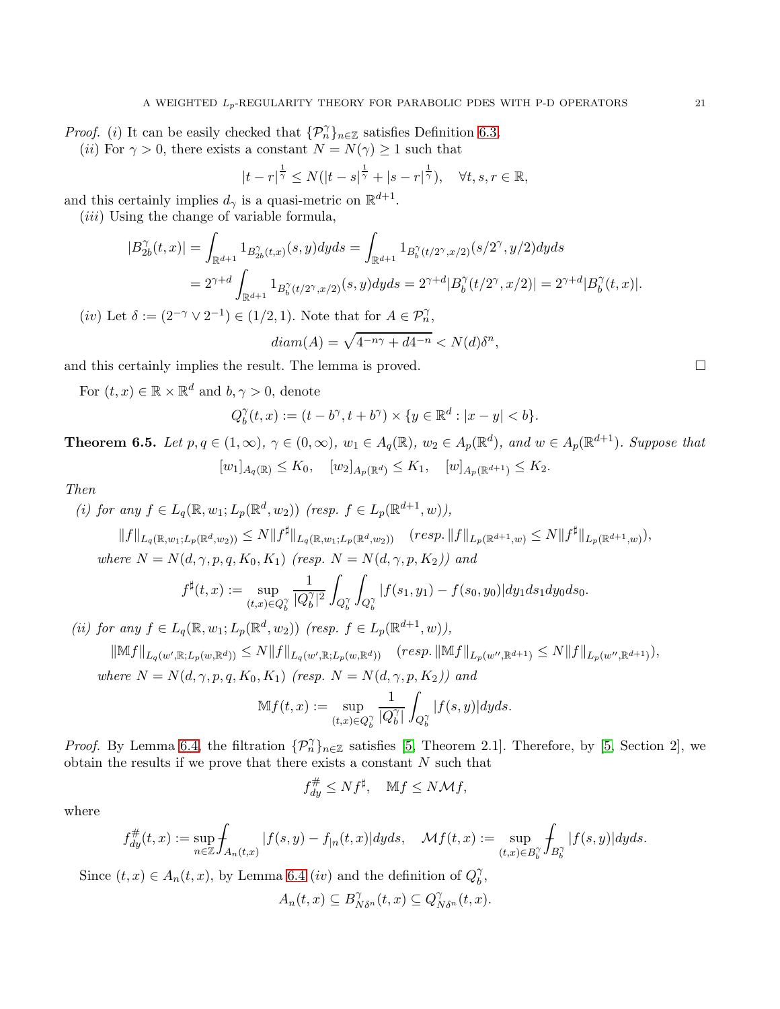*Proof.* (i) It can be easily checked that  $\{\mathcal{P}_n^{\gamma}\}_{n\in\mathbb{Z}}$  satisfies Definition [6.3.](#page-19-0)

(ii) For  $\gamma > 0$ , there exists a constant  $N = N(\gamma) \geq 1$  such that

$$
|t-r|^{\frac{1}{\gamma}} \le N(|t-s|^{\frac{1}{\gamma}} + |s-r|^{\frac{1}{\gamma}}), \quad \forall t, s, r \in \mathbb{R},
$$

and this certainly implies  $d_{\gamma}$  is a quasi-metric on  $\mathbb{R}^{d+1}$ .

 $(iii)$  Using the change of variable formula,

$$
|B_{2b}^{\gamma}(t,x)| = \int_{\mathbb{R}^{d+1}} 1_{B_{2b}^{\gamma}(t,x)}(s,y) dyds = \int_{\mathbb{R}^{d+1}} 1_{B_{b}^{\gamma}(t/2^{\gamma},x/2)}(s/2^{\gamma},y/2) dyds
$$
  
=  $2^{\gamma+d} \int_{\mathbb{R}^{d+1}} 1_{B_{b}^{\gamma}(t/2^{\gamma},x/2)}(s,y) dyds = 2^{\gamma+d} |B_{b}^{\gamma}(t/2^{\gamma},x/2)| = 2^{\gamma+d} |B_{b}^{\gamma}(t,x)|.$ 

(iv) Let  $\delta := (2^{-\gamma} \vee 2^{-1}) \in (1/2, 1)$ . Note that for  $A \in \mathcal{P}_n^{\gamma}$ ,

$$
diam(A) = \sqrt{4^{-n\gamma} + d4^{-n}} < N(d)\delta^n,
$$

and this certainly implies the result. The lemma is proved.

For  $(t, x) \in \mathbb{R} \times \mathbb{R}^d$  and  $b, \gamma > 0$ , denote

$$
Q_b^{\gamma}(t, x) := (t - b^{\gamma}, t + b^{\gamma}) \times \{y \in \mathbb{R}^d : |x - y| < b\}.
$$

<span id="page-20-0"></span>**Theorem 6.5.** Let  $p, q \in (1, \infty)$ ,  $\gamma \in (0, \infty)$ ,  $w_1 \in A_q(\mathbb{R})$ ,  $w_2 \in A_p(\mathbb{R}^d)$ , and  $w \in A_p(\mathbb{R}^{d+1})$ . Suppose that  $[w_1]_{A_q(\mathbb{R})} \leq K_0$ ,  $[w_2]_{A_p(\mathbb{R}^d)} \leq K_1$ ,  $[w]_{A_p(\mathbb{R}^{d+1})} \leq K_2$ .

Then

(i) for any 
$$
f \in L_q(\mathbb{R}, w_1; L_p(\mathbb{R}^d, w_2))
$$
 (resp.  $f \in L_p(\mathbb{R}^{d+1}, w)$ ),  
\n
$$
||f||_{L_q(\mathbb{R}, w_1; L_p(\mathbb{R}^d, w_2))} \le N ||f^{\sharp}||_{L_q(\mathbb{R}, w_1; L_p(\mathbb{R}^d, w_2))}
$$
 (resp.  $||f||_{L_p(\mathbb{R}^{d+1}, w)} \le N ||f^{\sharp}||_{L_p(\mathbb{R}^{d+1}, w)}$ ),  
\nwhere  $N = N(d, \gamma, p, q, K_0, K_1)$  (resp.  $N = N(d, \gamma, p, K_2)$ ) and  
\n
$$
f^{\sharp}(t, x) := \sup_{(t, x) \in Q_b^{\gamma}} \frac{1}{|Q_b^{\gamma}|^2} \int_{Q_b^{\gamma}} |f(s_1, y_1) - f(s_0, y_0)| dy_1 ds_1 dy_0 ds_0.
$$

(ii) for any  $f \in L_q(\mathbb{R}, w_1; L_p(\mathbb{R}^d, w_2))$  (resp.  $f \in L_p(\mathbb{R}^{d+1}, w)$ ),

$$
\|\mathbb{M}f\|_{L_q(w', \mathbb{R}; L_p(w, \mathbb{R}^d))} \le N \|f\|_{L_q(w', \mathbb{R}; L_p(w, \mathbb{R}^d))} \quad (resp. \|\mathbb{M}f\|_{L_p(w'', \mathbb{R}^{d+1})} \le N \|f\|_{L_p(w'', \mathbb{R}^{d+1})}),
$$
  
where  $N = N(d, \gamma, p, q, K_0, K_1)$  (resp.  $N = N(d, \gamma, p, K_2)$ ) and

$$
\mathbb{M}f(t,x) := \sup_{(t,x)\in Q_b^{\gamma}} \frac{1}{|Q_b^{\gamma}|} \int_{Q_b^{\gamma}} |f(s,y)| dy ds.
$$

*Proof.* By Lemma [6.4,](#page-19-1) the filtration  $\{\mathcal{P}_n^{\gamma}\}_{n\in\mathbb{Z}}$  satisfies [\[5,](#page-42-10) Theorem 2.1]. Therefore, by [5, Section 2], we obtain the results if we prove that there exists a constant  $N$  such that

$$
f_{dy}^{\#} \leq N f^{\sharp}, \quad \mathbb{M} f \leq N \mathcal{M} f,
$$

where

$$
f_{dy}^{\#}(t,x):=\sup_{n\in\mathbb{Z}}\int_{A_n(t,x)}|f(s,y)-f|_n(t,x)|dyds,\quad \mathcal{M}f(t,x):=\sup_{(t,x)\in B_b^{\gamma}}\int_{B_b^{\gamma}}|f(s,y)|dyds.
$$

Since  $(t, x) \in A_n(t, x)$ , by Lemma [6.4](#page-19-1)  $(iv)$  and the definition of  $Q_b^{\gamma}$  $_{b}^{\gamma },$ 

$$
A_n(t,x) \subseteq B_{N\delta^n}^{\gamma}(t,x) \subseteq Q_{N\delta^n}^{\gamma}(t,x).
$$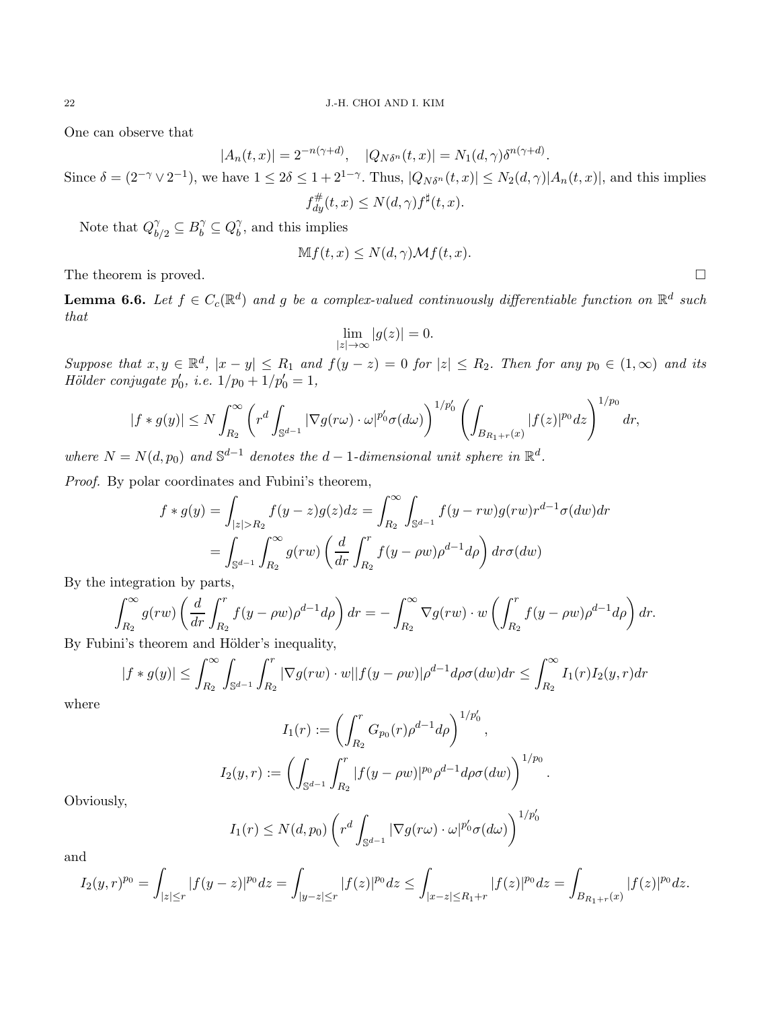One can observe that

$$
|A_n(t,x)| = 2^{-n(\gamma+d)}, \quad |Q_{N\delta^n}(t,x)| = N_1(d,\gamma)\delta^{n(\gamma+d)}.
$$

Since  $\delta = (2^{-\gamma} \vee 2^{-1})$ , we have  $1 \leq 2\delta \leq 1 + 2^{1-\gamma}$ . Thus,  $|Q_{N\delta^n}(t,x)| \leq N_2(d,\gamma)|A_n(t,x)|$ , and this implies  $f_{dy}^{\#}(t,x) \leq N(d,\gamma) f^{\sharp}(t,x).$ 

Note that  $Q_{b/2}^{\gamma} \subseteq B_b^{\gamma} \subseteq Q_b^{\gamma}$  $\delta$ , and this implies

$$
Mf(t, x) \le N(d, \gamma) \mathcal{M}f(t, x).
$$

The theorem is proved.

<span id="page-21-0"></span>**Lemma 6.6.** Let  $f \in C_c(\mathbb{R}^d)$  and g be a complex-valued continuously differentiable function on  $\mathbb{R}^d$  such that

$$
\lim_{|z|\to\infty} |g(z)| = 0.
$$

Suppose that  $x, y \in \mathbb{R}^d$ ,  $|x - y| \le R_1$  and  $f(y - z) = 0$  for  $|z| \le R_2$ . Then for any  $p_0 \in (1, \infty)$  and its  $Hölder conjugate p'_0, i.e. 1/p_0 + 1/p'_0 = 1,$ 

$$
|f\ast g(y)|\leq N\int_{R_2}^{\infty}\left(r^d\int_{\mathbb{S}^{d-1}}|\nabla g(r\omega)\cdot\omega|^{p_0'}\sigma(d\omega)\right)^{1/p_0'}\left(\int_{B_{R_1+r}(x)}|f(z)|^{p_0}dz\right)^{1/p_0}dr,
$$

where  $N = N(d, p_0)$  and  $\mathbb{S}^{d-1}$  denotes the  $d-1$ -dimensional unit sphere in  $\mathbb{R}^d$ .

Proof. By polar coordinates and Fubini's theorem,

$$
f * g(y) = \int_{|z| > R_2} f(y - z)g(z)dz = \int_{R_2}^{\infty} \int_{\mathbb{S}^{d-1}} f(y - rw)g(rw)r^{d-1}\sigma(dw)dr
$$
  
= 
$$
\int_{\mathbb{S}^{d-1}} \int_{R_2}^{\infty} g(rw) \left(\frac{d}{dr} \int_{R_2}^{r} f(y - \rho w)\rho^{d-1} d\rho\right) dr \sigma(dw)
$$

By the integration by parts,

$$
\int_{R_2}^{\infty} g(rw) \left( \frac{d}{dr} \int_{R_2}^r f(y - \rho w) \rho^{d-1} d\rho \right) dr = - \int_{R_2}^{\infty} \nabla g(rw) \cdot w \left( \int_{R_2}^r f(y - \rho w) \rho^{d-1} d\rho \right) dr.
$$

By Fubini's theorem and Hölder's inequality,

$$
|f * g(y)| \le \int_{R_2}^{\infty} \int_{\mathbb{S}^{d-1}} \int_{R_2}^r |\nabla g(rw) \cdot w||f(y - \rho w)| \rho^{d-1} d\rho \sigma(dw) dr \le \int_{R_2}^{\infty} I_1(r) I_2(y, r) dr
$$

where

$$
I_1(r) := \left(\int_{R_2}^r G_{p_0}(r)\rho^{d-1}d\rho\right)^{1/p'_0},
$$
  

$$
I_2(y,r) := \left(\int_{\mathbb{S}^{d-1}}\int_{R_2}^r |f(y-\rho w)|^{p_0}\rho^{d-1}d\rho\sigma(dw)\right)^{1/p_0}.
$$

Obviously,

$$
I_1(r) \le N(d, p_0) \left( r^d \int_{\mathbb{S}^{d-1}} |\nabla g(r\omega) \cdot \omega|^{p'_0} \sigma(d\omega) \right)^{1/p'_0}
$$

and

$$
I_2(y,r)^{p_0} = \int_{|z| \le r} |f(y-z)|^{p_0} dz = \int_{|y-z| \le r} |f(z)|^{p_0} dz \le \int_{|x-z| \le R_1+r} |f(z)|^{p_0} dz = \int_{B_{R_1+r}(x)} |f(z)|^{p_0} dz.
$$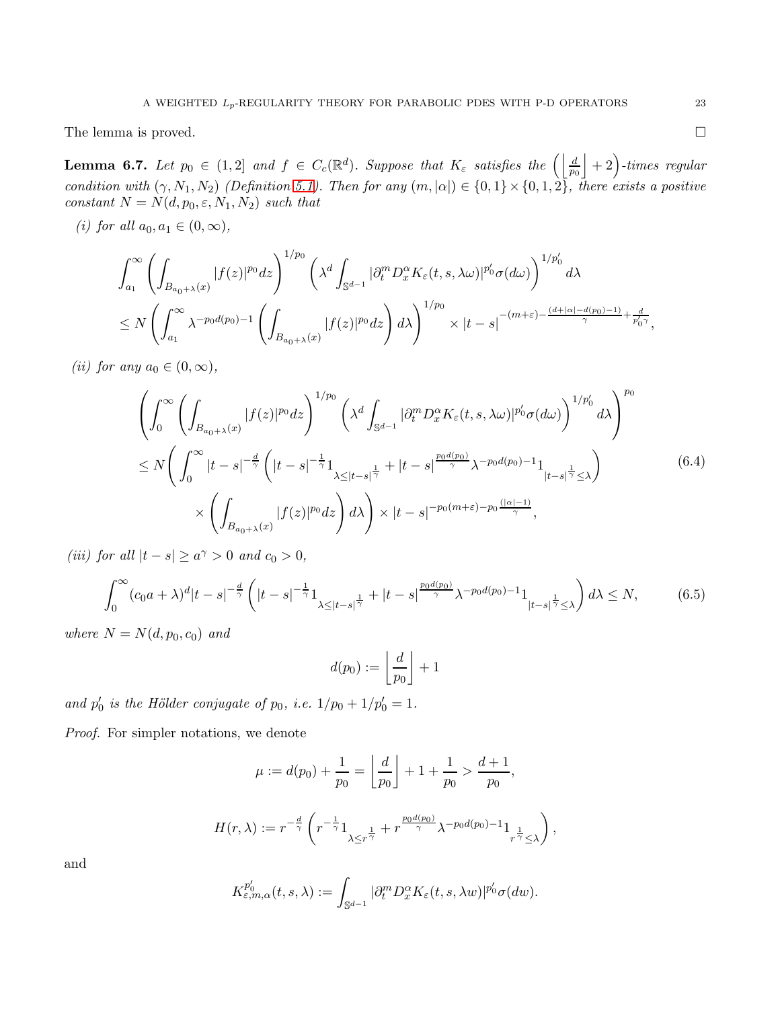The lemma is proved.

<span id="page-22-2"></span>**Lemma 6.7.** Let  $p_0 \in (1,2]$  and  $f \in C_c(\mathbb{R}^d)$ . Suppose that  $K_{\varepsilon}$  satisfies the  $\left(\left|\frac{d}{p_0}\right|+2\right)$ -times regular condition with  $(\gamma, N_1, N_2)$  (Definition [5.1\)](#page-16-1). Then for any  $(m, |\alpha|) \in \{0, 1\} \times \{0, 1, 2\}$ , there exists a positive constant  $N = N(d, p_0, \varepsilon, N_1, N_2)$  such that

(i) for all  $a_0, a_1 \in (0, \infty)$ ,

$$
\int_{a_1}^{\infty} \left( \int_{B_{a_0+\lambda}(x)} |f(z)|^{p_0} dz \right)^{1/p_0} \left( \lambda^d \int_{\mathbb{S}^{d-1}} |\partial_t^m D_x^{\alpha} K_{\varepsilon}(t, s, \lambda \omega)|^{p_0'} \sigma(d\omega) \right)^{1/p_0'} d\lambda
$$
  

$$
\leq N \left( \int_{a_1}^{\infty} \lambda^{-p_0 d(p_0)-1} \left( \int_{B_{a_0+\lambda}(x)} |f(z)|^{p_0} dz \right) d\lambda \right)^{1/p_0} \times |t-s|^{-(m+\varepsilon)-\frac{(d+|\alpha|-d(p_0)-1)}{\gamma}+\frac{d}{p_0'\gamma}},
$$

(ii) for any  $a_0 \in (0, \infty)$ ,

<span id="page-22-0"></span>
$$
\left(\int_{0}^{\infty} \left(\int_{B_{a_{0}+\lambda}(x)} |f(z)|^{p_{0}} dz\right)^{1/p_{0}} \left(\lambda^{d} \int_{\mathbb{S}^{d-1}} |\partial_{t}^{m} D_{x}^{\alpha} K_{\varepsilon}(t, s, \lambda \omega)|^{p'_{0}} \sigma(d\omega)\right)^{1/p'_{0}} d\lambda\right)^{p_{0}} d\lambda
$$
\n
$$
\leq N \left(\int_{0}^{\infty} |t-s|^{-\frac{d}{\gamma}} \left(|t-s|^{-\frac{1}{\gamma}} 1_{\lambda \leq |t-s|^{\frac{1}{\gamma}}} + |t-s|^{\frac{p_{0}d(p_{0})}{\gamma}} \lambda^{-p_{0}d(p_{0})-1} 1_{|t-s|^{\frac{1}{\gamma}} \leq \lambda}\right) \times \left(\int_{B_{a_{0}+\lambda}(x)} |f(z)|^{p_{0}} dz\right) d\lambda\right) \times |t-s|^{-p_{0}(m+\varepsilon)-p_{0}\frac{(|\alpha|-1)}{\gamma}}, \tag{6.4}
$$

(iii) for all  $|t - s| \ge a^{\gamma} > 0$  and  $c_0 > 0$ ,

<span id="page-22-1"></span>
$$
\int_0^\infty (c_0 a + \lambda)^d |t - s|^{-\frac{d}{\gamma}} \left( |t - s|^{-\frac{1}{\gamma}} 1_{\lambda \le |t - s|^{\frac{1}{\gamma}}} + |t - s|^{\frac{p_0 d(p_0)}{\gamma}} \lambda^{-p_0 d(p_0) - 1} 1_{|t - s|^{\frac{1}{\gamma}} \le \lambda} \right) d\lambda \le N,
$$
(6.5)

where  $N = N(d, p_0, c_0)$  and

$$
d(p_0):=\left\lfloor \frac{d}{p_0}\right\rfloor+1
$$

and  $p'_0$  is the Hölder conjugate of  $p_0$ , i.e.  $1/p_0 + 1/p'_0 = 1$ .

Proof. For simpler notations, we denote

$$
\mu := d(p_0) + \frac{1}{p_0} = \left\lfloor \frac{d}{p_0} \right\rfloor + 1 + \frac{1}{p_0} > \frac{d+1}{p_0},
$$
  

$$
H(r, \lambda) := r^{-\frac{d}{\gamma}} \left( r^{-\frac{1}{\gamma}} 1_{\lambda \le r^{\frac{1}{\gamma}}} + r^{\frac{p_0 d(p_0)}{\gamma}} \lambda^{-p_0 d(p_0) - 1} 1_{\frac{1}{r^{\frac{1}{\gamma}}} \le \lambda} \right)
$$

,

and

$$
K_{\varepsilon,m,\alpha}^{p_0'}(t,s,\lambda) := \int_{\mathbb{S}^{d-1}} |\partial_t^m D_x^{\alpha} K_{\varepsilon}(t,s,\lambda w)|^{p_0'} \sigma(dw).
$$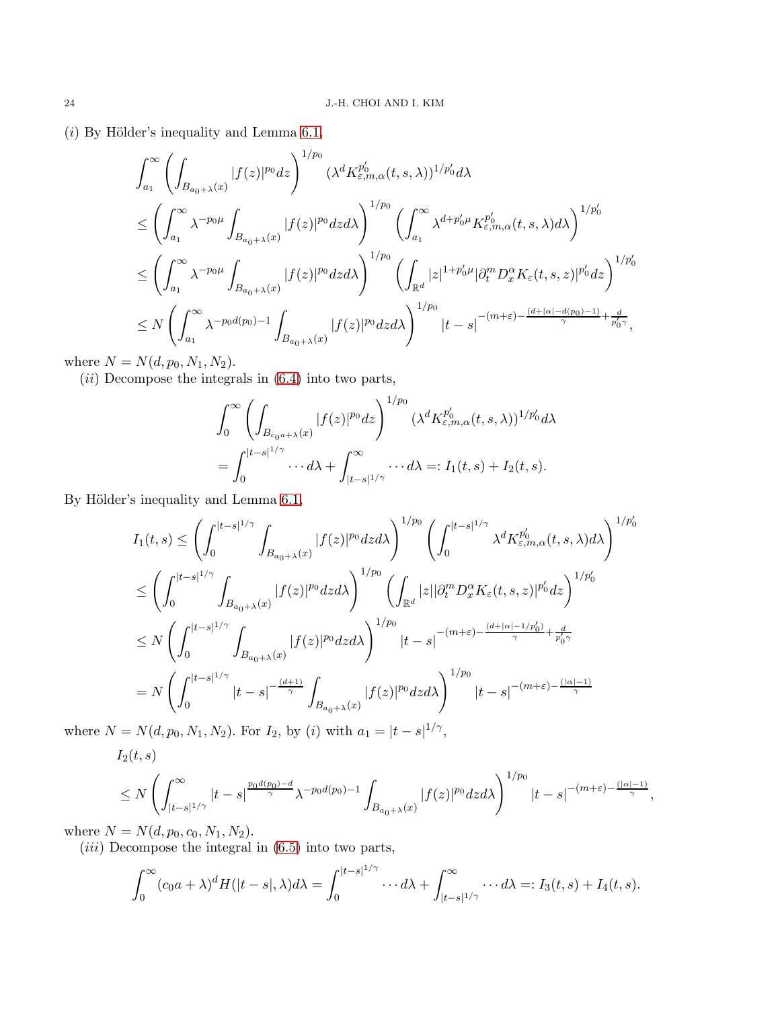$(i)$  By Hölder's inequality and Lemma [6.1,](#page-17-4)

$$
\int_{a_1}^{\infty} \left( \int_{B_{a_0+\lambda}(x)} |f(z)|^{p_0} dz \right)^{1/p_0} (\lambda^d K_{\varepsilon,m,\alpha}^{p'_0}(t,s,\lambda))^{1/p'_0} d\lambda
$$
\n
$$
\leq \left( \int_{a_1}^{\infty} \lambda^{-p_0\mu} \int_{B_{a_0+\lambda}(x)} |f(z)|^{p_0} dz d\lambda \right)^{1/p_0} \left( \int_{a_1}^{\infty} \lambda^{d+p'_0\mu} K_{\varepsilon,m,\alpha}^{p'_0}(t,s,\lambda) d\lambda \right)^{1/p'_0}
$$
\n
$$
\leq \left( \int_{a_1}^{\infty} \lambda^{-p_0\mu} \int_{B_{a_0+\lambda}(x)} |f(z)|^{p_0} dz d\lambda \right)^{1/p_0} \left( \int_{\mathbb{R}^d} |z|^{1+p'_0\mu} |\partial_t^m D_x^{\alpha} K_{\varepsilon}(t,s,z)|^{p'_0} dz \right)^{1/p'_0}
$$
\n
$$
\leq N \left( \int_{a_1}^{\infty} \lambda^{-p_0 d(p_0)-1} \int_{B_{a_0+\lambda}(x)} |f(z)|^{p_0} dz d\lambda \right)^{1/p_0} |t-s|^{-(m+\varepsilon)-\frac{(d+|\alpha|-d(p_0)-1)}{\gamma}+\frac{d}{p'_0\gamma}},
$$

where  $N = N(d, p_0, N_1, N_2)$ .

 $(ii)$  Decompose the integrals in  $(6.4)$  into two parts,

$$
\int_0^\infty \left( \int_{B_{c_0 a + \lambda}(x)} |f(z)|^{p_0} dz \right)^{1/p_0} (\lambda^d K_{\varepsilon, m, \alpha}^{p'_0}(t, s, \lambda))^{1/p'_0} d\lambda
$$
  
= 
$$
\int_0^{|t-s|^{1/\gamma}} \cdots d\lambda + \int_{|t-s|^{1/\gamma}}^\infty \cdots d\lambda =: I_1(t, s) + I_2(t, s).
$$

By Hölder's inequality and Lemma [6.1,](#page-17-4)

$$
I_{1}(t,s) \leq \left(\int_{0}^{|t-s|^{1/\gamma}} \int_{B_{a_{0}+\lambda}(x)} |f(z)|^{p_{0}} dz d\lambda\right)^{1/p_{0}} \left(\int_{0}^{|t-s|^{1/\gamma}} \lambda^{d} K_{\varepsilon,m,\alpha}^{p'_{0}}(t,s,\lambda) d\lambda\right)^{1/p'_{0}}
$$
  

$$
\leq \left(\int_{0}^{|t-s|^{1/\gamma}} \int_{B_{a_{0}+\lambda}(x)} |f(z)|^{p_{0}} dz d\lambda\right)^{1/p_{0}} \left(\int_{\mathbb{R}^{d}} |z| |\partial_{t}^{m} D_{x}^{\alpha} K_{\varepsilon}(t,s,z)|^{p'_{0}} dz\right)^{1/p'_{0}}
$$
  

$$
\leq N \left(\int_{0}^{|t-s|^{1/\gamma}} \int_{B_{a_{0}+\lambda}(x)} |f(z)|^{p_{0}} dz d\lambda\right)^{1/p_{0}} |t-s|^{-(m+\varepsilon)-\frac{(d+|\alpha|-1/p'_{0})}{\gamma}+\frac{d}{p'_{0}\gamma}}
$$
  

$$
= N \left(\int_{0}^{|t-s|^{1/\gamma}} |t-s|^{-\frac{(d+1)}{\gamma}} \int_{B_{a_{0}+\lambda}(x)} |f(z)|^{p_{0}} dz d\lambda\right)^{1/p_{0}} |t-s|^{-(m+\varepsilon)-\frac{(|\alpha|-1)}{\gamma}}
$$

where  $N = N(d, p_0, N_1, N_2)$ . For  $I_2$ , by (i) with  $a_1 = |t - s|^{1/\gamma}$ ,

 $I_2(t, s)$ 

$$
\leq N \left( \int_{|t-s|^{1/\gamma}}^{\infty} |t-s|^{\frac{p_0d(p_0)-d}{\gamma}} \lambda^{-p_0d(p_0)-1} \int_{B_{a_0+\lambda}(x)} |f(z)|^{p_0} dz d\lambda \right)^{1/p_0} |t-s|^{-(m+\varepsilon)-\frac{(|\alpha|-1)}{\gamma}},
$$

where  $N = N(d, p_0, c_0, N_1, N_2)$ .

 $(iii)$  Decompose the integral in  $(6.5)$  into two parts,

$$
\int_0^\infty (c_0a+\lambda)^d H(|t-s|,\lambda)d\lambda = \int_0^{|t-s|^{1/\gamma}} \cdots d\lambda + \int_{|t-s|^{1/\gamma}}^\infty \cdots d\lambda =: I_3(t,s) + I_4(t,s).
$$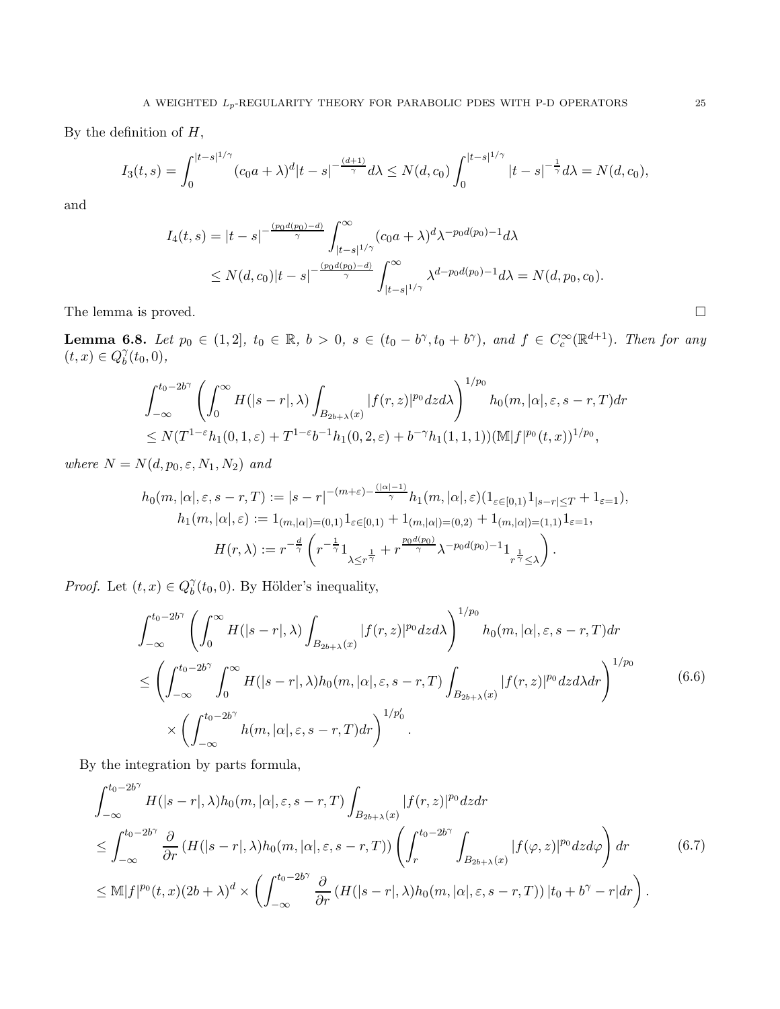By the definition of  $H$ ,

$$
I_3(t,s) = \int_0^{|t-s|^{1/\gamma}} (c_0 a + \lambda)^d |t-s|^{-\frac{(d+1)}{\gamma}} d\lambda \le N(d,c_0) \int_0^{|t-s|^{1/\gamma}} |t-s|^{-\frac{1}{\gamma}} d\lambda = N(d,c_0),
$$

and

$$
I_4(t,s) = |t-s|^{-\frac{(p_0d(p_0)-d)}{\gamma}} \int_{|t-s|^{1/\gamma}}^{\infty} (c_0a+\lambda)^d \lambda^{-p_0d(p_0)-1} d\lambda
$$
  
 
$$
\leq N(d,c_0)|t-s|^{-\frac{(p_0d(p_0)-d)}{\gamma}} \int_{|t-s|^{1/\gamma}}^{\infty} \lambda^{d-p_0d(p_0)-1} d\lambda = N(d,p_0,c_0).
$$

The lemma is proved.

<span id="page-24-2"></span>**Lemma 6.8.** Let  $p_0 \in (1,2], t_0 \in \mathbb{R}, b > 0, s \in (t_0 - b^\gamma, t_0 + b^\gamma), and f \in C_c^{\infty}(\mathbb{R}^{d+1})$ . Then for any  $(t, x) \in Q_b^{\gamma}$  $\delta^{\gamma}_{b}(t_0,0),$ 

$$
\int_{-\infty}^{t_0-2b^{\gamma}} \left( \int_0^{\infty} H(|s-r|, \lambda) \int_{B_{2b+\lambda}(x)} |f(r, z)|^{p_0} dz d\lambda \right)^{1/p_0} h_0(m, |\alpha|, \varepsilon, s-r, T) dr
$$
  
\n
$$
\leq N(T^{1-\varepsilon}h_1(0, 1, \varepsilon) + T^{1-\varepsilon}b^{-1}h_1(0, 2, \varepsilon) + b^{-\gamma}h_1(1, 1, 1)) (\mathbb{M}|f|^{p_0}(t, x))^{1/p_0},
$$

where  $N = N(d, p_0, \varepsilon, N_1, N_2)$  and

$$
h_0(m, |\alpha|, \varepsilon, s-r, T) := |s-r|^{-(m+\varepsilon)-\frac{(|\alpha|-1)}{\gamma}} h_1(m, |\alpha|, \varepsilon) (1_{\varepsilon \in [0,1)} 1_{|s-r| \le T} + 1_{\varepsilon=1}),
$$
  
\n
$$
h_1(m, |\alpha|, \varepsilon) := 1_{(m, |\alpha|) = (0,1)} 1_{\varepsilon \in [0,1)} + 1_{(m, |\alpha|) = (0,2)} + 1_{(m, |\alpha|) = (1,1)} 1_{\varepsilon=1},
$$
  
\n
$$
H(r, \lambda) := r^{-\frac{d}{\gamma}} \left( r^{-\frac{1}{\gamma}} 1_{\lambda \le r^{\frac{1}{\gamma}}} + r^{\frac{p_0 d(p_0)}{\gamma}} \lambda^{-p_0 d(p_0) - 1} 1_{r^{\frac{1}{\gamma}} \le \lambda} \right).
$$

*Proof.* Let  $(t, x) \in Q_b^{\gamma}$  $b<sub>b</sub><sup>gamma</sup>(t<sub>0</sub>, 0)$ . By Hölder's inequality,

<span id="page-24-1"></span>
$$
\int_{-\infty}^{t_0-2b^{\gamma}} \left( \int_0^{\infty} H(|s-r|, \lambda) \int_{B_{2b+\lambda}(x)} |f(r, z)|^{p_0} dz d\lambda \right)^{1/p_0} h_0(m, |\alpha|, \varepsilon, s-r, T) dr
$$
  
\n
$$
\leq \left( \int_{-\infty}^{t_0-2b^{\gamma}} \int_0^{\infty} H(|s-r|, \lambda) h_0(m, |\alpha|, \varepsilon, s-r, T) \int_{B_{2b+\lambda}(x)} |f(r, z)|^{p_0} dz d\lambda dr \right)^{1/p_0}
$$
  
\n
$$
\times \left( \int_{-\infty}^{t_0-2b^{\gamma}} h(m, |\alpha|, \varepsilon, s-r, T) dr \right)^{1/p'_0}.
$$
 (6.6)

By the integration by parts formula,

<span id="page-24-0"></span>
$$
\int_{-\infty}^{t_0-2b^{\gamma}} H(|s-r|, \lambda) h_0(m, |\alpha|, \varepsilon, s-r, T) \int_{B_{2b+\lambda}(x)} |f(r, z)|^{p_0} dz dr
$$
\n
$$
\leq \int_{-\infty}^{t_0-2b^{\gamma}} \frac{\partial}{\partial r} \left( H(|s-r|, \lambda) h_0(m, |\alpha|, \varepsilon, s-r, T) \right) \left( \int_r^{t_0-2b^{\gamma}} \int_{B_{2b+\lambda}(x)} |f(\varphi, z)|^{p_0} dz d\varphi \right) dr \qquad (6.7)
$$
\n
$$
\leq \mathbb{M} |f|^{p_0}(t, x) (2b+\lambda)^d \times \left( \int_{-\infty}^{t_0-2b^{\gamma}} \frac{\partial}{\partial r} \left( H(|s-r|, \lambda) h_0(m, |\alpha|, \varepsilon, s-r, T) \right) |t_0 + b^{\gamma} - r| dr \right).
$$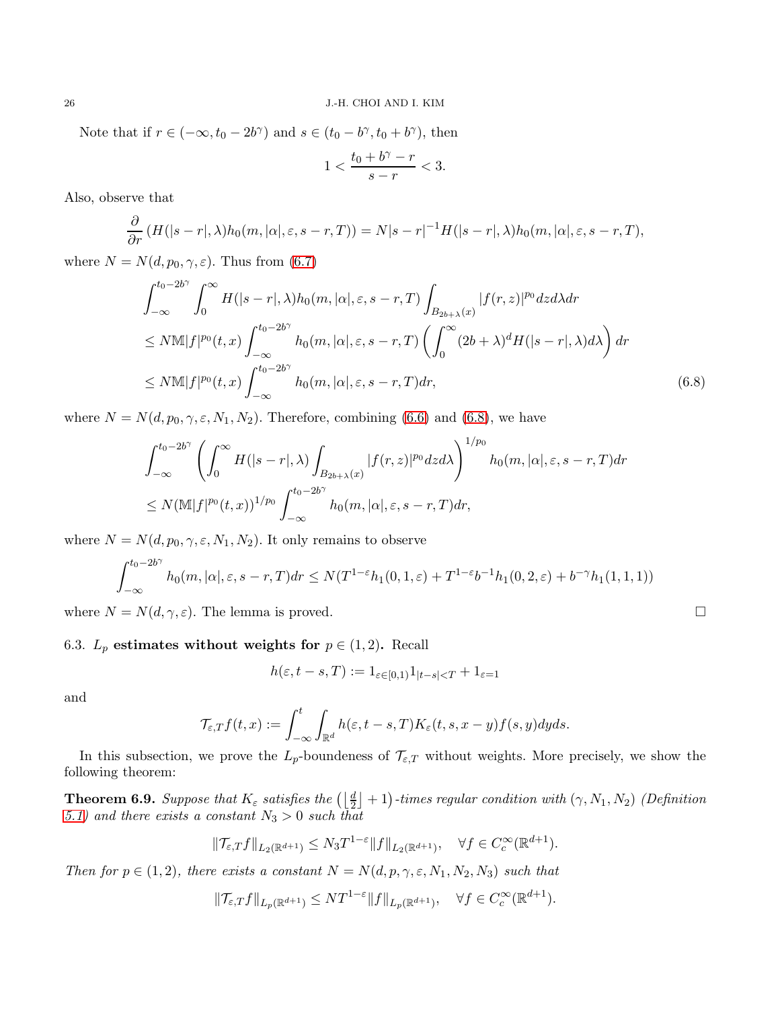Note that if  $r \in (-\infty, t_0 - 2b^{\gamma})$  and  $s \in (t_0 - b^{\gamma}, t_0 + b^{\gamma})$ , then

$$
1 < \frac{t_0 + b^\gamma - r}{s - r} < 3.
$$

Also, observe that

$$
\frac{\partial}{\partial r}\left(H(|s-r|,\lambda)h_0(m,|\alpha|,\varepsilon,s-r,T)\right)=N|s-r|^{-1}H(|s-r|,\lambda)h_0(m,|\alpha|,\varepsilon,s-r,T),
$$

where  $N = N(d, p_0, \gamma, \varepsilon)$ . Thus from [\(6.7\)](#page-24-0)

$$
\int_{-\infty}^{t_0-2b^{\gamma}} \int_0^{\infty} H(|s-r|, \lambda) h_0(m, |\alpha|, \varepsilon, s-r, T) \int_{B_{2b+\lambda}(x)} |f(r, z)|^{p_0} dz d\lambda dr
$$
  
\n
$$
\leq N \mathbb{M} |f|^{p_0}(t, x) \int_{-\infty}^{t_0-2b^{\gamma}} h_0(m, |\alpha|, \varepsilon, s-r, T) \left( \int_0^{\infty} (2b+\lambda)^d H(|s-r|, \lambda) d\lambda \right) dr
$$
  
\n
$$
\leq N \mathbb{M} |f|^{p_0}(t, x) \int_{-\infty}^{t_0-2b^{\gamma}} h_0(m, |\alpha|, \varepsilon, s-r, T) dr,
$$
\n(6.8)

where  $N = N(d, p_0, \gamma, \varepsilon, N_1, N_2)$ . Therefore, combining [\(6.6\)](#page-24-1) and [\(6.8\)](#page-25-1), we have

$$
\int_{-\infty}^{t_0-2b^{\gamma}} \left( \int_0^{\infty} H(|s-r|, \lambda) \int_{B_{2b+\lambda}(x)} |f(r, z)|^{p_0} dz d\lambda \right)^{1/p_0} h_0(m, |\alpha|, \varepsilon, s-r, T) dr
$$
  

$$
\leq N (\mathbb{M} |f|^{p_0}(t, x))^{1/p_0} \int_{-\infty}^{t_0-2b^{\gamma}} h_0(m, |\alpha|, \varepsilon, s-r, T) dr,
$$

where  $N = N(d, p_0, \gamma, \varepsilon, N_1, N_2)$ . It only remains to observe

$$
\int_{-\infty}^{t_0-2b\gamma} h_0(m, |\alpha|, \varepsilon, s-r, T) dr \le N(T^{1-\varepsilon} h_1(0, 1, \varepsilon) + T^{1-\varepsilon} b^{-1} h_1(0, 2, \varepsilon) + b^{-\gamma} h_1(1, 1, 1))
$$

where  $N = N(d, \gamma, \varepsilon)$ . The lemma is proved.

# 6.3.  $L_p$  estimates without weights for  $p \in (1,2)$ . Recall

$$
h(\varepsilon, t - s, T) := 1_{\varepsilon \in [0, 1)} 1_{|t - s| < T} + 1_{\varepsilon = 1}
$$

and

$$
\mathcal{T}_{\varepsilon,T}f(t,x):=\int_{-\infty}^t\int_{\mathbb{R}^d}h(\varepsilon,t-s,T)K_{\varepsilon}(t,s,x-y)f(s,y)dyds.
$$

In this subsection, we prove the  $L_p$ -boundeness of  $\mathcal{T}_{\varepsilon,T}$  without weights. More precisely, we show the following theorem:

<span id="page-25-0"></span>**Theorem 6.9.** Suppose that  $K_{\varepsilon}$  satisfies the  $\left(\frac{d}{2}\right]+1$ )-times regular condition with  $(\gamma, N_1, N_2)$  (Definition [5.1\)](#page-16-1) and there exists a constant  $N_3 > 0$  such that

$$
\|\mathcal{T}_{\varepsilon,T}f\|_{L_2(\mathbb{R}^{d+1})} \leq N_3 T^{1-\varepsilon} \|f\|_{L_2(\mathbb{R}^{d+1})}, \quad \forall f \in C_c^{\infty}(\mathbb{R}^{d+1}).
$$

Then for  $p \in (1, 2)$ , there exists a constant  $N = N(d, p, \gamma, \varepsilon, N_1, N_2, N_3)$  such that

$$
\|\mathcal{T}_{\varepsilon,T}f\|_{L_p(\mathbb{R}^{d+1})} \leq NT^{1-\varepsilon} \|f\|_{L_p(\mathbb{R}^{d+1})}, \quad \forall f \in C_c^{\infty}(\mathbb{R}^{d+1}).
$$

<span id="page-25-1"></span>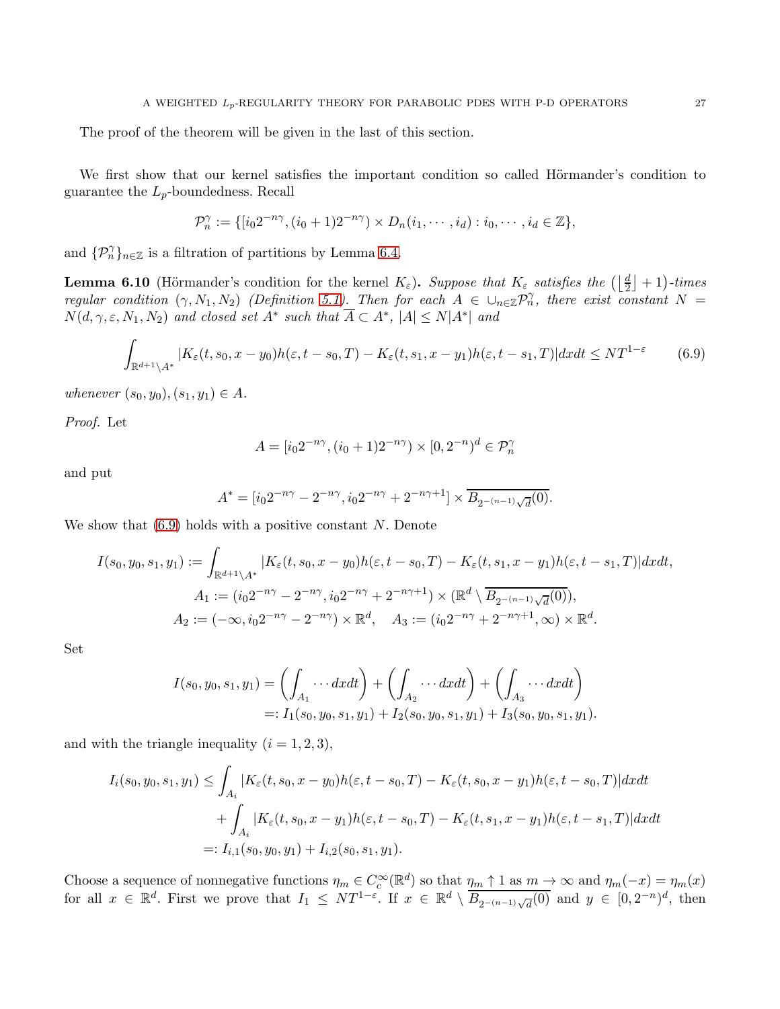The proof of the theorem will be given in the last of this section.

We first show that our kernel satisfies the important condition so called Hörmander's condition to guarantee the  $L_p$ -boundedness. Recall

$$
\mathcal{P}_n^{\gamma} := \{ [i_0 2^{-n\gamma}, (i_0 + 1) 2^{-n\gamma}) \times D_n(i_1, \cdots, i_d) : i_0, \cdots, i_d \in \mathbb{Z} \},\
$$

and  $\{\mathcal{P}_n^{\gamma}\}_{n\in\mathbb{Z}}$  is a filtration of partitions by Lemma [6.4.](#page-19-1)

<span id="page-26-1"></span>**Lemma 6.10** (Hörmander's condition for the kernel  $K_{\varepsilon}$ ). Suppose that  $K_{\varepsilon}$  satisfies the  $(\lfloor \frac{d}{2} \rfloor + 1)$ -times regular condition  $(\gamma, N_1, N_2)$  (Definition [5.1\)](#page-16-1). Then for each  $A \in \bigcup_{n \in \mathbb{Z}} \mathcal{P}_n^{\gamma}$ , there exist constant  $N =$  $N(d,\gamma,\varepsilon,N_1,N_2)$  and closed set  $A^*$  such that  $A \subset A^*$ ,  $|A| \le N|A^*|$  and

$$
\int_{\mathbb{R}^{d+1}\setminus A^*} |K_{\varepsilon}(t, s_0, x - y_0)h(\varepsilon, t - s_0, T) - K_{\varepsilon}(t, s_1, x - y_1)h(\varepsilon, t - s_1, T)| dx dt \le NT^{1-\varepsilon}
$$
(6.9)

whenever  $(s_0, y_0), (s_1, y_1) \in A$ .

Proof. Let

<span id="page-26-0"></span>
$$
A = [i_0 2^{-n\gamma}, (i_0 + 1) 2^{-n\gamma}) \times [0, 2^{-n})^d \in \mathcal{P}_n^{\gamma}
$$

and put

$$
A^* = [i_0 2^{-n\gamma} - 2^{-n\gamma}, i_0 2^{-n\gamma} + 2^{-n\gamma+1}] \times \overline{B_{2^{-(n-1)}\sqrt{d}}(0)}.
$$

We show that  $(6.9)$  holds with a positive constant N. Denote

$$
I(s_0, y_0, s_1, y_1) := \int_{\mathbb{R}^{d+1}\setminus A^*} |K_{\varepsilon}(t, s_0, x - y_0)h(\varepsilon, t - s_0, T) - K_{\varepsilon}(t, s_1, x - y_1)h(\varepsilon, t - s_1, T)| dx dt,
$$
  
\n
$$
A_1 := (i_0 2^{-n\gamma} - 2^{-n\gamma}, i_0 2^{-n\gamma} + 2^{-n\gamma+1}) \times (\mathbb{R}^d \setminus \overline{B_{2^{-(n-1)}\sqrt{d}}(0)}),
$$
  
\n
$$
A_2 := (-\infty, i_0 2^{-n\gamma} - 2^{-n\gamma}) \times \mathbb{R}^d, \quad A_3 := (i_0 2^{-n\gamma} + 2^{-n\gamma+1}, \infty) \times \mathbb{R}^d.
$$

Set

$$
I(s_0, y_0, s_1, y_1) = \left(\int_{A_1} \cdots dxdt\right) + \left(\int_{A_2} \cdots dxdt\right) + \left(\int_{A_3} \cdots dxdt\right)
$$
  
=:  $I_1(s_0, y_0, s_1, y_1) + I_2(s_0, y_0, s_1, y_1) + I_3(s_0, y_0, s_1, y_1).$ 

and with the triangle inequality  $(i = 1, 2, 3)$ ,

$$
I_i(s_0, y_0, s_1, y_1) \leq \int_{A_i} |K_{\varepsilon}(t, s_0, x - y_0)h(\varepsilon, t - s_0, T) - K_{\varepsilon}(t, s_0, x - y_1)h(\varepsilon, t - s_0, T)| dxdt
$$
  
+ 
$$
\int_{A_i} |K_{\varepsilon}(t, s_0, x - y_1)h(\varepsilon, t - s_0, T) - K_{\varepsilon}(t, s_1, x - y_1)h(\varepsilon, t - s_1, T)| dxdt
$$
  
=:  $I_{i,1}(s_0, y_0, y_1) + I_{i,2}(s_0, s_1, y_1).$ 

Choose a sequence of nonnegative functions  $\eta_m \in C_c^{\infty}(\mathbb{R}^d)$  so that  $\eta_m \uparrow 1$  as  $m \to \infty$  and  $\eta_m(-x) = \eta_m(x)$ for all  $x \in \mathbb{R}^d$ . First we prove that  $I_1 \leq NT^{1-\varepsilon}$ . If  $x \in \mathbb{R}^d \setminus \overline{B_{2^{-(n-1)}\sqrt{d}}(0)}$  and  $y \in [0,2^{-n})^d$ , then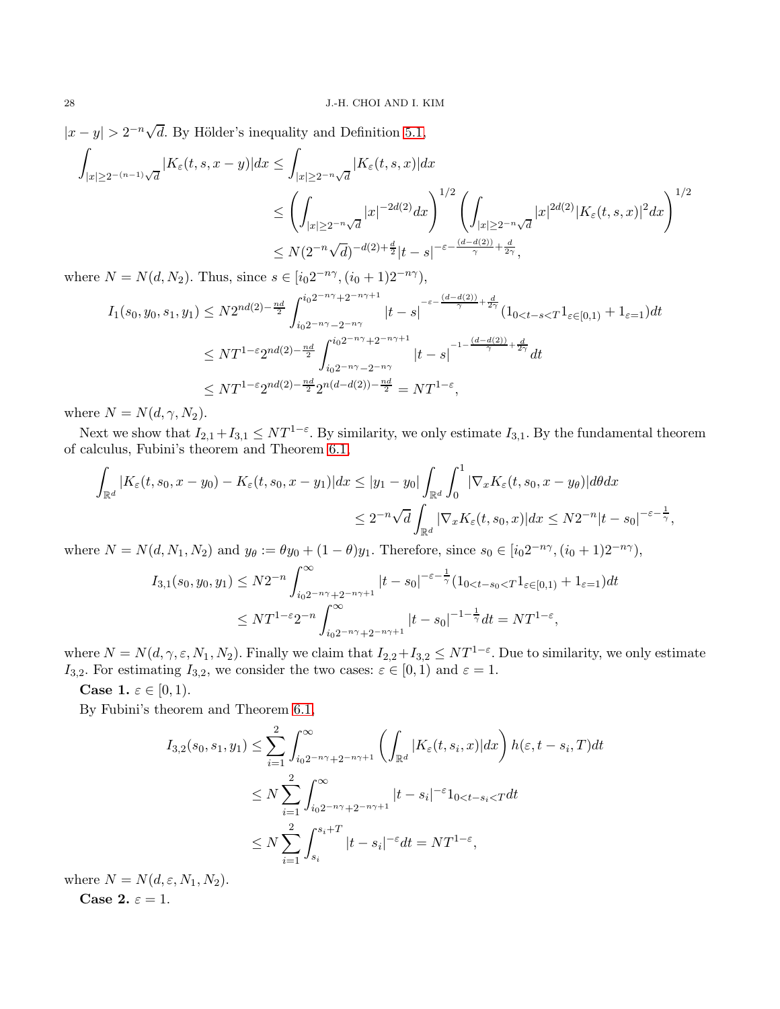$|x-y| > 2^{-n}\sqrt{d}$ . By Hölder's inequality and Definition [5.1,](#page-16-1)

$$
\int_{|x|\geq 2^{-(n-1)}\sqrt{d}}|K_{\varepsilon}(t,s,x-y)|dx \leq \int_{|x|\geq 2^{-n}\sqrt{d}}|K_{\varepsilon}(t,s,x)|dx
$$
\n
$$
\leq \left(\int_{|x|\geq 2^{-n}\sqrt{d}}|x|^{-2d(2)}dx\right)^{1/2} \left(\int_{|x|\geq 2^{-n}\sqrt{d}}|x|^{2d(2)}|K_{\varepsilon}(t,s,x)|^{2}dx\right)^{1/2}
$$
\n
$$
\leq N(2^{-n}\sqrt{d})^{-d(2)+\frac{d}{2}}|t-s|^{-\varepsilon-\frac{(d-d(2))}{\gamma}+\frac{d}{2\gamma}},
$$

where  $N = N(d, N_2)$ . Thus, since  $s \in [i_0 2^{-n\gamma}, (i_0 + 1) 2^{-n\gamma}),$ 

$$
I_{1}(s_{0}, y_{0}, s_{1}, y_{1}) \leq N2^{nd(2)-\frac{nd}{2}} \int_{i_{0}2^{-n\gamma}+2^{-n\gamma+1}}^{i_{0}2^{-n\gamma}+2^{-n\gamma+1}} |t-s|^{-\varepsilon-\frac{(d-d(2))}{\gamma}+\frac{d}{2\gamma}} (1_{0  

$$
\leq N T^{1-\varepsilon} 2^{nd(2)-\frac{nd}{2}} \int_{i_{0}2^{-n\gamma}-2^{-n\gamma}}^{i_{0}2^{-n\gamma}+2^{-n\gamma+1}} |t-s|^{-1-\frac{(d-d(2))}{\gamma}+\frac{d}{2\gamma}} dt
$$
  

$$
\leq N T^{1-\varepsilon} 2^{nd(2)-\frac{nd}{2}} 2^{n(d-d(2))-\frac{nd}{2}} = N T^{1-\varepsilon},
$$
$$

where  $N = N(d, \gamma, N_2)$ .

Next we show that  $I_{2,1}+I_{3,1} \leq NT^{1-\varepsilon}$ . By similarity, we only estimate  $I_{3,1}$ . By the fundamental theorem of calculus, Fubini's theorem and Theorem [6.1,](#page-17-4)

$$
\int_{\mathbb{R}^d} |K_{\varepsilon}(t, s_0, x - y_0) - K_{\varepsilon}(t, s_0, x - y_1)| dx \le |y_1 - y_0| \int_{\mathbb{R}^d} \int_0^1 |\nabla_x K_{\varepsilon}(t, s_0, x - y_\theta)| d\theta dx
$$
  

$$
\le 2^{-n} \sqrt{d} \int_{\mathbb{R}^d} |\nabla_x K_{\varepsilon}(t, s_0, x)| dx \le N2^{-n} |t - s_0|^{-\varepsilon - \frac{1}{\gamma}},
$$

where  $N = N(d, N_1, N_2)$  and  $y_\theta := \theta y_0 + (1 - \theta)y_1$ . Therefore, since  $s_0 \in [i_0 2^{-n\gamma}, (i_0 + 1) 2^{-n\gamma}),$ 

$$
I_{3,1}(s_0, y_0, y_1) \leq N2^{-n} \int_{i_0 2^{-n\gamma} + 2^{-n\gamma + 1}}^{\infty} |t - s_0|^{-\varepsilon - \frac{1}{\gamma}} (1_{0 < t - s_0 < T} 1_{\varepsilon \in [0, 1)} + 1_{\varepsilon = 1}) dt
$$
  

$$
\leq N T^{1 - \varepsilon} 2^{-n} \int_{i_0 2^{-n\gamma} + 2^{-n\gamma + 1}}^{\infty} |t - s_0|^{-1 - \frac{1}{\gamma}} dt = N T^{1 - \varepsilon},
$$

where  $N = N(d, \gamma, \varepsilon, N_1, N_2)$ . Finally we claim that  $I_{2,2} + I_{3,2} \leq NT^{1-\varepsilon}$ . Due to similarity, we only estimate  $I_{3,2}$ . For estimating  $I_{3,2}$ , we consider the two cases:  $\varepsilon \in [0,1)$  and  $\varepsilon = 1$ .

**Case 1.**  $\varepsilon \in [0, 1)$ .

By Fubini's theorem and Theorem [6.1,](#page-17-4)

$$
I_{3,2}(s_0, s_1, y_1) \leq \sum_{i=1}^2 \int_{i_0 2^{-n\gamma} + 2^{-n\gamma + 1}}^{\infty} \left( \int_{\mathbb{R}^d} |K_{\varepsilon}(t, s_i, x)| dx \right) h(\varepsilon, t - s_i, T) dt
$$
  

$$
\leq N \sum_{i=1}^2 \int_{i_0 2^{-n\gamma} + 2^{-n\gamma + 1}}^{\infty} |t - s_i|^{-\varepsilon} 1_{0 < t - s_i < T} dt
$$
  

$$
\leq N \sum_{i=1}^2 \int_{s_i}^{s_i + T} |t - s_i|^{-\varepsilon} dt = NT^{1-\varepsilon},
$$

where  $N = N(d, \varepsilon, N_1, N_2)$ . Case 2.  $\varepsilon = 1$ .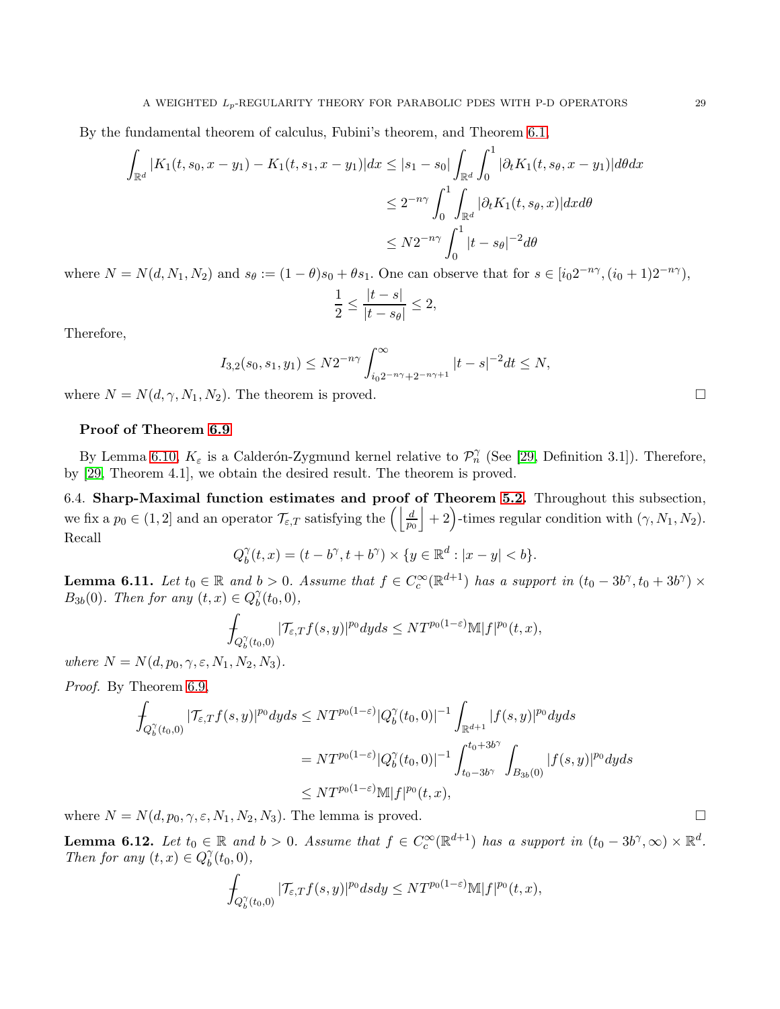By the fundamental theorem of calculus, Fubini's theorem, and Theorem [6.1,](#page-17-4)

$$
\int_{\mathbb{R}^d} |K_1(t, s_0, x - y_1) - K_1(t, s_1, x - y_1)| dx \le |s_1 - s_0| \int_{\mathbb{R}^d} \int_0^1 |\partial_t K_1(t, s_\theta, x - y_1)| d\theta dx
$$
  

$$
\le 2^{-n\gamma} \int_0^1 \int_{\mathbb{R}^d} |\partial_t K_1(t, s_\theta, x)| dx d\theta
$$
  

$$
\le N2^{-n\gamma} \int_0^1 |t - s_\theta|^{-2} d\theta
$$

where  $N = N(d, N_1, N_2)$  and  $s_\theta := (1 - \theta)s_0 + \theta s_1$ . One can observe that for  $s \in [i_0 2^{-n\gamma}, (i_0 + 1)2^{-n\gamma})$ ,

$$
\frac{1}{2} \le \frac{|t-s|}{|t-s_{\theta}|} \le 2,
$$

Therefore,

$$
I_{3,2}(s_0,s_1,y_1) \leq N2^{-n\gamma} \int_{i_02^{-n\gamma}+2^{-n\gamma+1}}^{\infty} |t-s|^{-2} dt \leq N,
$$

where  $N = N(d, \gamma, N_1, N_2)$ . The theorem is proved.

### Proof of Theorem [6.9](#page-25-0)

By Lemma [6.10,](#page-26-1)  $K_{\varepsilon}$  is a Calderón-Zygmund kernel relative to  $\mathcal{P}_n^{\gamma}$  (See [\[29,](#page-43-24) Definition 3.1]). Therefore, by [\[29,](#page-43-24) Theorem 4.1], we obtain the desired result. The theorem is proved.

6.4. Sharp-Maximal function estimates and proof of Theorem [5.2.](#page-17-0) Throughout this subsection, we fix a  $p_0 \in (1, 2]$  and an operator  $\mathcal{T}_{\varepsilon,T}$  satisfying the  $\left(\left|\frac{d}{p_0}\right| + 2\right)$ -times regular condition with  $(\gamma, N_1, N_2)$ . Recall

$$
Q_b^{\gamma}(t, x) = (t - b^{\gamma}, t + b^{\gamma}) \times \{y \in \mathbb{R}^d : |x - y| < b\}.
$$

<span id="page-28-0"></span>**Lemma 6.11.** Let  $t_0 \in \mathbb{R}$  and  $b > 0$ . Assume that  $f \in C_c^{\infty}(\mathbb{R}^{d+1})$  has a support in  $(t_0 - 3b^{\gamma}, t_0 + 3b^{\gamma}) \times$  $B_{3b}(0)$ . Then for any  $(t, x) \in Q_b^{\gamma}$  $\delta^{\gamma}(t_0,0),$ 

$$
\int_{Q_b^{\gamma}(t_0,0)}|\mathcal{T}_{\varepsilon,T}f(s,y)|^{p_0}dyds\leq N T^{p_0(1-\varepsilon)}\mathbb{M}|f|^{p_0}(t,x),
$$

where  $N = N(d, p_0, \gamma, \varepsilon, N_1, N_2, N_3)$ .

Proof. By Theorem [6.9,](#page-25-0)

$$
\int_{Q_b^{\gamma}(t_0,0)} |\mathcal{T}_{\varepsilon,T}f(s,y)|^{p_0} dyds \leq N T^{p_0(1-\varepsilon)} |Q_b^{\gamma}(t_0,0)|^{-1} \int_{\mathbb{R}^{d+1}} |f(s,y)|^{p_0} dyds
$$
\n
$$
= N T^{p_0(1-\varepsilon)} |Q_b^{\gamma}(t_0,0)|^{-1} \int_{t_0-3b^{\gamma}}^{t_0+3b^{\gamma}} \int_{B_{3b}(0)} |f(s,y)|^{p_0} dyds
$$
\n
$$
\leq N T^{p_0(1-\varepsilon)} \mathbb{M}|f|^{p_0}(t,x),
$$

where  $N = N(d, p_0, \gamma, \varepsilon, N_1, N_2, N_3)$ . The lemma is proved.

<span id="page-28-1"></span>**Lemma 6.12.** Let  $t_0 \in \mathbb{R}$  and  $b > 0$ . Assume that  $f \in C_c^{\infty}(\mathbb{R}^{d+1})$  has a support in  $(t_0 - 3b^{\gamma}, \infty) \times \mathbb{R}^d$ . Then for any  $(t, x) \in Q_b^{\gamma}$  $\delta_0^{\gamma}(t_0,0),$ 

$$
\int_{Q_b^{\gamma}(t_0,0)} |\mathcal{T}_{\varepsilon,T}f(s,y)|^{p_0} ds dy \leq N T^{p_0(1-\varepsilon)} \mathbb{M}|f|^{p_0}(t,x),
$$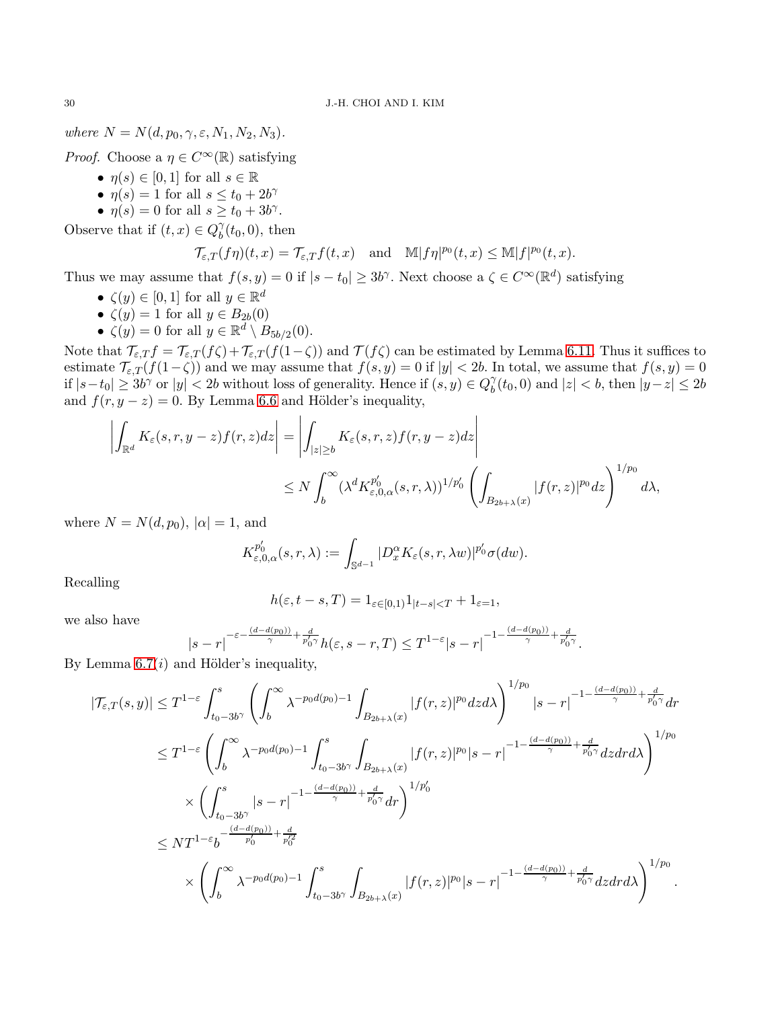where  $N = N(d, p_0, \gamma, \varepsilon, N_1, N_2, N_3)$ .

*Proof.* Choose a  $\eta \in C^{\infty}(\mathbb{R})$  satisfying

- $\eta(s) \in [0,1]$  for all  $s \in \mathbb{R}$
- $\eta(s) = 1$  for all  $s \le t_0 + 2b^{\gamma}$
- $\eta(s) = 0$  for all  $s \ge t_0 + 3b^{\gamma}$ .

Observe that if  $(t, x) \in Q_b^{\gamma}$  $\delta<sub>b</sub>(t<sub>0</sub>, 0)$ , then

$$
\mathcal{T}_{\varepsilon,T}(f\eta)(t,x)=\mathcal{T}_{\varepsilon,T}f(t,x)\quad\text{and}\quad\mathbb{M}|f\eta|^{p_0}(t,x)\le\mathbb{M}|f|^{p_0}(t,x).
$$

Thus we may assume that  $f(s, y) = 0$  if  $|s - t_0| \ge 3b^{\gamma}$ . Next choose a  $\zeta \in C^{\infty}(\mathbb{R}^d)$  satisfying

- $\zeta(y) \in [0,1]$  for all  $y \in \mathbb{R}^d$
- $\zeta(y) = 1$  for all  $y \in B_{2b}(0)$
- $\zeta(y) = 0$  for all  $y \in \mathbb{R}^d \setminus B_{5b/2}(0)$ .

Note that  $\mathcal{T}_{\varepsilon,T} f = \mathcal{T}_{\varepsilon,T} (f \zeta) + \mathcal{T}_{\varepsilon,T} (f(1-\zeta))$  and  $\mathcal{T}(f \zeta)$  can be estimated by Lemma [6.11.](#page-28-0) Thus it suffices to estimate  $\mathcal{T}_{\varepsilon,T}(f(1-\zeta))$  and we may assume that  $f(s, y) = 0$  if  $|y| < 2b$ . In total, we assume that  $f(s, y) = 0$ if  $|s-t_0| \geq 3b^{\gamma}$  or  $|y| < 2b$  without loss of generality. Hence if  $(s, y) \in Q_b^{\gamma}$  $\binom{1}{b}(t_0, 0)$  and  $|z| < b$ , then  $|y-z| \leq 2b$ and  $f(r, y - z) = 0$ . By Lemma [6.6](#page-21-0) and Hölder's inequality,

$$
\left| \int_{\mathbb{R}^d} K_{\varepsilon}(s,r,y-z)f(r,z)dz \right| = \left| \int_{|z| \ge b} K_{\varepsilon}(s,r,z)f(r,y-z)dz \right|
$$
  

$$
\le N \int_b^{\infty} (\lambda^d K_{\varepsilon,0,\alpha}^{p'_0}(s,r,\lambda))^{1/p'_0} \left( \int_{B_{2b+\lambda}(x)} |f(r,z)|^{p_0} dz \right)^{1/p_0} d\lambda,
$$

where  $N = N(d, p_0)$ ,  $|\alpha| = 1$ , and

$$
K_{\varepsilon,0,\alpha}^{p_0'}(s,r,\lambda) := \int_{\mathbb{S}^{d-1}} |D_x^{\alpha} K_{\varepsilon}(s,r,\lambda w)|^{p_0'} \sigma(dw).
$$

Recalling

$$
h(\varepsilon, t - s, T) = 1_{\varepsilon \in [0, 1)} 1_{|t - s| < T} + 1_{\varepsilon = 1},
$$

we also have

$$
|s-r|^{-\varepsilon-\frac{(d-d(p_0))}{\gamma}+\frac{d}{p_0'\gamma}}h(\varepsilon,s-r,T)\leq T^{1-\varepsilon}|s-r|^{-1-\frac{(d-d(p_0))}{\gamma}+\frac{d}{p_0'\gamma}}.
$$

By Lemma  $6.7(i)$  and Hölder's inequality,

$$
\begin{split} |\mathcal{T}_{\varepsilon,T}(s,y)|&\leq T^{1-\varepsilon}\int_{t_{0}-3b^{\gamma}}^{s}\left(\int_{b}^{\infty}\lambda^{-p_{0}d(p_{0})-1}\int_{B_{2b+\lambda}(x)}|f(r,z)|^{p_{0}}dzd\lambda\right)^{1/p_{0}}|s-r|^{-1-\frac{(d-d(p_{0}))}{\gamma}+\frac{d}{p'_{0}\gamma}}dr\\ &\leq T^{1-\varepsilon}\left(\int_{b}^{\infty}\lambda^{-p_{0}d(p_{0})-1}\int_{t_{0}-3b^{\gamma}}^{s}\int_{B_{2b+\lambda}(x)}|f(r,z)|^{p_{0}}|s-r|^{-1-\frac{(d-d(p_{0}))}{\gamma}+\frac{d}{p'_{0}\gamma}}dzdr\lambda\right)^{1/p_{0}}\\ &\times\left(\int_{t_{0}-3b^{\gamma}}^{s}|s-r|^{-1-\frac{(d-d(p_{0}))}{\gamma}+\frac{d}{p'_{0}\gamma}}dr\right)^{1/p'_{0}}\\ &\leq NT^{1-\varepsilon}b^{-\frac{(d-d(p_{0}))}{p'_{0}}+\frac{d}{p'_{0}\gamma}}\\ &\times\left(\int_{b}^{\infty}\lambda^{-p_{0}d(p_{0})-1}\int_{t_{0}-3b^{\gamma}}^{s}\int_{B_{2b+\lambda}(x)}|f(r,z)|^{p_{0}}|s-r|^{-1-\frac{(d-d(p_{0}))}{\gamma}+\frac{d}{p'_{0}\gamma}}dzdrd\lambda\right)^{1/p_{0}}. \end{split}
$$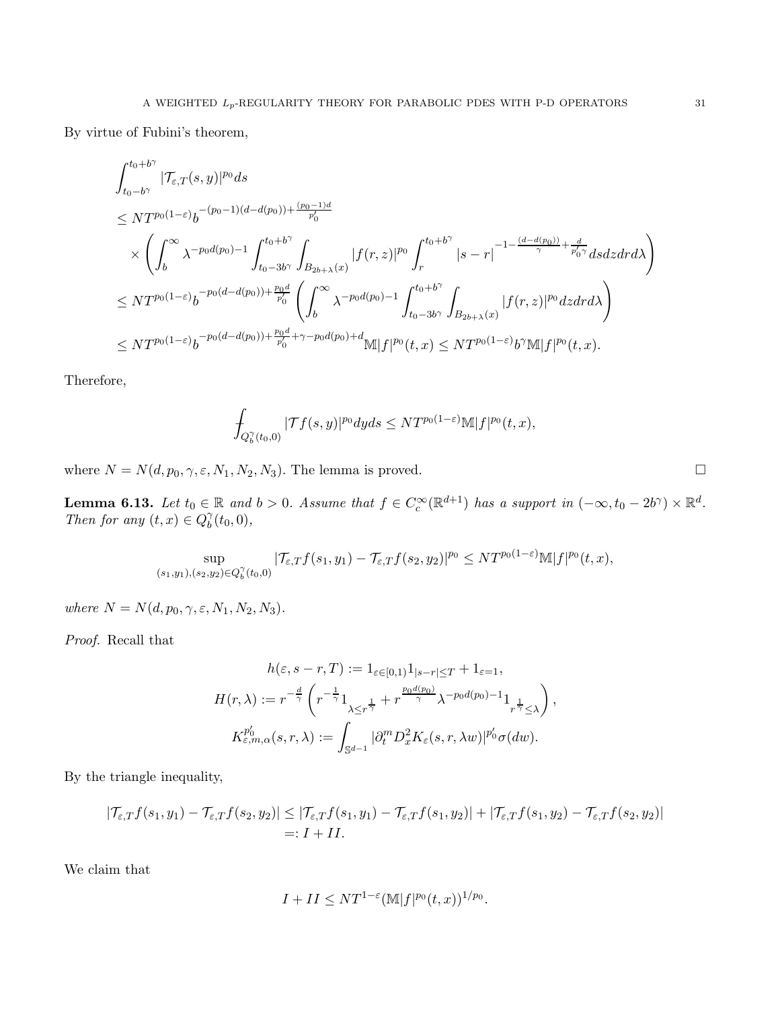By virtue of Fubini's theorem,

$$
\begin{aligned} &\int_{t_0-b^{\gamma}}^{t_0+b^{\gamma}}|\mathcal{T}_{\varepsilon,T}(s,y)|^{p_0}ds\\ &\leq N T^{p_0(1-\varepsilon)} b^{-(p_0-1)(d-d(p_0))+\frac{(p_0-1)d}{p_0'}}\\ &\times\left(\int_{b}^{\infty} \lambda^{-p_0d(p_0)-1}\int_{t_0-3b^{\gamma}}^{t_0+b^{\gamma}}\int_{B_{2b+\lambda}(x)}|f(r,z)|^{p_0}\int_{r}^{t_0+b^{\gamma}}|s-r|^{-1-\frac{(d-d(p_0))}{\gamma}+\frac{d}{p_0'\gamma}}dsdzdr d\lambda\right)\\ &\leq N T^{p_0(1-\varepsilon)} b^{-p_0(d-d(p_0))+\frac{p_0d}{p_0'}}\left(\int_{b}^{\infty} \lambda^{-p_0d(p_0)-1}\int_{t_0-3b^{\gamma}}^{t_0+b^{\gamma}}\int_{B_{2b+\lambda}(x)}|f(r,z)|^{p_0}dzdr d\lambda\right)\\ &\leq N T^{p_0(1-\varepsilon)} b^{-p_0(d-d(p_0))+\frac{p_0d}{p_0'}+\gamma-p_0d(p_0)+d}\mathbb{M}|f|^{p_0}(t,x)\leq N T^{p_0(1-\varepsilon)} b^{\gamma}\mathbb{M}|f|^{p_0}(t,x). \end{aligned}
$$

Therefore,

$$
\int_{Q_b^{\gamma}(t_0,0)}|\mathcal{T}f(s,y)|^{p_0}dyds\leq N T^{p_0(1-\varepsilon)}\mathbb{M}|f|^{p_0}(t,x),
$$

where  $N = N(d, p_0, \gamma, \varepsilon, N_1, N_2, N_3)$ . The lemma is proved.

<span id="page-30-0"></span>**Lemma 6.13.** Let  $t_0 \in \mathbb{R}$  and  $b > 0$ . Assume that  $f \in C_c^{\infty}(\mathbb{R}^{d+1})$  has a support in  $(-\infty, t_0 - 2b^{\gamma}) \times \mathbb{R}^d$ . Then for any  $(t, x) \in Q_b^{\gamma}$  $\delta_0^{\gamma}(t_0,0),$ 

$$
\sup_{(s_1,y_1),(s_2,y_2)\in Q_b^{\gamma}(t_0,0)}|\mathcal{T}_{\varepsilon,T}f(s_1,y_1)-\mathcal{T}_{\varepsilon,T}f(s_2,y_2)|^{p_0}\leq N T^{p_0(1-\varepsilon)}\mathbb{M}|f|^{p_0}(t,x),
$$

where  $N = N(d, p_0, \gamma, \varepsilon, N_1, N_2, N_3).$ 

Proof. Recall that

$$
h(\varepsilon, s-r, T) := 1_{\varepsilon \in [0,1)} 1_{|s-r| \le T} + 1_{\varepsilon = 1},
$$
  

$$
H(r, \lambda) := r^{-\frac{d}{\gamma}} \left( r^{-\frac{1}{\gamma}} 1_{\lambda \le r^{\frac{1}{\gamma}}} + r^{\frac{p_0 d(p_0)}{\gamma}} \lambda^{-p_0 d(p_0) - 1} 1_{r^{\frac{1}{\gamma}} \le \lambda} \right),
$$
  

$$
K_{\varepsilon, m, \alpha}^{p_0'}(s, r, \lambda) := \int_{\mathbb{S}^{d-1}} |\partial_t^m D_x^2 K_{\varepsilon}(s, r, \lambda w)|^{p_0'} \sigma(dw).
$$

By the triangle inequality,

$$
|\mathcal{T}_{\varepsilon,T}f(s_1,y_1)-\mathcal{T}_{\varepsilon,T}f(s_2,y_2)| \leq |\mathcal{T}_{\varepsilon,T}f(s_1,y_1)-\mathcal{T}_{\varepsilon,T}f(s_1,y_2)|+|\mathcal{T}_{\varepsilon,T}f(s_1,y_2)-\mathcal{T}_{\varepsilon,T}f(s_2,y_2)|
$$
  
=:  $I + II$ .

We claim that

$$
I + II \leq NT^{1-\varepsilon} (\mathbb{M}|f|^{p_0}(t,x))^{1/p_0}.
$$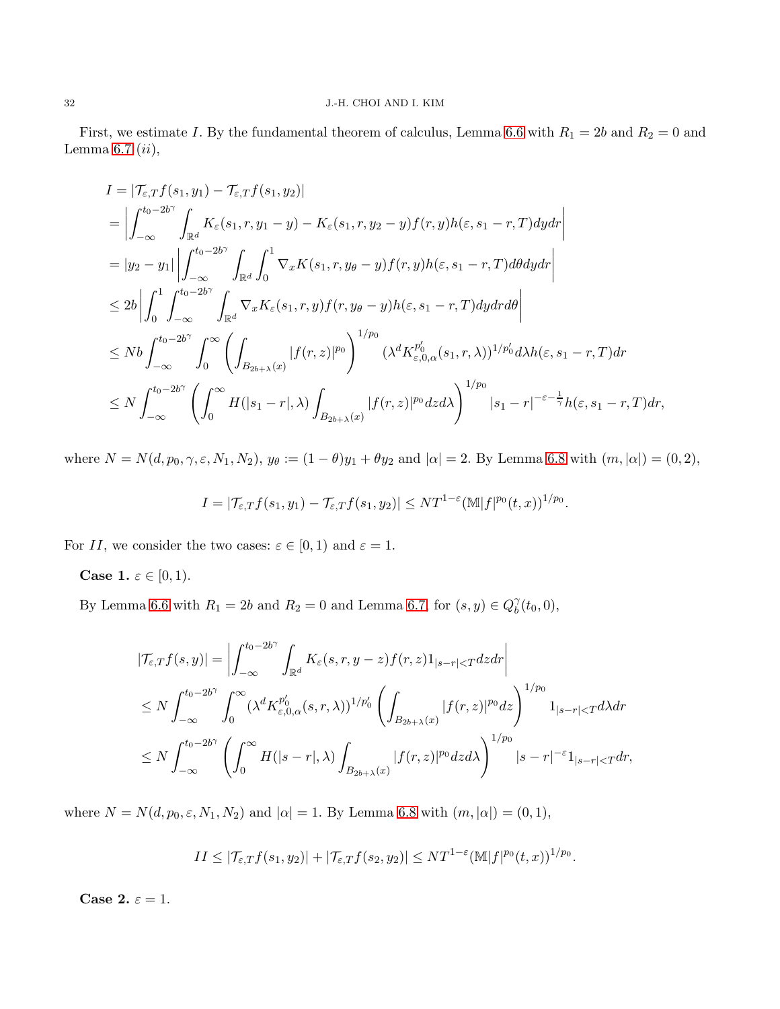First, we estimate I. By the fundamental theorem of calculus, Lemma [6.6](#page-21-0) with  $R_1 = 2b$  and  $R_2 = 0$  and Lemma [6.7](#page-22-2)  $(ii)$ ,

$$
I = |\mathcal{T}_{\varepsilon,T}f(s_1, y_1) - \mathcal{T}_{\varepsilon,T}f(s_1, y_2)|
$$
  
\n
$$
= \left| \int_{-\infty}^{t_0 - 2b^{\gamma}} \int_{\mathbb{R}^d} K_{\varepsilon}(s_1, r, y_1 - y) - K_{\varepsilon}(s_1, r, y_2 - y) f(r, y) h(\varepsilon, s_1 - r, T) dy dr \right|
$$
  
\n
$$
= |y_2 - y_1| \left| \int_{-\infty}^{t_0 - 2b^{\gamma}} \int_{\mathbb{R}^d} \int_0^1 \nabla_x K(s_1, r, y_\theta - y) f(r, y) h(\varepsilon, s_1 - r, T) d\theta dy dr \right|
$$
  
\n
$$
\leq 2b \left| \int_0^1 \int_{-\infty}^{t_0 - 2b^{\gamma}} \int_{\mathbb{R}^d} \nabla_x K_{\varepsilon}(s_1, r, y) f(r, y_\theta - y) h(\varepsilon, s_1 - r, T) dy dr d\theta \right|
$$
  
\n
$$
\leq N b \int_{-\infty}^{t_0 - 2b^{\gamma}} \int_0^\infty \left( \int_{B_{2b+\lambda}(x)} |f(r, z)|^{p_0} \right)^{1/p_0} (\lambda^d K_{\varepsilon, 0, \alpha}^{p'_0}(s_1, r, \lambda))^{1/p'_0} d\lambda h(\varepsilon, s_1 - r, T) dr
$$
  
\n
$$
\leq N \int_{-\infty}^{t_0 - 2b^{\gamma}} \left( \int_0^\infty H(|s_1 - r|, \lambda) \int_{B_{2b+\lambda}(x)} |f(r, z)|^{p_0} dz d\lambda \right)^{1/p_0} |s_1 - r|^{-\varepsilon - \frac{1}{\gamma}} h(\varepsilon, s_1 - r, T) dr,
$$

where  $N = N(d, p_0, \gamma, \varepsilon, N_1, N_2)$ ,  $y_\theta := (1 - \theta)y_1 + \theta y_2$  and  $|\alpha| = 2$ . By Lemma [6.8](#page-24-2) with  $(m, |\alpha|) = (0, 2)$ ,

$$
I = |\mathcal{T}_{\varepsilon,T}f(s_1,y_1) - \mathcal{T}_{\varepsilon,T}f(s_1,y_2)| \leq NT^{1-\varepsilon}(\mathbb{M}|f|^{p_0}(t,x))^{1/p_0}.
$$

For II, we consider the two cases:  $\varepsilon \in [0,1)$  and  $\varepsilon = 1$ .

**Case 1.**  $\varepsilon \in [0, 1)$ .

By Lemma [6.6](#page-21-0) with  $R_1 = 2b$  and  $R_2 = 0$  and Lemma [6.7,](#page-22-2) for  $(s, y) \in Q_b^{\gamma}$  $\delta_0^{\gamma}(t_0,0),$ 

$$
\begin{split}\n|\mathcal{T}_{\varepsilon,T}f(s,y)| &= \left| \int_{-\infty}^{t_0-2b^{\gamma}} \int_{\mathbb{R}^d} K_{\varepsilon}(s,r,y-z)f(r,z)1_{|s-r|
$$

where  $N = N(d, p_0, \varepsilon, N_1, N_2)$  and  $|\alpha| = 1$ . By Lemma [6.8](#page-24-2) with  $(m, |\alpha|) = (0, 1)$ ,

$$
II \leq |\mathcal{T}_{\varepsilon,T}f(s_1,y_2)| + |\mathcal{T}_{\varepsilon,T}f(s_2,y_2)| \leq NT^{1-\varepsilon}(\mathbb{M}|f|^{p_0}(t,x))^{1/p_0}.
$$

Case 2.  $\varepsilon = 1$ .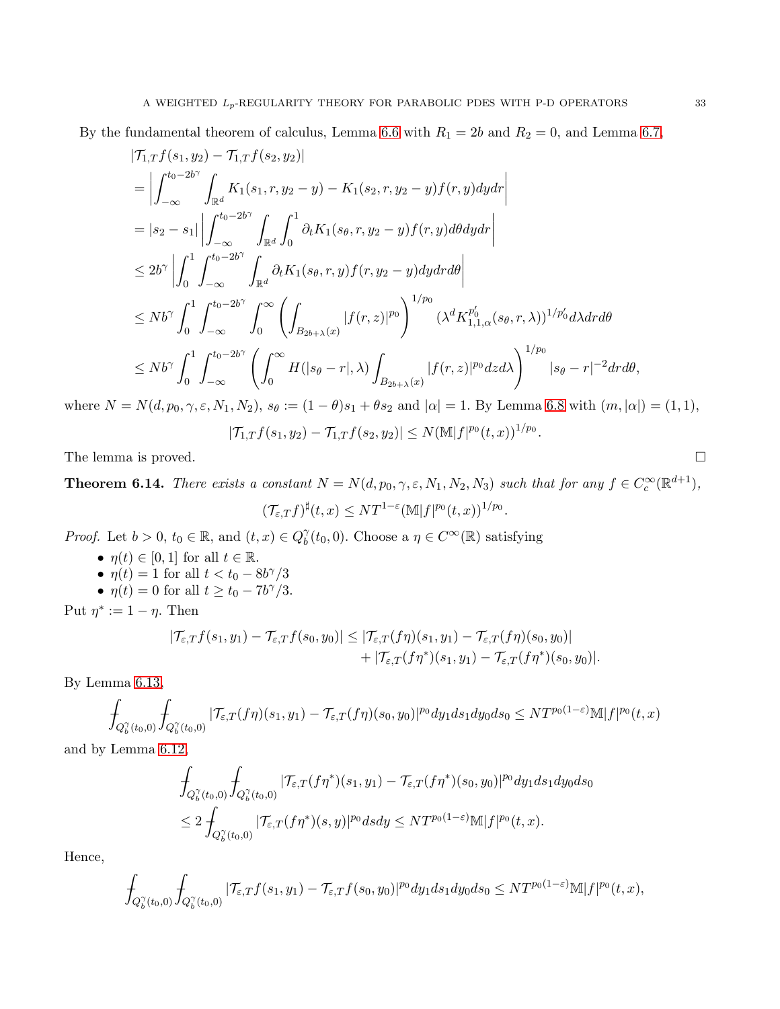By the fundamental theorem of calculus, Lemma [6.6](#page-21-0) with  $R_1 = 2b$  and  $R_2 = 0$ , and Lemma [6.7,](#page-22-2)

$$
|\mathcal{T}_{1,T}f(s_{1},y_{2}) - \mathcal{T}_{1,T}f(s_{2},y_{2})|
$$
\n
$$
= \left| \int_{-\infty}^{t_{0}-2b^{\gamma}} \int_{\mathbb{R}^{d}} K_{1}(s_{1}, r, y_{2} - y) - K_{1}(s_{2}, r, y_{2} - y)f(r, y)dydr \right|
$$
\n
$$
= |s_{2} - s_{1}| \left| \int_{-\infty}^{t_{0}-2b^{\gamma}} \int_{\mathbb{R}^{d}} \int_{0}^{1} \partial_{t}K_{1}(s_{\theta}, r, y_{2} - y)f(r, y) d\theta dydr \right|
$$
\n
$$
\leq 2b^{\gamma} \left| \int_{0}^{1} \int_{-\infty}^{t_{0}-2b^{\gamma}} \int_{\mathbb{R}^{d}} \partial_{t}K_{1}(s_{\theta}, r, y)f(r, y_{2} - y)dydrd\theta \right|
$$
\n
$$
\leq Nb^{\gamma} \int_{0}^{1} \int_{-\infty}^{t_{0}-2b^{\gamma}} \int_{0}^{\infty} \left( \int_{B_{2b+\lambda}(x)} |f(r, z)|^{p_{0}} \right)^{1/p_{0}} (\lambda^{d}K_{1,1,\alpha}^{p_{0}}(s_{\theta}, r, \lambda))^{1/p_{0}'} d\lambda drd\theta
$$
\n
$$
\leq Nb^{\gamma} \int_{0}^{1} \int_{-\infty}^{t_{0}-2b^{\gamma}} \left( \int_{0}^{\infty} H(|s_{\theta} - r|, \lambda) \int_{B_{2b+\lambda}(x)} |f(r, z)|^{p_{0}} dzd\lambda \right)^{1/p_{0}} |s_{\theta} - r|^{-2} drd\theta,
$$

where  $N = N(d, p_0, \gamma, \varepsilon, N_1, N_2), s_\theta := (1 - \theta)s_1 + \theta s_2$  and  $|\alpha| = 1$ . By Lemma [6.8](#page-24-2) with  $(m, |\alpha|) = (1, 1),$ 

$$
|\mathcal{T}_{1,T}f(s_1,y_2)-\mathcal{T}_{1,T}f(s_2,y_2)|\leq N(\mathbb{M}|f|^{p_0}(t,x))^{1/p_0}
$$

.

The lemma is proved.

<span id="page-32-0"></span>**Theorem 6.14.** There exists a constant  $N = N(d, p_0, \gamma, \varepsilon, N_1, N_2, N_3)$  such that for any  $f \in C_c^{\infty}(\mathbb{R}^{d+1}),$ 

$$
(\mathcal{T}_{\varepsilon,T}f)^{\sharp}(t,x)\leq NT^{1-\varepsilon}(\mathbb{M}|f|^{p_0}(t,x))^{1/p_0}.
$$

*Proof.* Let  $b > 0$ ,  $t_0 \in \mathbb{R}$ , and  $(t, x) \in Q_b^{\gamma}$  $b_0^{\gamma}(t_0, 0)$ . Choose a  $\eta \in C^{\infty}(\mathbb{R})$  satisfying

- $\eta(t) \in [0,1]$  for all  $t \in \mathbb{R}$ . •  $\eta(t) = 1$  for all  $t < t_0 - 8b^{\gamma}/3$
- $\eta(t) = 0$  for all  $t \ge t_0 7b^{\gamma}/3$ .

Put  $\eta^* := 1 - \eta$ . Then

$$
|\mathcal{T}_{\varepsilon,T}f(s_1,y_1)-\mathcal{T}_{\varepsilon,T}f(s_0,y_0)| \leq |\mathcal{T}_{\varepsilon,T}(f\eta)(s_1,y_1)-\mathcal{T}_{\varepsilon,T}(f\eta)(s_0,y_0)| +|\mathcal{T}_{\varepsilon,T}(f\eta^*)(s_1,y_1)-\mathcal{T}_{\varepsilon,T}(f\eta^*)(s_0,y_0)|.
$$

By Lemma [6.13,](#page-30-0)

$$
\int_{Q_b^{\gamma}(t_0,0)} \int_{Q_b^{\gamma}(t_0,0)} |\mathcal{T}_{\varepsilon,T}(f\eta)(s_1,y_1) - \mathcal{T}_{\varepsilon,T}(f\eta)(s_0,y_0)|^{p_0} dy_1 ds_1 dy_0 ds_0 \leq N T^{p_0(1-\varepsilon)} \mathbb{M}|f|^{p_0}(t,x)
$$

and by Lemma [6.12,](#page-28-1)

$$
\int_{Q_b^{\gamma}(t_0,0)} \int_{Q_b^{\gamma}(t_0,0)} |\mathcal{T}_{\varepsilon,T}(f\eta^*)(s_1,y_1) - \mathcal{T}_{\varepsilon,T}(f\eta^*)(s_0,y_0)|^{p_0} dy_1 ds_1 dy_0 ds_0
$$
  
\n
$$
\leq 2 \int_{Q_b^{\gamma}(t_0,0)} |\mathcal{T}_{\varepsilon,T}(f\eta^*)(s,y)|^{p_0} ds dy \leq N T^{p_0(1-\varepsilon)} \mathbb{M}|f|^{p_0}(t,x).
$$

Hence,

$$
\int_{Q_b^{\gamma}(t_0,0)}\int_{Q_b^{\gamma}(t_0,0)}|\mathcal{T}_{\varepsilon,T}f(s_1,y_1)-\mathcal{T}_{\varepsilon,T}f(s_0,y_0)|^{p_0}dy_1ds_1dy_0ds_0\leq N T^{p_0(1-\varepsilon)}\mathbb{M}|f|^{p_0}(t,x),
$$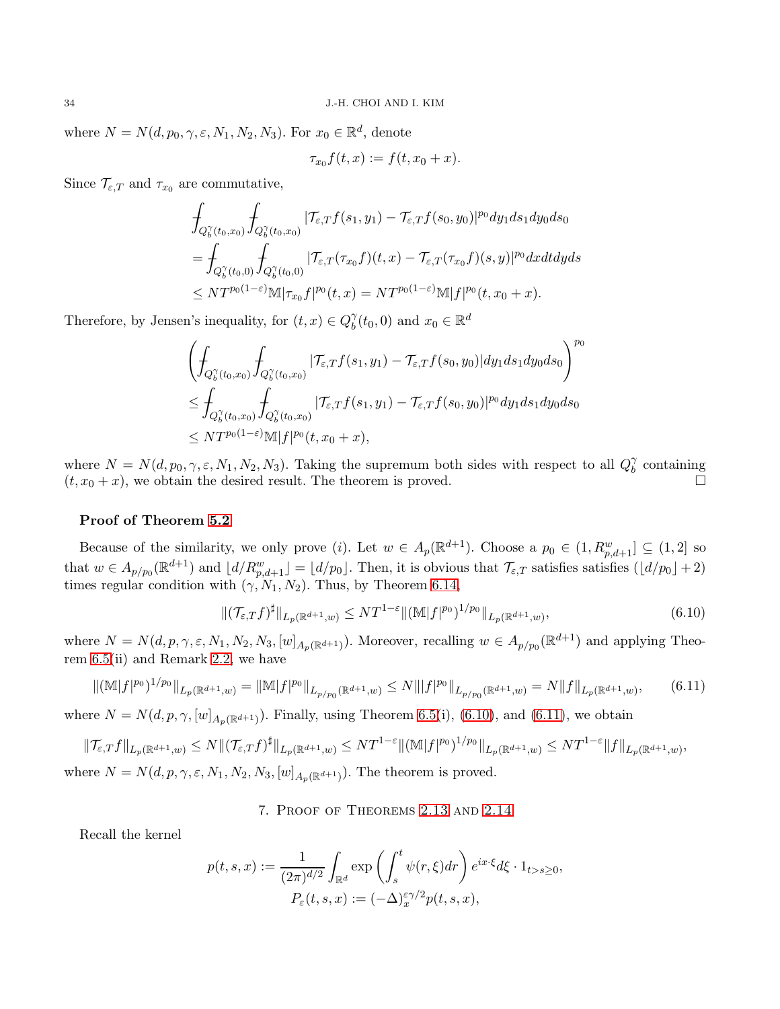where  $N = N(d, p_0, \gamma, \varepsilon, N_1, N_2, N_3)$ . For  $x_0 \in \mathbb{R}^d$ , denote

$$
\tau_{x_0} f(t, x) := f(t, x_0 + x).
$$

Since  $\mathcal{T}_{\varepsilon,T}$  and  $\tau_{x_0}$  are commutative,

$$
\int_{Q_b^{\gamma}(t_0,x_0)} \int_{Q_b^{\gamma}(t_0,x_0)} |\mathcal{T}_{\varepsilon,T}f(s_1,y_1) - \mathcal{T}_{\varepsilon,T}f(s_0,y_0)|^{p_0} dy_1 ds_1 dy_0 ds_0
$$
\n
$$
= \int_{Q_b^{\gamma}(t_0,0)} \int_{Q_b^{\gamma}(t_0,0)} |\mathcal{T}_{\varepsilon,T}(\tau_{x_0}f)(t,x) - \mathcal{T}_{\varepsilon,T}(\tau_{x_0}f)(s,y)|^{p_0} dx dt dy ds
$$
\n
$$
\leq N T^{p_0(1-\varepsilon)} \mathbb{M} |\tau_{x_0}f|^{p_0}(t,x) = N T^{p_0(1-\varepsilon)} \mathbb{M} |f|^{p_0}(t,x_0+x).
$$

Therefore, by Jensen's inequality, for  $(t, x) \in Q_b^{\gamma}$  $b<sup>\gamma</sup>(t<sub>0</sub>, 0)$  and  $x<sub>0</sub> \in \mathbb{R}^d$ 

$$
\left(\int_{Q_b^{\gamma}(t_0,x_0)}\int_{Q_b^{\gamma}(t_0,x_0)}|\mathcal{T}_{\varepsilon,T}f(s_1,y_1)-\mathcal{T}_{\varepsilon,T}f(s_0,y_0)|dy_1ds_1dy_0ds_0\right)^{p_0}
$$
\n
$$
\leq \int_{Q_b^{\gamma}(t_0,x_0)}\int_{Q_b^{\gamma}(t_0,x_0)}|\mathcal{T}_{\varepsilon,T}f(s_1,y_1)-\mathcal{T}_{\varepsilon,T}f(s_0,y_0)|^{p_0}dy_1ds_1dy_0ds_0
$$
\n
$$
\leq N T^{p_0(1-\varepsilon)}\mathbb{M}|f|^{p_0}(t,x_0+x),
$$

where  $N = N(d, p_0, \gamma, \varepsilon, N_1, N_2, N_3)$ . Taking the supremum both sides with respect to all  $Q_b^{\gamma}$  $\delta$  containing  $(t, x_0 + x)$ , we obtain the desired result. The theorem is proved.

### Proof of Theorem [5.2](#page-17-0)

Because of the similarity, we only prove (*i*). Let  $w \in A_p(\mathbb{R}^{d+1})$ . Choose a  $p_0 \in (1, R_{p,d+1}^w] \subseteq (1,2]$  so that  $w \in A_{p/p_0}(\mathbb{R}^{d+1})$  and  $\lfloor d/R_{p,d+1}^w \rfloor = \lfloor d/p_0 \rfloor$ . Then, it is obvious that  $\mathcal{T}_{\varepsilon,T}$  satisfies satisfies  $(\lfloor d/p_0 \rfloor + 2)$ times regular condition with  $(\gamma, N_1, N_2)$ . Thus, by Theorem [6.14,](#page-32-0)

<span id="page-33-1"></span>
$$
\|(\mathcal{T}_{\varepsilon,T}f)^{\sharp}\|_{L_p(\mathbb{R}^{d+1},w)} \le NT^{1-\varepsilon} \|\left(\mathbb{M}|f|^{p_0}\right)^{1/p_0}\|_{L_p(\mathbb{R}^{d+1},w)},\tag{6.10}
$$

where  $N = N(d, p, \gamma, \varepsilon, N_1, N_2, N_3, [w]_{A_p(\mathbb{R}^{d+1})})$ . Moreover, recalling  $w \in A_{p/p_0}(\mathbb{R}^{d+1})$  and applying Theorem [6.5\(](#page-20-0)ii) and Remark [2.2,](#page-5-3) we have

$$
\|(\mathbb{M}|f|^{p_0})^{1/p_0}\|_{L_p(\mathbb{R}^{d+1},w)} = \|\mathbb{M}|f|^{p_0}\|_{L_{p/p_0}(\mathbb{R}^{d+1},w)} \le N\||f|^{p_0}\|_{L_{p/p_0}(\mathbb{R}^{d+1},w)} = N\|f\|_{L_p(\mathbb{R}^{d+1},w)},\tag{6.11}
$$

where  $N = N(d, p, \gamma, [w]_{A_p(\mathbb{R}^{d+1})})$ . Finally, using Theorem [6.5\(](#page-20-0)i), [\(6.10\)](#page-33-1), and [\(6.11\)](#page-33-2), we obtain

$$
\|\mathcal{T}_{\varepsilon,T}f\|_{L_p(\mathbb{R}^{d+1},w)} \leq N\|(\mathcal{T}_{\varepsilon,T}f)^{\sharp}\|_{L_p(\mathbb{R}^{d+1},w)} \leq NT^{1-\varepsilon}\|(\mathbb{M}|f|^{p_0})^{1/p_0}\|_{L_p(\mathbb{R}^{d+1},w)} \leq NT^{1-\varepsilon}\|f\|_{L_p(\mathbb{R}^{d+1},w)},
$$
  
where  $N = N(d,p,\gamma,\varepsilon,N_1,N_2,N_3,[w]_{A_p(\mathbb{R}^{d+1})}).$  The theorem is proved.

#### <span id="page-33-2"></span>7. Proof of Theorems [2.13](#page-8-0) and [2.14](#page-8-1)

<span id="page-33-0"></span>Recall the kernel

$$
p(t,s,x) := \frac{1}{(2\pi)^{d/2}} \int_{\mathbb{R}^d} \exp\left(\int_s^t \psi(r,\xi) dr\right) e^{ix\cdot\xi} d\xi \cdot 1_{t>s\geq 0},
$$
  

$$
P_{\varepsilon}(t,s,x) := (-\Delta)^{\varepsilon\gamma/2} p(t,s,x),
$$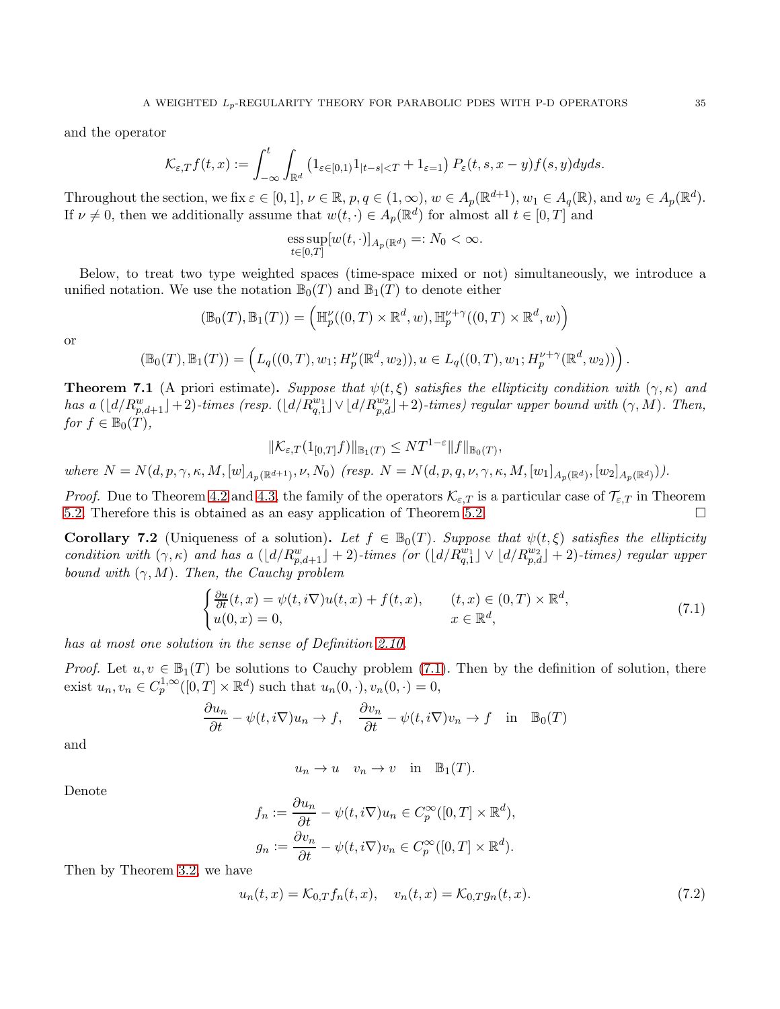and the operator

$$
\mathcal{K}_{\varepsilon,T}f(t,x):=\int_{-\infty}^t\int_{\mathbb{R}^d}\left(1_{\varepsilon\in[0,1)}1_{|t-s|
$$

Throughout the section, we fix  $\varepsilon \in [0,1]$ ,  $\nu \in \mathbb{R}$ ,  $p, q \in (1,\infty)$ ,  $w \in A_p(\mathbb{R}^{d+1})$ ,  $w_1 \in A_q(\mathbb{R})$ , and  $w_2 \in A_p(\mathbb{R}^d)$ . If  $\nu \neq 0$ , then we additionally assume that  $w(t, \cdot) \in A_p(\mathbb{R}^d)$  for almost all  $t \in [0, T]$  and

ess sup
$$
[w(t, \cdot)]_{A_p(\mathbb{R}^d)} =: N_0 < \infty
$$
.  
 $t \in [0,T]$ 

Below, to treat two type weighted spaces (time-space mixed or not) simultaneously, we introduce a unified notation. We use the notation  $\mathbb{B}_0(T)$  and  $\mathbb{B}_1(T)$  to denote either

$$
(\mathbb{B}_0(T),\mathbb{B}_1(T))=\left(\mathbb{H}_p^{\nu}((0,T)\times\mathbb{R}^d,w),\mathbb{H}_p^{\nu+\gamma}((0,T)\times\mathbb{R}^d,w)\right)
$$

or

$$
(\mathbb{B}_0(T),\mathbb{B}_1(T)) = \left( L_q((0,T),w_1;H_p^{\nu}(\mathbb{R}^d,w_2)), u \in L_q((0,T),w_1;H_p^{\nu+\gamma}(\mathbb{R}^d,w_2)) \right).
$$

<span id="page-34-1"></span>**Theorem 7.1** (A priori estimate). Suppose that  $\psi(t,\xi)$  satisfies the ellipticity condition with  $(\gamma,\kappa)$  and has a  $(\lfloor d/R_{p,d+1}^w\rfloor+2)$ -times (resp.  $(\lfloor d/R_{q,1}^{w_1}\rfloor \vee \lfloor d/R_{p,d}^{w_2}\rfloor+2)$ -times) regular upper bound with  $(\gamma,M)$ . Then, for  $f \in \mathbb{B}_0(T)$ ,

$$
\|\mathcal{K}_{\varepsilon,T}(1_{[0,T]}f)\|_{\mathbb{B}_1(T)} \leq N T^{1-\varepsilon} \|f\|_{\mathbb{B}_0(T)},
$$
  
where  $N = N(d, p, \gamma, \kappa, M, [w]_{A_p(\mathbb{R}^{d+1})}, \nu, N_0)$  (resp.  $N = N(d, p, q, \nu, \gamma, \kappa, M, [w_1]_{A_p(\mathbb{R}^d)}, [w_2]_{A_p(\mathbb{R}^d)}).$ 

*Proof.* Due to Theorem [4.2](#page-13-1) and [4.3,](#page-14-1) the family of the operators  $\mathcal{K}_{\varepsilon,T}$  is a particular case of  $\mathcal{T}_{\varepsilon,T}$  in Theorem 5.2. [5.2.](#page-17-0) Therefore this is obtained as an easy application of Theorem [5.2.](#page-17-0)

**Corollary 7.2** (Uniqueness of a solution). Let  $f \in \mathbb{B}_0(T)$ . Suppose that  $\psi(t, \xi)$  satisfies the ellipticity condition with  $(\gamma, \kappa)$  and has a  $(\lfloor d/R_{p,d+1}^w \rfloor + 2)$ -times (or  $(\lfloor d/R_{q,1}^w \rfloor \vee \lfloor d/R_{p,d}^w \rfloor + 2)$ -times) regular upper bound with  $(\gamma, M)$ . Then, the Cauchy problem

<span id="page-34-0"></span>
$$
\begin{cases} \frac{\partial u}{\partial t}(t,x) = \psi(t,i\nabla)u(t,x) + f(t,x), & (t,x) \in (0,T) \times \mathbb{R}^d, \\ u(0,x) = 0, & x \in \mathbb{R}^d, \end{cases}
$$
\n(7.1)

has at most one solution in the sense of Definition [2.10.](#page-7-3)

*Proof.* Let  $u, v \in \mathbb{B}_1(T)$  be solutions to Cauchy problem [\(7.1\)](#page-34-0). Then by the definition of solution, there exist  $u_n, v_n \in C_p^{1,\infty}([0,T] \times \mathbb{R}^d)$  such that  $u_n(0,\cdot), v_n(0,\cdot) = 0$ ,

$$
\frac{\partial u_n}{\partial t} - \psi(t, i\nabla)u_n \to f, \quad \frac{\partial v_n}{\partial t} - \psi(t, i\nabla)v_n \to f \quad \text{in} \quad \mathbb{B}_0(T)
$$

and

<span id="page-34-2"></span>
$$
u_n \to u
$$
  $v_n \to v$  in  $\mathbb{B}_1(T)$ .

Denote

$$
f_n := \frac{\partial u_n}{\partial t} - \psi(t, i\nabla)u_n \in C_p^{\infty}([0, T] \times \mathbb{R}^d),
$$
  

$$
g_n := \frac{\partial v_n}{\partial t} - \psi(t, i\nabla)v_n \in C_p^{\infty}([0, T] \times \mathbb{R}^d).
$$

Then by Theorem [3.2,](#page-11-3) we have

$$
u_n(t,x) = \mathcal{K}_{0,T} f_n(t,x), \quad v_n(t,x) = \mathcal{K}_{0,T} g_n(t,x).
$$
 (7.2)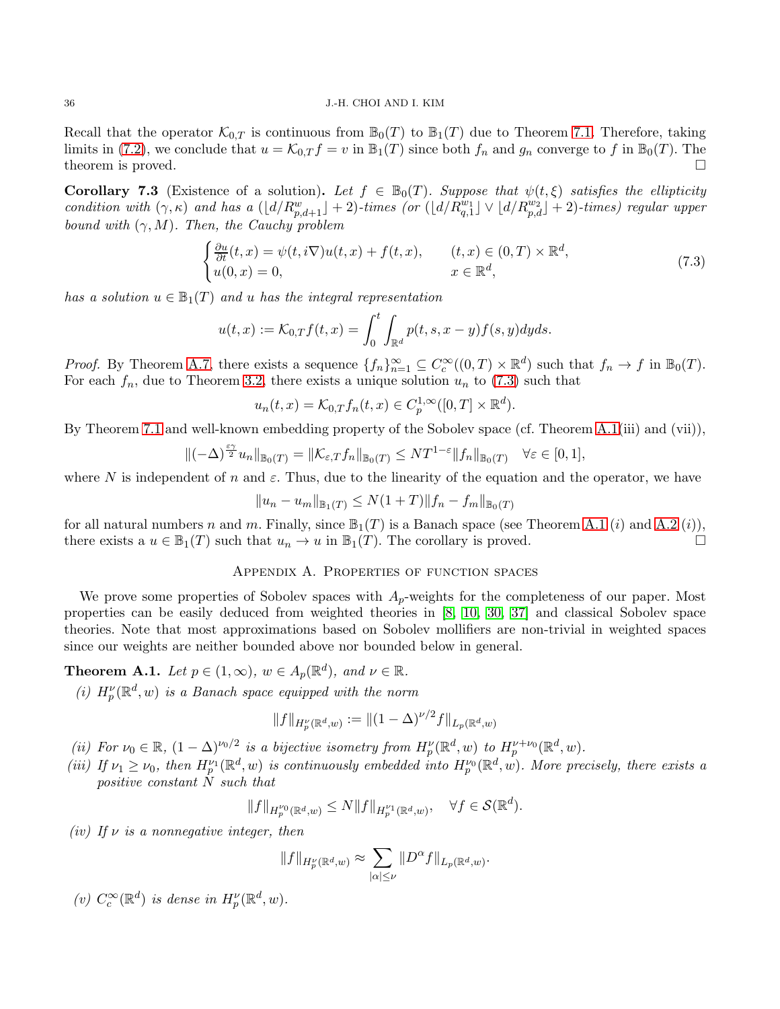Recall that the operator  $\mathcal{K}_{0,T}$  is continuous from  $\mathbb{B}_0(T)$  to  $\mathbb{B}_1(T)$  due to Theorem [7.1.](#page-34-1) Therefore, taking limits in [\(7.2\)](#page-34-2), we conclude that  $u = \mathcal{K}_{0,T} f = v$  in  $\mathbb{B}_1(T)$  since both  $f_n$  and  $g_n$  converge to f in  $\mathbb{B}_0(T)$ . The theorem is proved. theorem is proved.

**Corollary 7.3** (Existence of a solution). Let  $f \in \mathbb{B}_0(T)$ . Suppose that  $\psi(t,\xi)$  satisfies the ellipticity condition with  $(\gamma, \kappa)$  and has a  $(\lfloor d/R_{p,d+1}^w \rfloor + 2)$ -times (or  $(\lfloor d/R_{q,1}^{w_1} \rfloor \vee \lfloor d/R_{p,d}^{w_2} \rfloor + 2)$ -times) regular upper bound with  $(\gamma, M)$ . Then, the Cauchy problem

<span id="page-35-1"></span>
$$
\begin{cases} \frac{\partial u}{\partial t}(t,x) = \psi(t,i\nabla)u(t,x) + f(t,x), & (t,x) \in (0,T) \times \mathbb{R}^d, \\ u(0,x) = 0, & x \in \mathbb{R}^d, \end{cases}
$$
\n(7.3)

has a solution  $u \in \mathbb{B}_1(T)$  and u has the integral representation

$$
u(t,x) := \mathcal{K}_{0,T}f(t,x) = \int_0^t \int_{\mathbb{R}^d} p(t,s,x-y) f(s,y) dy ds.
$$

*Proof.* By Theorem A.7, there exists a sequence  $\{f_n\}_{n=1}^{\infty} \subseteq C_c^{\infty}((0,T) \times \mathbb{R}^d)$  such that  $f_n \to f$  in  $\mathbb{B}_0(T)$ . For each  $f_n$ , due to Theorem [3.2,](#page-11-3) there exists a unique solution  $u_n$  to [\(7.3\)](#page-35-1) such that

$$
u_n(t,x) = \mathcal{K}_{0,T} f_n(t,x) \in C_p^{1,\infty}([0,T] \times \mathbb{R}^d).
$$

By Theorem [7.1](#page-34-1) and well-known embedding property of the Sobolev space (cf. Theorem [A.1\(](#page-35-2)iii) and (vii)),

$$
\|(-\Delta)^{\frac{\varepsilon\gamma}{2}}u_n\|_{\mathbb{B}_0(T)}=\|\mathcal{K}_{\varepsilon,T}f_n\|_{\mathbb{B}_0(T)}\leq NT^{1-\varepsilon}\|f_n\|_{\mathbb{B}_0(T)}\quad\forall\varepsilon\in[0,1],
$$

where N is independent of n and  $\varepsilon$ . Thus, due to the linearity of the equation and the operator, we have

$$
||u_n - u_m||_{\mathbb{B}_1(T)} \le N(1+T)||f_n - f_m||_{\mathbb{B}_0(T)}
$$

<span id="page-35-0"></span>for all natural numbers n and m. Finally, since  $\mathbb{B}_1(T)$  is a Banach space (see Theorem [A.1](#page-35-2) (i) and [A.2](#page-37-0) (i)), there exists a  $u \in \mathbb{B}_1(T)$  such that  $u_n \to u$  in  $\mathbb{B}_1(T)$ . The corollary is proved.

### Appendix A. Properties of function spaces

We prove some properties of Sobolev spaces with  $A_p$ -weights for the completeness of our paper. Most properties can be easily deduced from weighted theories in [\[8,](#page-42-11) [10,](#page-42-0) [30,](#page-43-23) [37\]](#page-43-25) and classical Sobolev space theories. Note that most approximations based on Sobolev mollifiers are non-trivial in weighted spaces since our weights are neither bounded above nor bounded below in general.

<span id="page-35-2"></span>**Theorem A.1.** Let  $p \in (1,\infty)$ ,  $w \in A_p(\mathbb{R}^d)$ , and  $\nu \in \mathbb{R}$ .

(i)  $H_p^{\nu}(\mathbb{R}^d, w)$  is a Banach space equipped with the norm

$$
||f||_{H_p^{\nu}(\mathbb{R}^d, w)} := ||(1 - \Delta)^{\nu/2} f||_{L_p(\mathbb{R}^d, w)}
$$

- (ii) For  $\nu_0 \in \mathbb{R}$ ,  $(1 \Delta)^{\nu_0/2}$  is a bijective isometry from  $H_p^{\nu}(\mathbb{R}^d, w)$  to  $H_p^{\nu+\nu_0}(\mathbb{R}^d, w)$ .
- (iii) If  $\nu_1 \geq \nu_0$ , then  $H^{V_1}_{p}(\mathbb{R}^d, w)$  is continuously embedded into  $H^{V_0}_{p}(\mathbb{R}^d, w)$ . More precisely, there exists a positive constant N such that

$$
||f||_{H_p^{\nu_0}(\mathbb{R}^d,w)} \le N ||f||_{H_p^{\nu_1}(\mathbb{R}^d,w)}, \quad \forall f \in \mathcal{S}(\mathbb{R}^d).
$$

(iv) If  $\nu$  is a nonnegative integer, then

$$
\|f\|_{H_p^{\nu}(\mathbb{R}^d,w)}\approx \sum_{|\alpha|\leq \nu}\|D^{\alpha}f\|_{L_p(\mathbb{R}^d,w)}.
$$

(v)  $C_c^{\infty}(\mathbb{R}^d)$  is dense in  $H_p^{\nu}(\mathbb{R}^d, w)$ .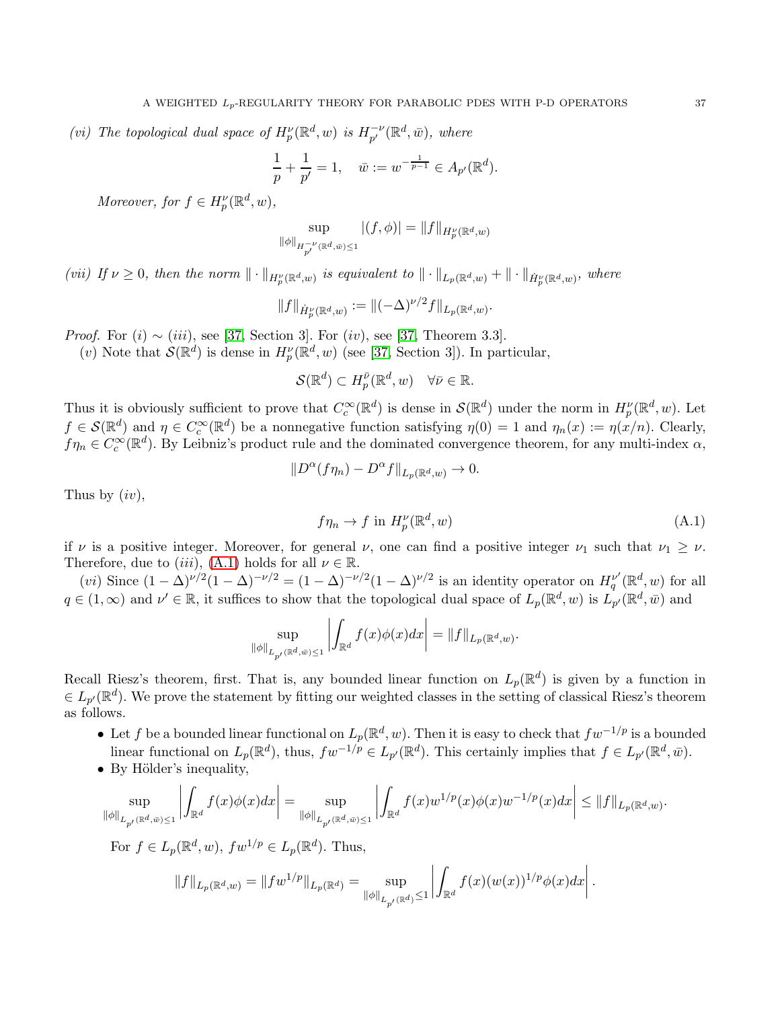(vi) The topological dual space of  $H_p^{\nu}(\mathbb{R}^d, w)$  is  $H_{p'}^{-\nu}(\mathbb{R}^d, \bar{w})$ , where

$$
\frac{1}{p} + \frac{1}{p'} = 1, \quad \bar{w} := w^{-\frac{1}{p-1}} \in A_{p'}(\mathbb{R}^d).
$$

Moreover, for  $f \in H_p^{\nu}(\mathbb{R}^d, w)$ ,

$$
\sup_{\|\phi\|_{H^{-\nu}_{p'}(\mathbb{R}^d,\bar{w})\leq 1}}|(f,\phi)| = \|f\|_{H^{\nu}_{p}(\mathbb{R}^d,w)}
$$

(vii) If  $\nu \geq 0$ , then the norm  $\|\cdot\|_{H^{\nu}_p(\mathbb{R}^d,w)}$  is equivalent to  $\|\cdot\|_{L_p(\mathbb{R}^d,w)} + \|\cdot\|_{\dot{H}^{\nu}_p(\mathbb{R}^d,w)}$ , where

$$
||f||_{\dot{H}_p^{\nu}(\mathbb{R}^d,w)} := ||(-\Delta)^{\nu/2} f||_{L_p(\mathbb{R}^d,w)}.
$$

*Proof.* For  $(i) \sim (iii)$ , see [\[37,](#page-43-25) Section 3]. For  $(iv)$ , see [37, Theorem 3.3].

(*v*) Note that  $\mathcal{S}(\mathbb{R}^d)$  is dense in  $H_p^{\nu}(\mathbb{R}^d, w)$  (see [\[37,](#page-43-25) Section 3]). In particular,

$$
\mathcal{S}(\mathbb{R}^d) \subset H^{\bar{\nu}}_p(\mathbb{R}^d, w) \quad \forall \bar{\nu} \in \mathbb{R}.
$$

Thus it is obviously sufficient to prove that  $C_c^{\infty}(\mathbb{R}^d)$  is dense in  $\mathcal{S}(\mathbb{R}^d)$  under the norm in  $H_p^{\nu}(\mathbb{R}^d, w)$ . Let  $f \in \mathcal{S}(\mathbb{R}^d)$  and  $\eta \in C_c^{\infty}(\mathbb{R}^d)$  be a nonnegative function satisfying  $\eta(0) = 1$  and  $\eta_n(x) := \eta(x/n)$ . Clearly,  $f\eta_n \in C_c^{\infty}(\mathbb{R}^d)$ . By Leibniz's product rule and the dominated convergence theorem, for any multi-index  $\alpha$ ,

$$
||D^{\alpha}(f\eta_n) - D^{\alpha}f||_{L_p(\mathbb{R}^d,w)} \to 0.
$$

Thus by  $(iv)$ ,

$$
f\eta_n \to f \text{ in } H_p^{\nu}(\mathbb{R}^d, w) \tag{A.1}
$$

if v is a positive integer. Moreover, for general v, one can find a positive integer  $\nu_1$  such that  $\nu_1 \geq \nu$ . Therefore, due to (iii), [\(A.1\)](#page-36-0) holds for all  $\nu \in \mathbb{R}$ .

(vi) Since  $(1 - \Delta)^{\nu/2} (1 - \Delta)^{-\nu/2} = (1 - \Delta)^{-\nu/2} (1 - \Delta)^{\nu/2}$  is an identity operator on  $H_q^{\nu'}(\mathbb{R}^d, w)$  for all  $q \in (1,\infty)$  and  $\nu' \in \mathbb{R}$ , it suffices to show that the topological dual space of  $L_p(\mathbb{R}^d, w)$  is  $L_{p'}(\mathbb{R}^d, \bar{w})$  and

$$
\sup_{\|\phi\|_{L_{p'}(\mathbb{R}^d,\bar{w})\leq 1}}\left|\int_{\mathbb{R}^d}f(x)\phi(x)dx\right|=\|f\|_{L_p(\mathbb{R}^d,w)}.
$$

Recall Riesz's theorem, first. That is, any bounded linear function on  $L_p(\mathbb{R}^d)$  is given by a function in  $\in L_{p'}(\mathbb{R}^d)$ . We prove the statement by fitting our weighted classes in the setting of classical Riesz's theorem as follows.

- Let f be a bounded linear functional on  $L_p(\mathbb{R}^d, w)$ . Then it is easy to check that  $fw^{-1/p}$  is a bounded linear functional on  $L_p(\mathbb{R}^d)$ , thus,  $fw^{-1/p} \in L_{p'}(\mathbb{R}^d)$ . This certainly implies that  $f \in L_{p'}(\mathbb{R}^d, \bar{w})$ .
- By Hölder's inequality,

$$
\sup_{\|\phi\|_{L_{p'}(\mathbb{R}^d,\bar{w})\leq 1}}\left|\int_{\mathbb{R}^d} f(x)\phi(x)dx\right| = \sup_{\|\phi\|_{L_{p'}(\mathbb{R}^d,\bar{w})\leq 1}}\left|\int_{\mathbb{R}^d} f(x)w^{1/p}(x)\phi(x)w^{-1/p}(x)dx\right| \leq \|f\|_{L_p(\mathbb{R}^d,w)}
$$

For  $f \in L_p(\mathbb{R}^d, w)$ ,  $fw^{1/p} \in L_p(\mathbb{R}^d)$ . Thus,

$$
||f||_{L_p(\mathbb{R}^d, w)} = ||fw^{1/p}||_{L_p(\mathbb{R}^d)} = \sup_{||\phi||_{L_{p'}(\mathbb{R}^d)} \leq 1} \left| \int_{\mathbb{R}^d} f(x)(w(x))^{1/p} \phi(x) dx \right|.
$$

<span id="page-36-0"></span>.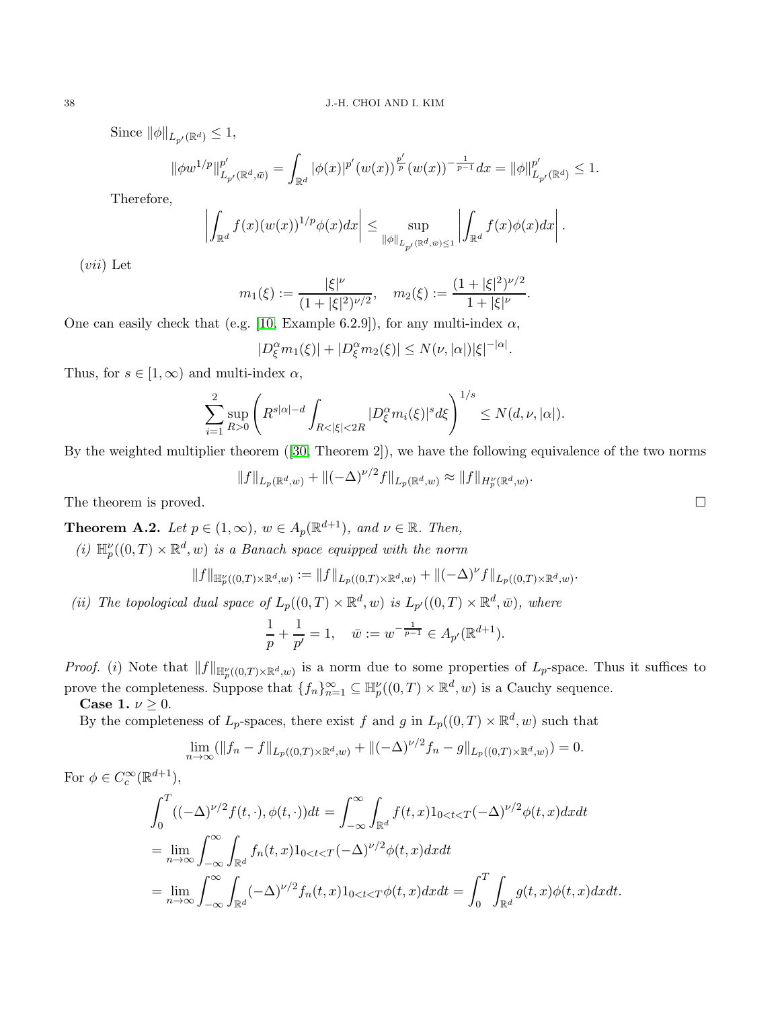Since  $\|\phi\|_{L_{p'}(\mathbb{R}^d)} \leq 1$ ,

 $\parallel$ 

$$
\phi w^{1/p} \|_{L_{p'}({\mathbb R}^d,\bar w)}^{p'} = \int_{{\mathbb R}^d} |\phi(x)|^{p'} (w(x))^\frac{p'}{p} (w(x))^{-\frac{1}{p-1}} dx = ||\phi||_{L_{p'}({\mathbb R}^d)}^{p'} \leq 1.
$$

Therefore,

$$
\left|\int_{\mathbb{R}^d} f(x)(w(x))^{1/p} \phi(x) dx\right| \leq \sup_{\|\phi\|_{L_{p'}(\mathbb{R}^d, \bar{w}) \leq 1}} \left|\int_{\mathbb{R}^d} f(x) \phi(x) dx\right|.
$$

 $(vii)$  Let

$$
m_1(\xi) := \frac{|\xi|^\nu}{(1+|\xi|^2)^{\nu/2}}, \quad m_2(\xi) := \frac{(1+|\xi|^2)^{\nu/2}}{1+|\xi|^\nu}.
$$

One can easily check that (e.g. [\[10,](#page-42-0) Example 6.2.9]), for any multi-index  $\alpha$ ,

$$
|D_{\xi}^{\alpha}m_1(\xi)|+|D_{\xi}^{\alpha}m_2(\xi)|\leq N(\nu,|\alpha|)|\xi|^{-|\alpha|}.
$$

Thus, for  $s \in [1,\infty)$  and multi-index  $\alpha$ ,

$$
\sum_{i=1}^{2} \sup_{R>0} \left( R^{s|\alpha|-d} \int_{R<|\xi|<2R} |D^{\alpha}_{\xi} m_{i}(\xi)|^{s} d\xi \right)^{1/s} \leq N(d,\nu,|\alpha|).
$$

By the weighted multiplier theorem ([\[30,](#page-43-23) Theorem 2]), we have the following equivalence of the two norms

$$
||f||_{L_p(\mathbb{R}^d,w)} + ||(-\Delta)^{\nu/2} f||_{L_p(\mathbb{R}^d,w)} \approx ||f||_{H_p^{\nu}(\mathbb{R}^d,w)}.
$$
 The theorem is proved.

<span id="page-37-0"></span>**Theorem A.2.** Let  $p \in (1,\infty)$ ,  $w \in A_p(\mathbb{R}^{d+1})$ , and  $\nu \in \mathbb{R}$ . Then,

(i)  $\mathbb{H}_p^{\nu}((0,T) \times \mathbb{R}^d, w)$  is a Banach space equipped with the norm

$$
||f||_{\mathbb{H}_p^{\nu}((0,T)\times\mathbb{R}^d,w)}:=||f||_{L_p((0,T)\times\mathbb{R}^d,w)}+||(-\Delta)^{\nu}f||_{L_p((0,T)\times\mathbb{R}^d,w)}.
$$

(ii) The topological dual space of  $L_p((0,T) \times \mathbb{R}^d, w)$  is  $L_{p'}((0,T) \times \mathbb{R}^d, \bar{w})$ , where

$$
\frac{1}{p} + \frac{1}{p'} = 1, \quad \bar{w} := w^{-\frac{1}{p-1}} \in A_{p'}(\mathbb{R}^{d+1}).
$$

*Proof.* (*i*) Note that  $||f||_{\mathbb{H}_p^{\nu}((0,T)\times\mathbb{R}^d,w)}$  is a norm due to some properties of  $L_p$ -space. Thus it suffices to prove the completeness. Suppose that  $\{f_n\}_{n=1}^{\infty} \subseteq \mathbb{H}_p^{\nu}((0,T) \times \mathbb{R}^d, w)$  is a Cauchy sequence.

Case 1.  $\nu \geq 0$ .

By the completeness of  $L_p$ -spaces, there exist f and g in  $L_p((0,T) \times \mathbb{R}^d, w)$  such that

$$
\lim_{n \to \infty} (\|f_n - f\|_{L_p((0,T) \times \mathbb{R}^d, w)} + \|(-\Delta)^{\nu/2} f_n - g\|_{L_p((0,T) \times \mathbb{R}^d, w)}) = 0.
$$

For 
$$
\phi \in C_c^{\infty}(\mathbb{R}^{d+1})
$$
,  
\n
$$
\int_0^T ((-\Delta)^{\nu/2} f(t, \cdot), \phi(t, \cdot)) dt = \int_{-\infty}^{\infty} \int_{\mathbb{R}^d} f(t, x) 1_{0 < t < T} (-\Delta)^{\nu/2} \phi(t, x) dx dt
$$
\n
$$
= \lim_{n \to \infty} \int_{-\infty}^{\infty} \int_{\mathbb{R}^d} f_n(t, x) 1_{0 < t < T} (-\Delta)^{\nu/2} \phi(t, x) dx dt
$$
\n
$$
= \lim_{n \to \infty} \int_{-\infty}^{\infty} \int_{\mathbb{R}^d} (-\Delta)^{\nu/2} f_n(t, x) 1_{0 < t < T} \phi(t, x) dx dt = \int_0^T \int_{\mathbb{R}^d} g(t, x) \phi(t, x) dx dt.
$$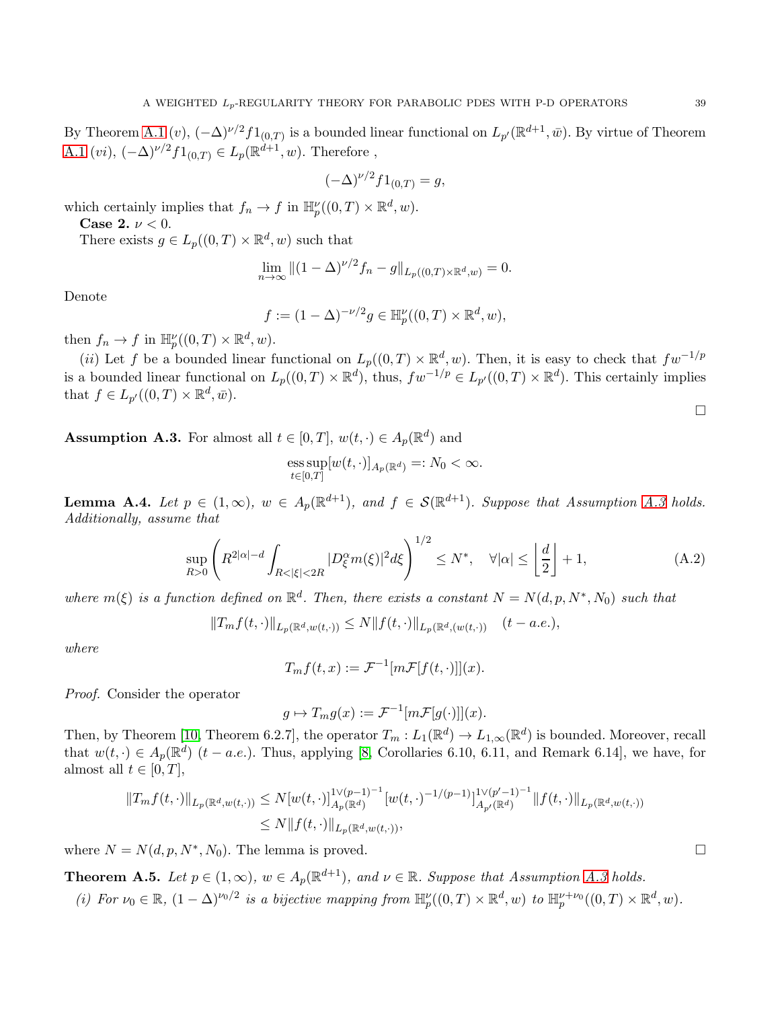By Theorem [A.1](#page-35-2)  $(v)$ ,  $(-\Delta)^{\nu/2} f_{1(0,T)}$  is a bounded linear functional on  $L_{p'}(\mathbb{R}^{d+1}, \bar{w})$ . By virtue of Theorem [A.1](#page-35-2) (*vi*),  $(-\Delta)^{\nu/2} f_{1(0,T)} \in L_p(\mathbb{R}^{d+1}, w)$ . Therefore,

$$
(-\Delta)^{\nu/2} f 1_{(0,T)} = g,
$$

which certainly implies that  $f_n \to f$  in  $\mathbb{H}_p^{\nu}((0,T) \times \mathbb{R}^d, w)$ .

Case 2.  $\nu < 0$ .

There exists  $g \in L_p((0,T) \times \mathbb{R}^d, w)$  such that

$$
\lim_{n \to \infty} \|(1 - \Delta)^{\nu/2} f_n - g\|_{L_p((0, T) \times \mathbb{R}^d, w)} = 0.
$$

Denote

$$
f := (1 - \Delta)^{-\nu/2} g \in \mathbb{H}_p^{\nu}((0, T) \times \mathbb{R}^d, w),
$$

then  $f_n \to f$  in  $\mathbb{H}_p^{\nu}((0,T) \times \mathbb{R}^d, w)$ .

(ii) Let f be a bounded linear functional on  $L_p((0,T) \times \mathbb{R}^d, w)$ . Then, it is easy to check that  $fw^{-1/p}$ is a bounded linear functional on  $L_p((0,T)\times \mathbb{R}^d)$ , thus,  $fw^{-1/p} \in L_{p'}((0,T)\times \mathbb{R}^d)$ . This certainly implies that  $f \in L_{p'}((0,T) \times \mathbb{R}^d, \bar{w}).$ 

<span id="page-38-0"></span>**Assumption A.3.** For almost all  $t \in [0, T]$ ,  $w(t, \cdot) \in A_p(\mathbb{R}^d)$  and

$$
\operatorname{ess\,sup}_{t\in[0,T]}[w(t,\cdot)]_{A_p(\mathbb{R}^d)}=:N_0<\infty.
$$

<span id="page-38-1"></span>**Lemma A.4.** Let  $p \in (1,\infty)$ ,  $w \in A_p(\mathbb{R}^{d+1})$ , and  $f \in \mathcal{S}(\mathbb{R}^{d+1})$ . Suppose that Assumption [A.3](#page-38-0) holds. Additionally, assume that

<span id="page-38-2"></span>
$$
\sup_{R>0} \left( R^{2|\alpha|-d} \int_{R<|\xi|<2R} |D_{\xi}^{\alpha} m(\xi)|^2 d\xi \right)^{1/2} \le N^*, \quad \forall |\alpha| \le \left\lfloor \frac{d}{2} \right\rfloor + 1,\tag{A.2}
$$

where  $m(\xi)$  is a function defined on  $\mathbb{R}^d$ . Then, there exists a constant  $N = N(d, p, N^*, N_0)$  such that

$$
||T_m f(t, \cdot)||_{L_p(\mathbb{R}^d, w(t, \cdot))} \leq N ||f(t, \cdot)||_{L_p(\mathbb{R}^d, (w(t, \cdot))} (t - a.e.),
$$

where

$$
T_m f(t, x) := \mathcal{F}^{-1}[m\mathcal{F}[f(t, \cdot)]](x).
$$

Proof. Consider the operator

 $g \mapsto T_m g(x) := \mathcal{F}^{-1}[m\mathcal{F}[g(\cdot)]](x).$ 

Then, by Theorem [\[10,](#page-42-0) Theorem 6.2.7], the operator  $T_m: L_1(\mathbb{R}^d) \to L_{1,\infty}(\mathbb{R}^d)$  is bounded. Moreover, recall that  $w(t, \cdot) \in A_p(\mathbb{R}^d)$   $(t - a.e.).$  Thus, applying [\[8,](#page-42-11) Corollaries 6.10, 6.11, and Remark 6.14], we have, for almost all  $t \in [0, T]$ ,

$$
||T_m f(t, \cdot)||_{L_p(\mathbb{R}^d, w(t, \cdot))} \le N[w(t, \cdot)]_{A_p(\mathbb{R}^d)}^{1 \vee (p-1)^{-1}} [w(t, \cdot)^{-1/(p-1)}]_{A_{p'}(\mathbb{R}^d)}^{1 \vee (p'-1)^{-1}} ||f(t, \cdot)||_{L_p(\mathbb{R}^d, w(t, \cdot))}
$$
  
 
$$
\le N||f(t, \cdot)||_{L_p(\mathbb{R}^d, w(t, \cdot))},
$$

where  $N = N(d, p, N^*, N_0)$ . The lemma is proved.

<span id="page-38-3"></span>**Theorem A.5.** Let  $p \in (1,\infty)$ ,  $w \in A_p(\mathbb{R}^{d+1})$ , and  $v \in \mathbb{R}$ . Suppose that Assumption [A.3](#page-38-0) holds.

(i) For  $\nu_0 \in \mathbb{R}$ ,  $(1 - \Delta)^{\nu_0/2}$  is a bijective mapping from  $\mathbb{H}_p^{\nu}((0,T) \times \mathbb{R}^d, w)$  to  $\mathbb{H}_p^{\nu+\nu_0}((0,T) \times \mathbb{R}^d, w)$ .

 $\Box$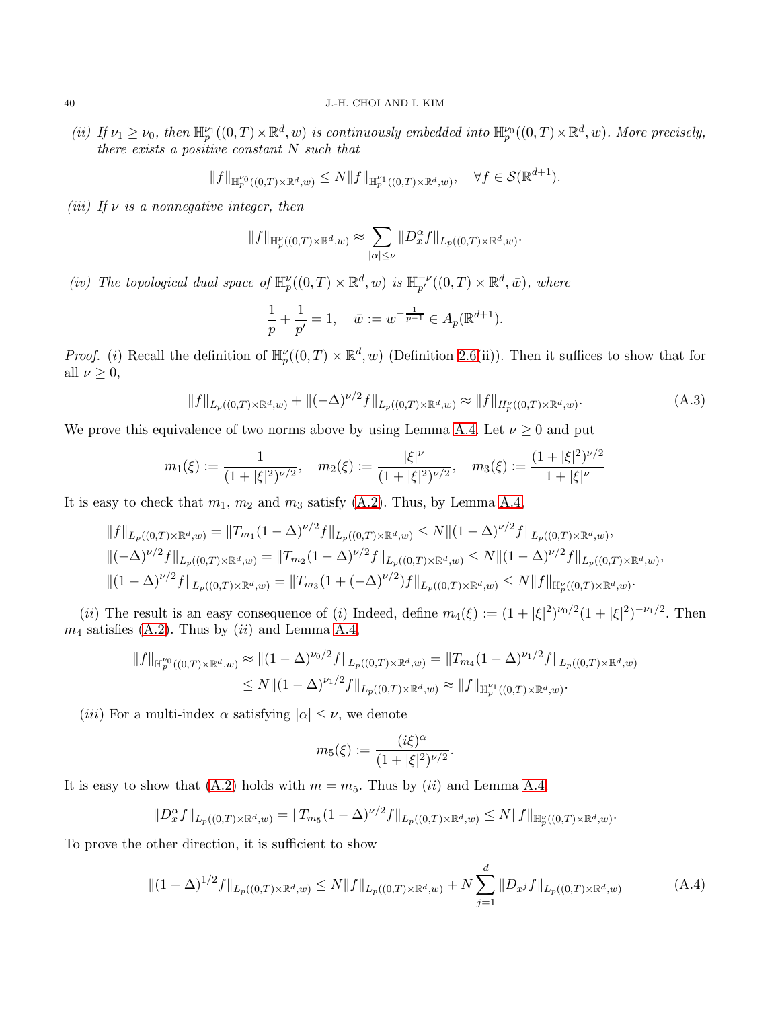(ii) If  $\nu_1 \geq \nu_0$ , then  $\mathbb{H}_p^{\nu_1}((0,T) \times \mathbb{R}^d, w)$  is continuously embedded into  $\mathbb{H}_p^{\nu_0}((0,T) \times \mathbb{R}^d, w)$ . More precisely, there exists a positive constant  $N$  such that

$$
||f||_{\mathbb{H}_{p}^{\nu_{0}}((0,T)\times\mathbb{R}^{d},w)} \leq N||f||_{\mathbb{H}_{p}^{\nu_{1}}((0,T)\times\mathbb{R}^{d},w)}, \quad \forall f \in \mathcal{S}(\mathbb{R}^{d+1}).
$$

(iii) If  $\nu$  is a nonnegative integer, then

$$
||f||_{\mathbb{H}_p^{\nu}((0,T)\times \mathbb{R}^d,w)} \approx \sum_{|\alpha|\leq \nu} ||D_x^{\alpha}f||_{L_p((0,T)\times \mathbb{R}^d,w)}.
$$

(iv) The topological dual space of  $\mathbb{H}_p^{\nu}((0,T) \times \mathbb{R}^d, w)$  is  $\mathbb{H}_{p'}^{-\nu}((0,T) \times \mathbb{R}^d, \bar{w})$ , where

<span id="page-39-0"></span>
$$
\frac{1}{p} + \frac{1}{p'} = 1, \quad \bar{w} := w^{-\frac{1}{p-1}} \in A_p(\mathbb{R}^{d+1}).
$$

*Proof.* (i) Recall the definition of  $\mathbb{H}_p^{\nu}((0,T) \times \mathbb{R}^d, w)$  (Definition [2.6\(](#page-6-1)ii)). Then it suffices to show that for all  $\nu \geq 0$ ,

$$
||f||_{L_p((0,T)\times\mathbb{R}^d,w)} + ||(-\Delta)^{\nu/2}f||_{L_p((0,T)\times\mathbb{R}^d,w)} \approx ||f||_{H_p(\{(0,T)\times\mathbb{R}^d,w)}.
$$
 (A.3)

We prove this equivalence of two norms above by using Lemma [A.4.](#page-38-1) Let  $\nu \geq 0$  and put

$$
m_1(\xi) := \frac{1}{(1+|\xi|^2)^{\nu/2}}, \quad m_2(\xi) := \frac{|\xi|^{\nu}}{(1+|\xi|^2)^{\nu/2}}, \quad m_3(\xi) := \frac{(1+|\xi|^2)^{\nu/2}}{1+|\xi|^{\nu}}
$$

It is easy to check that  $m_1$ ,  $m_2$  and  $m_3$  satisfy [\(A.2\)](#page-38-2). Thus, by Lemma [A.4,](#page-38-1)

$$
||f||_{L_p((0,T)\times\mathbb{R}^d,w)} = ||T_{m_1}(1-\Delta)^{\nu/2}f||_{L_p((0,T)\times\mathbb{R}^d,w)} \le N||(1-\Delta)^{\nu/2}f||_{L_p((0,T)\times\mathbb{R}^d,w)},
$$
  

$$
||(-\Delta)^{\nu/2}f||_{L_p((0,T)\times\mathbb{R}^d,w)} = ||T_{m_2}(1-\Delta)^{\nu/2}f||_{L_p((0,T)\times\mathbb{R}^d,w)} \le N||(1-\Delta)^{\nu/2}f||_{L_p((0,T)\times\mathbb{R}^d,w)},
$$
  

$$
||(1-\Delta)^{\nu/2}f||_{L_p((0,T)\times\mathbb{R}^d,w)} = ||T_{m_3}(1+(-\Delta)^{\nu/2})f||_{L_p((0,T)\times\mathbb{R}^d,w)} \le N||f||_{\mathbb{H}_p^{\nu}((0,T)\times\mathbb{R}^d,w)}.
$$

(*ii*) The result is an easy consequence of (*i*) Indeed, define  $m_4(\xi) := (1 + |\xi|^2)^{\nu_0/2} (1 + |\xi|^2)^{-\nu_1/2}$ . Then  $m_4$  satisfies [\(A.2\)](#page-38-2). Thus by  $(ii)$  and Lemma [A.4,](#page-38-1)

$$
||f||_{\mathbb{H}_p^{\nu_0}((0,T)\times\mathbb{R}^d,w)} \approx ||(1-\Delta)^{\nu_0/2}f||_{L_p((0,T)\times\mathbb{R}^d,w)} = ||T_{m_4}(1-\Delta)^{\nu_1/2}f||_{L_p((0,T)\times\mathbb{R}^d,w)} \leq N||(1-\Delta)^{\nu_1/2}f||_{L_p((0,T)\times\mathbb{R}^d,w)} \approx ||f||_{\mathbb{H}_p^{\nu_1}((0,T)\times\mathbb{R}^d,w)}.
$$

(iii) For a multi-index  $\alpha$  satisfying  $|\alpha| \leq \nu$ , we denote

$$
m_5(\xi) := \frac{(i\xi)^{\alpha}}{(1 + |\xi|^2)^{\nu/2}}
$$

It is easy to show that [\(A.2\)](#page-38-2) holds with  $m = m<sub>5</sub>$ . Thus by (ii) and Lemma [A.4,](#page-38-1)

$$
||D_x^{\alpha} f||_{L_p((0,T)\times\mathbb{R}^d,w)} = ||T_{m_5}(1-\Delta)^{\nu/2} f||_{L_p((0,T)\times\mathbb{R}^d,w)} \le N||f||_{\mathbb{H}_p^{\nu}((0,T)\times\mathbb{R}^d,w)}.
$$

To prove the other direction, it is sufficient to show

<span id="page-39-1"></span>
$$
\|(1 - \Delta)^{1/2} f\|_{L_p((0,T)\times \mathbb{R}^d, w)} \le N \|f\|_{L_p((0,T)\times \mathbb{R}^d, w)} + N \sum_{j=1}^d \|D_{x^j} f\|_{L_p((0,T)\times \mathbb{R}^d, w)}
$$
(A.4)

.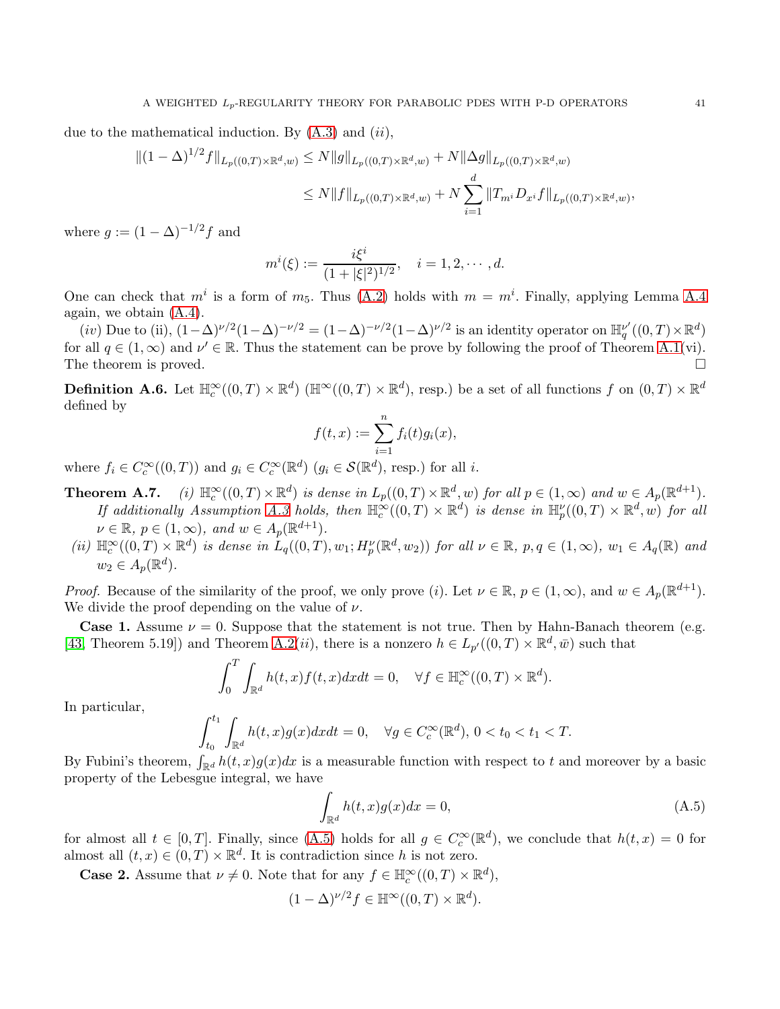due to the mathematical induction. By  $(A.3)$  and  $(ii)$ ,

$$
\begin{aligned} \|(1-\Delta)^{1/2}f\|_{L_p((0,T)\times\mathbb{R}^d,w)} &\le N\|g\|_{L_p((0,T)\times\mathbb{R}^d,w)} + N\|\Delta g\|_{L_p((0,T)\times\mathbb{R}^d,w)} \\ &\le N\|f\|_{L_p((0,T)\times\mathbb{R}^d,w)} + N\sum_{i=1}^d \|T_{m^i}D_{x^i}f\|_{L_p((0,T)\times\mathbb{R}^d,w)}, \end{aligned}
$$

where  $q := (1 - \Delta)^{-1/2} f$  and

$$
m^{i}(\xi) := \frac{i\xi^{i}}{(1+|\xi|^{2})^{1/2}}, \quad i = 1, 2, \cdots, d.
$$

One can check that  $m^i$  is a form of  $m_5$ . Thus [\(A.2\)](#page-38-2) holds with  $m = m^i$ . Finally, applying Lemma [A.4](#page-38-1) again, we obtain  $(A.4)$ .

(iv) Due to (ii),  $(1-\Delta)^{\nu/2}(1-\Delta)^{-\nu/2} = (1-\Delta)^{-\nu/2}(1-\Delta)^{\nu/2}$  is an identity operator on  $\mathbb{H}_q^{\nu'}((0,T)\times \mathbb{R}^d)$ for all  $q \in (1,\infty)$  and  $\nu' \in \mathbb{R}$ . Thus the statement can be prove by following the proof of Theorem [A.1\(](#page-35-2)vi). The theorem is proved.  $\square$ 

**Definition A.6.** Let  $\mathbb{H}_{c}^{\infty}((0,T) \times \mathbb{R}^{d})$  ( $\mathbb{H}^{\infty}((0,T) \times \mathbb{R}^{d})$ , resp.) be a set of all functions f on  $(0,T) \times \mathbb{R}^{d}$ defined by

$$
f(t,x) := \sum_{i=1}^n f_i(t)g_i(x),
$$

where  $f_i \in C_c^{\infty}((0,T))$  and  $g_i \in C_c^{\infty}(\mathbb{R}^d)$   $(g_i \in \mathcal{S}(\mathbb{R}^d)$ , resp.) for all i.

- **Theorem A.7.** (i)  $\mathbb{H}_{c}^{\infty}((0,T) \times \mathbb{R}^{d})$  is dense in  $L_{p}((0,T) \times \mathbb{R}^{d}, w)$  for all  $p \in (1,\infty)$  and  $w \in A_{p}(\mathbb{R}^{d+1})$ . If additionally Assumption [A.3](#page-38-0) holds, then  $\mathbb{H}_{c}^{\infty}((0,T)\times\mathbb{R}^{d})$  is dense in  $\mathbb{H}_{p}^{\nu}((0,T)\times\mathbb{R}^{d},w)$  for all  $\nu \in \mathbb{R}, p \in (1, \infty), \text{ and } w \in A_p(\mathbb{R}^{d+1}).$
- (ii)  $\mathbb{H}^{\infty}_c((0,T)\times\mathbb{R}^d)$  is dense in  $L_q((0,T),w_1;H_p^{\nu}(\mathbb{R}^d,w_2))$  for all  $\nu\in\mathbb{R}$ ,  $p,q\in(1,\infty)$ ,  $w_1\in A_q(\mathbb{R})$  and  $w_2 \in A_p(\mathbb{R}^d)$ .

*Proof.* Because of the similarity of the proof, we only prove (*i*). Let  $\nu \in \mathbb{R}$ ,  $p \in (1,\infty)$ , and  $w \in A_p(\mathbb{R}^{d+1})$ . We divide the proof depending on the value of  $\nu$ .

**Case 1.** Assume  $\nu = 0$ . Suppose that the statement is not true. Then by Hahn-Banach theorem (e.g. [\[43,](#page-44-6) Theorem 5.19]) and Theorem [A.2\(](#page-37-0)*ii*), there is a nonzero  $h \in L_{p'}((0,T) \times \mathbb{R}^d, \bar{w})$  such that

$$
\int_0^T \int_{\mathbb{R}^d} h(t, x) f(t, x) dx dt = 0, \quad \forall f \in \mathbb{H}_c^{\infty}((0, T) \times \mathbb{R}^d).
$$

In particular,

$$
\int_{t_0}^{t_1} \int_{\mathbb{R}^d} h(t, x) g(x) dx dt = 0, \quad \forall g \in C_c^{\infty}(\mathbb{R}^d), \ 0 < t_0 < t_1 < T.
$$

By Fubini's theorem,  $\int_{\mathbb{R}^d} h(t,x)g(x)dx$  is a measurable function with respect to t and moreover by a basic property of the Lebesgue integral, we have

<span id="page-40-0"></span>
$$
\int_{\mathbb{R}^d} h(t, x) g(x) dx = 0,\tag{A.5}
$$

for almost all  $t \in [0, T]$ . Finally, since [\(A.5\)](#page-40-0) holds for all  $g \in C_c^{\infty}(\mathbb{R}^d)$ , we conclude that  $h(t, x) = 0$  for almost all  $(t, x) \in (0, T) \times \mathbb{R}^d$ . It is contradiction since h is not zero.

**Case 2.** Assume that  $\nu \neq 0$ . Note that for any  $f \in \mathbb{H}^{\infty}_c((0,T) \times \mathbb{R}^d)$ ,

$$
(1 - \Delta)^{\nu/2} f \in \mathbb{H}^{\infty}((0, T) \times \mathbb{R}^d).
$$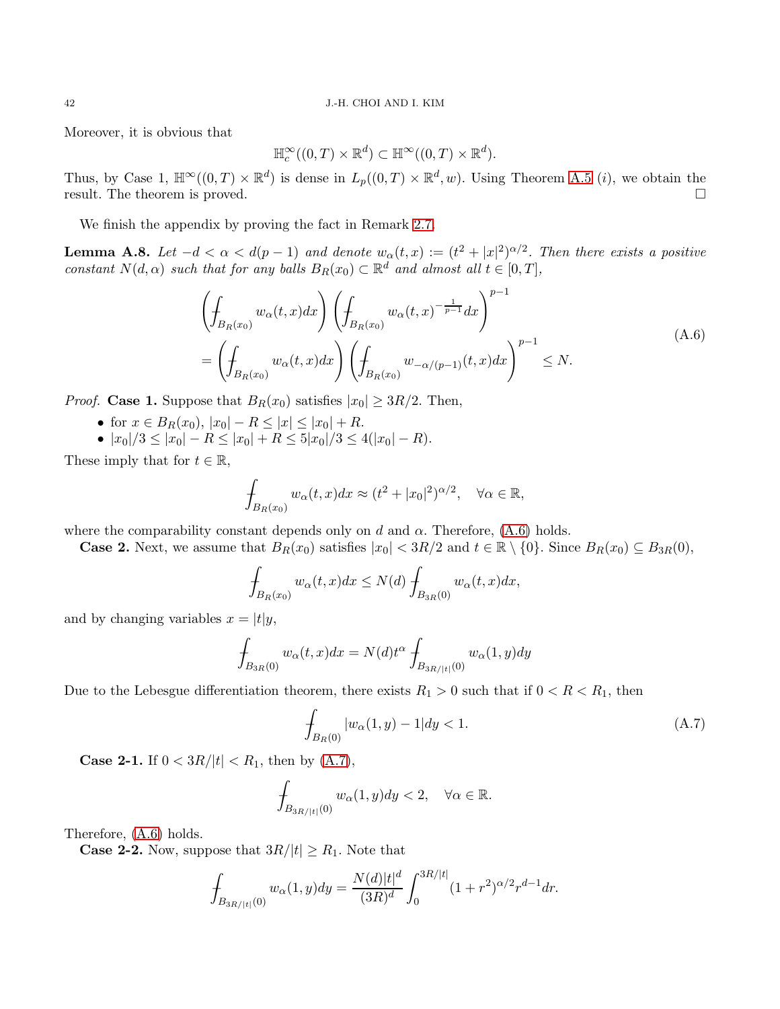Moreover, it is obvious that

$$
\mathbb{H}_c^{\infty}((0,T)\times \mathbb{R}^d) \subset \mathbb{H}^{\infty}((0,T)\times \mathbb{R}^d).
$$

Thus, by Case 1,  $\mathbb{H}^{\infty}((0,T)\times\mathbb{R}^{d})$  is dense in  $L_{p}((0,T)\times\mathbb{R}^{d},w)$ . Using Theorem [A.5](#page-38-3)  $(i)$ , we obtain the result. The theorem is proved.

We finish the appendix by proving the fact in Remark [2.7.](#page-6-2)

<span id="page-41-0"></span>**Lemma A.8.** Let  $-d < \alpha < d(p-1)$  and denote  $w_{\alpha}(t, x) := (t^2 + |x|^2)^{\alpha/2}$ . Then there exists a positive constant  $N(d, \alpha)$  such that for any balls  $B_R(x_0) \subset \mathbb{R}^d$  and almost all  $t \in [0, T]$ ,

<span id="page-41-1"></span>
$$
\left(\int_{B_R(x_0)} w_{\alpha}(t,x)dx\right) \left(\int_{B_R(x_0)} w_{\alpha}(t,x)^{-\frac{1}{p-1}}dx\right)^{p-1}
$$
\n
$$
= \left(\int_{B_R(x_0)} w_{\alpha}(t,x)dx\right) \left(\int_{B_R(x_0)} w_{-\alpha/(p-1)}(t,x)dx\right)^{p-1} \leq N.
$$
\n(A.6)

*Proof.* Case 1. Suppose that  $B_R(x_0)$  satisfies  $|x_0| \geq 3R/2$ . Then,

- for  $x \in B_R(x_0), |x_0| R \leq |x| \leq |x_0| + R$ .
- $|x_0|/3 \leq |x_0| R \leq |x_0| + R \leq 5|x_0|/3 \leq 4(|x_0| R).$

These imply that for  $t \in \mathbb{R}$ ,

$$
\oint_{B_R(x_0)} w_\alpha(t,x)dx \approx (t^2 + |x_0|^2)^{\alpha/2}, \quad \forall \alpha \in \mathbb{R},
$$

where the comparability constant depends only on d and  $\alpha$ . Therefore, [\(A.6\)](#page-41-1) holds.

**Case 2.** Next, we assume that  $B_R(x_0)$  satisfies  $|x_0| < 3R/2$  and  $t \in \mathbb{R} \setminus \{0\}$ . Since  $B_R(x_0) \subseteq B_{3R}(0)$ ,

$$
\int_{B_R(x_0)}w_\alpha(t,x)dx\leq N(d)\int_{B_{3R}(0)}w_\alpha(t,x)dx,
$$

and by changing variables  $x = |t|y$ ,

$$
\int_{B_{3R}(0)} w_{\alpha}(t,x)dx = N(d)t^{\alpha} \int_{B_{3R/|t|}(0)} w_{\alpha}(1,y)dy
$$

Due to the Lebesgue differentiation theorem, there exists  $R_1 > 0$  such that if  $0 < R < R_1$ , then

<span id="page-41-2"></span>
$$
\int_{B_R(0)} |w_\alpha(1, y) - 1| dy < 1.
$$
\n(A.7)

**Case 2-1.** If  $0 < 3R/|t| < R_1$ , then by  $(A.7)$ ,

$$
\int_{B_{3R/|t|}(0)} w_{\alpha}(1, y) dy < 2, \quad \forall \alpha \in \mathbb{R}.
$$

Therefore, [\(A.6\)](#page-41-1) holds.

**Case 2-2.** Now, suppose that  $3R/|t| \geq R_1$ . Note that

$$
\int_{B_{3R/|t|}(0)} w_{\alpha}(1,y) dy = \frac{N(d)|t|^{d}}{(3R)^{d}} \int_{0}^{3R/|t|} (1+r^{2})^{\alpha/2} r^{d-1} dr.
$$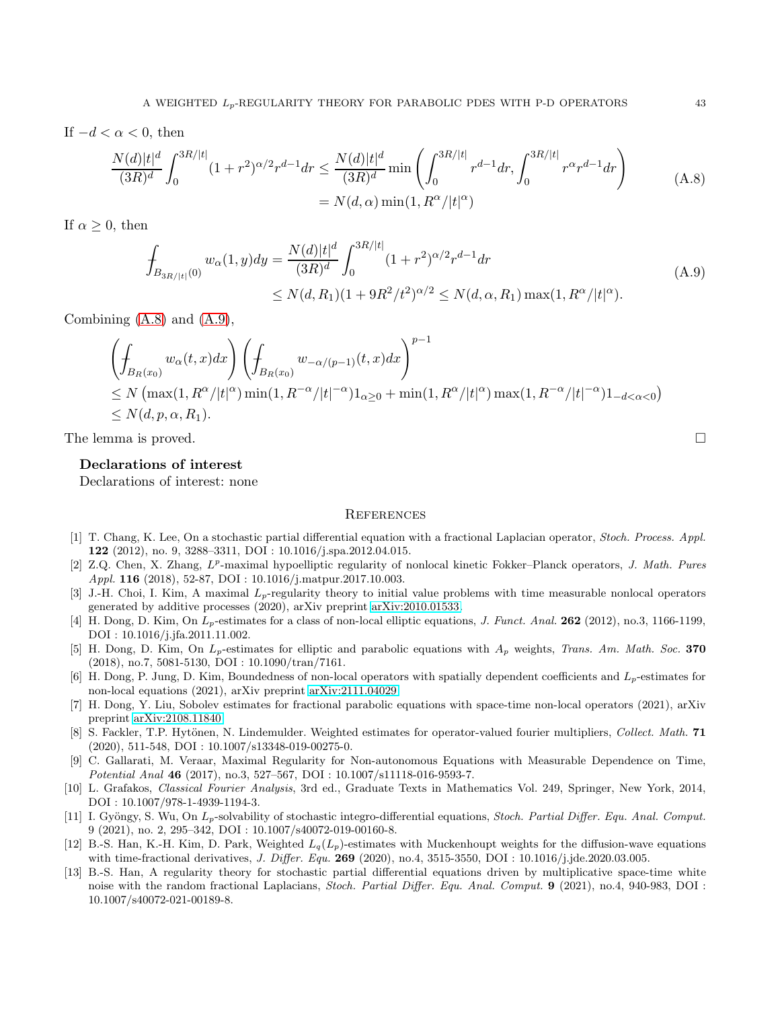If  $-d < \alpha < 0$ , then

<span id="page-42-12"></span>
$$
\frac{N(d)|t|^d}{(3R)^d} \int_0^{3R/|t|} (1+r^2)^{\alpha/2} r^{d-1} dr \le \frac{N(d)|t|^d}{(3R)^d} \min\left(\int_0^{3R/|t|} r^{d-1} dr, \int_0^{3R/|t|} r^{\alpha} r^{d-1} dr\right)
$$
\n
$$
= N(d,\alpha) \min(1, R^{\alpha} / |t|^{\alpha})
$$
\n(A.8)

If  $\alpha > 0$ , then

<span id="page-42-13"></span>
$$
\int_{B_{3R/|t|}(0)} w_{\alpha}(1, y) dy = \frac{N(d)|t|^{d}}{(3R)^{d}} \int_{0}^{3R/|t|} (1+r^{2})^{\alpha/2} r^{d-1} dr
$$
\n
$$
\leq N(d, R_{1})(1+9R^{2}/t^{2})^{\alpha/2} \leq N(d, \alpha, R_{1}) \max(1, R^{\alpha}/|t|^{\alpha}).
$$
\n(A.9)

Combining [\(A.8\)](#page-42-12) and [\(A.9\)](#page-42-13),

$$
\left(\int_{B_R(x_0)} w_\alpha(t,x)dx\right) \left(\int_{B_R(x_0)} w_{-\alpha/(p-1)}(t,x)dx\right)^{p-1}
$$
\n
$$
\leq N \left(\max(1, R^\alpha/|t|^\alpha) \min(1, R^{-\alpha}/|t|^{-\alpha})1_{\alpha\geq 0} + \min(1, R^\alpha/|t|^\alpha) \max(1, R^{-\alpha}/|t|^{-\alpha})1_{-d<\alpha<0}\right)
$$
\n
$$
\leq N(d, p, \alpha, R_1).
$$

The lemma is proved.

#### Declarations of interest

Declarations of interest: none

#### **REFERENCES**

- <span id="page-42-5"></span>[1] T. Chang, K. Lee, On a stochastic partial differential equation with a fractional Laplacian operator, Stoch. Process. Appl. 122 (2012), no. 9, 3288–3311, DOI : 10.1016/j.spa.2012.04.015.
- <span id="page-42-1"></span>[2] Z.Q. Chen, X. Zhang,  $L^p$ -maximal hypoelliptic regularity of nonlocal kinetic Fokker–Planck operators, J. Math. Pures Appl. **116** (2018), 52-87, DOI : 10.1016/j.matpur.2017.10.003.
- <span id="page-42-2"></span>[3] J.-H. Choi, I. Kim, A maximal  $L_p$ -regularity theory to initial value problems with time measurable nonlocal operators generated by additive processes (2020), arXiv preprint [arXiv:2010.01533.](http://arxiv.org/abs/2010.01533)
- <span id="page-42-3"></span>[4] H. Dong, D. Kim, On  $L_p$ -estimates for a class of non-local elliptic equations, J. Funct. Anal. 262 (2012), no.3, 1166-1199, DOI : 10.1016/j.jfa.2011.11.002.
- <span id="page-42-10"></span>[5] H. Dong, D. Kim, On  $L_p$ -estimates for elliptic and parabolic equations with  $A_p$  weights, Trans. Am. Math. Soc. 370 (2018), no.7, 5081-5130, DOI : 10.1090/tran/7161.
- <span id="page-42-7"></span>[6] H. Dong, P. Jung, D. Kim, Boundedness of non-local operators with spatially dependent coefficients and  $L_p$ -estimates for non-local equations (2021), arXiv preprint [arXiv:2111.04029.](http://arxiv.org/abs/2111.04029)
- <span id="page-42-8"></span>[7] H. Dong, Y. Liu, Sobolev estimates for fractional parabolic equations with space-time non-local operators (2021), arXiv preprint [arXiv:2108.11840.](http://arxiv.org/abs/2108.11840)
- <span id="page-42-11"></span>[8] S. Fackler, T.P. Hytönen, N. Lindemulder. Weighted estimates for operator-valued fourier multipliers, Collect. Math. 71 (2020), 511-548, DOI : 10.1007/s13348-019-00275-0.
- <span id="page-42-4"></span>[9] C. Gallarati, M. Veraar, Maximal Regularity for Non-autonomous Equations with Measurable Dependence on Time, Potential Anal 46 (2017), no.3, 527–567, DOI : 10.1007/s11118-016-9593-7.
- <span id="page-42-0"></span>[10] L. Grafakos, Classical Fourier Analysis, 3rd ed., Graduate Texts in Mathematics Vol. 249, Springer, New York, 2014, DOI : 10.1007/978-1-4939-1194-3.
- [11] I. Gyöngy, S. Wu, On  $L_p$ -solvability of stochastic integro-differential equations, *Stoch. Partial Differ. Equ. Anal. Comput.* 9 (2021), no. 2, 295–342, DOI : 10.1007/s40072-019-00160-8.
- <span id="page-42-9"></span>[12] B.-S. Han, K.-H. Kim, D. Park, Weighted  $L_q(L_p)$ -estimates with Muckenhoupt weights for the diffusion-wave equations with time-fractional derivatives, J. Differ. Equ. 269 (2020), no.4, 3515-3550, DOI : 10.1016/j.jde.2020.03.005.
- <span id="page-42-6"></span>[13] B.-S. Han, A regularity theory for stochastic partial differential equations driven by multiplicative space-time white noise with the random fractional Laplacians, Stoch. Partial Differ. Equ. Anal. Comput. 9 (2021), no.4, 940-983, DOI : 10.1007/s40072-021-00189-8.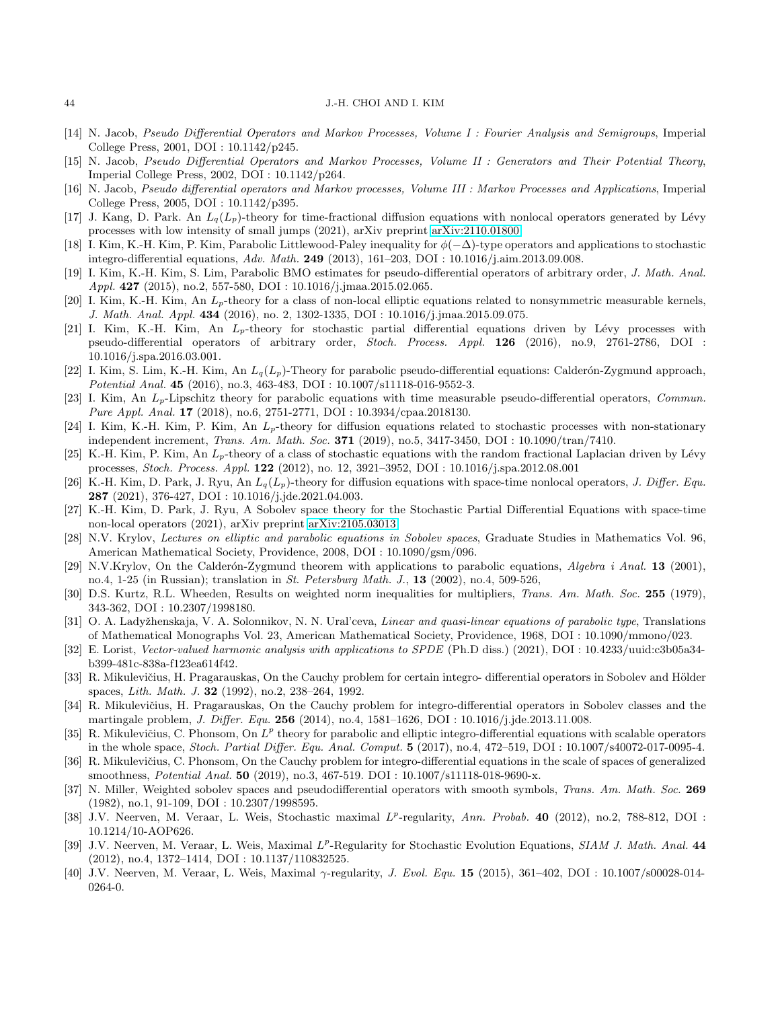#### 44 J.-H. CHOI AND I. KIM

- <span id="page-43-0"></span>[14] N. Jacob, Pseudo Differential Operators and Markov Processes, Volume I : Fourier Analysis and Semigroups, Imperial College Press, 2001, DOI : 10.1142/p245.
- <span id="page-43-1"></span>[15] N. Jacob, Pseudo Differential Operators and Markov Processes, Volume II : Generators and Their Potential Theory, Imperial College Press, 2002, DOI : 10.1142/p264.
- <span id="page-43-2"></span>[16] N. Jacob, Pseudo differential operators and Markov processes, Volume III : Markov Processes and Applications, Imperial College Press, 2005, DOI : 10.1142/p395.
- <span id="page-43-5"></span>[17] J. Kang, D. Park. An  $L_q(L_p)$ -theory for time-fractional diffusion equations with nonlocal operators generated by Lévy processes with low intensity of small jumps (2021), arXiv preprint [arXiv:2110.01800.](http://arxiv.org/abs/2110.01800)
- <span id="page-43-15"></span>[18] I. Kim, K.-H. Kim, P. Kim, Parabolic Littlewood-Paley inequality for  $\phi(-\Delta)$ -type operators and applications to stochastic integro-differential equations, Adv. Math. 249 (2013), 161–203, DOI : 10.1016/j.aim.2013.09.008.
- <span id="page-43-6"></span>[19] I. Kim, K.-H. Kim, S. Lim, Parabolic BMO estimates for pseudo-differential operators of arbitrary order, J. Math. Anal. Appl. 427 (2015), no.2, 557-580, DOI : 10.1016/j.jmaa.2015.02.065.
- <span id="page-43-7"></span>[20] I. Kim, K.-H. Kim, An  $L_p$ -theory for a class of non-local elliptic equations related to nonsymmetric measurable kernels, J. Math. Anal. Appl. 434 (2016), no. 2, 1302-1335, DOI : 10.1016/j.jmaa.2015.09.075.
- <span id="page-43-16"></span>[21] I. Kim, K.-H. Kim, An  $L_p$ -theory for stochastic partial differential equations driven by Lévy processes with pseudo-differential operators of arbitrary order, Stoch. Process. Appl. 126 (2016), no.9, 2761-2786, DOI : 10.1016/j.spa.2016.03.001.
- <span id="page-43-8"></span>[22] I. Kim, S. Lim, K.-H. Kim, An  $L_q(L_p)$ -Theory for parabolic pseudo-differential equations: Calderón-Zygmund approach, Potential Anal. 45 (2016), no.3, 463-483, DOI : 10.1007/s11118-016-9552-3.
- <span id="page-43-9"></span>[23] I. Kim, An  $L_p$ -Lipschitz theory for parabolic equations with time measurable pseudo-differential operators, Commun. Pure Appl. Anal. 17 (2018), no.6, 2751-2771, DOI : 10.3934/cpaa.2018130.
- [24] I. Kim, K.-H. Kim, P. Kim, An  $L_p$ -theory for diffusion equations related to stochastic processes with non-stationary independent increment, *Trans. Am. Math. Soc.* **371** (2019), no.5, 3417-3450, DOI : 10.1090/tran/7410.
- <span id="page-43-17"></span>[25] K.-H. Kim, P. Kim, An  $L_p$ -theory of a class of stochastic equations with the random fractional Laplacian driven by Lévy processes, Stoch. Process. Appl. 122 (2012), no. 12, 3921–3952, DOI : 10.1016/j.spa.2012.08.001
- <span id="page-43-10"></span>[26] K.-H. Kim, D. Park, J. Ryu, An  $L_q(L_p)$ -theory for diffusion equations with space-time nonlocal operators, J. Differ. Equ. 287 (2021), 376-427, DOI : 10.1016/j.jde.2021.04.003.
- <span id="page-43-18"></span>[27] K.-H. Kim, D. Park, J. Ryu, A Sobolev space theory for the Stochastic Partial Differential Equations with space-time non-local operators (2021), arXiv preprint [arXiv:2105.03013.](http://arxiv.org/abs/2105.03013)
- <span id="page-43-3"></span>[28] N.V. Krylov, Lectures on elliptic and parabolic equations in Sobolev spaces, Graduate Studies in Mathematics Vol. 96, American Mathematical Society, Providence, 2008, DOI : 10.1090/gsm/096.
- <span id="page-43-24"></span>[29] N.V.Krylov, On the Calderón-Zygmund theorem with applications to parabolic equations, Algebra i Anal. 13 (2001), no.4, 1-25 (in Russian); translation in St. Petersburg Math. J., 13 (2002), no.4, 509-526,
- <span id="page-43-23"></span>[30] D.S. Kurtz, R.L. Wheeden, Results on weighted norm inequalities for multipliers, Trans. Am. Math. Soc. 255 (1979), 343-362, DOI : 10.2307/1998180.
- <span id="page-43-4"></span>[31] O. A. Ladyžhenskaja, V. A. Solonnikov, N. N. Ural'ceva, Linear and quasi-linear equations of parabolic type, Translations of Mathematical Monographs Vol. 23, American Mathematical Society, Providence, 1968, DOI : 10.1090/mmono/023.
- <span id="page-43-19"></span><span id="page-43-11"></span>[32] E. Lorist, Vector-valued harmonic analysis with applications to SPDE (Ph.D diss.) (2021), DOI : 10.4233/uuid:c3b05a34 b399-481c-838a-f123ea614f42.
- [33] R. Mikulevičius, H. Pragarauskas, On the Cauchy problem for certain integro- differential operators in Sobolev and Hölder spaces, Lith. Math. J. 32 (1992), no.2, 238–264, 1992.
- <span id="page-43-12"></span>[34] R. Mikulevičius, H. Pragarauskas, On the Cauchy problem for integro-differential operators in Sobolev classes and the martingale problem, J. Differ. Equ. 256 (2014), no.4, 1581–1626, DOI : 10.1016/j.jde.2013.11.008.
- <span id="page-43-13"></span>[35] R. Mikulevičius, C. Phonsom, On  $L^p$  theory for parabolic and elliptic integro-differential equations with scalable operators in the whole space, Stoch. Partial Differ. Equ. Anal. Comput. 5 (2017), no.4, 472–519, DOI : 10.1007/s40072-017-0095-4.
- <span id="page-43-14"></span>[36] R. Mikulevičius, C. Phonsom, On the Cauchy problem for integro-differential equations in the scale of spaces of generalized smoothness, *Potential Anal.* 50 (2019), no.3, 467-519. DOI : 10.1007/s11118-018-9690-x.
- <span id="page-43-25"></span>[37] N. Miller, Weighted sobolev spaces and pseudodifferential operators with smooth symbols, Trans. Am. Math. Soc. 269 (1982), no.1, 91-109, DOI : 10.2307/1998595.
- <span id="page-43-20"></span>[38] J.V. Neerven, M. Veraar, L. Weis, Stochastic maximal  $L^p$ -regularity, Ann. Probab. 40 (2012), no.2, 788-812, DOI : 10.1214/10-AOP626.
- <span id="page-43-21"></span>[39] J.V. Neerven, M. Veraar, L. Weis, Maximal  $L^p$ -Regularity for Stochastic Evolution Equations, SIAM J. Math. Anal. 44 (2012), no.4, 1372–1414, DOI : 10.1137/110832525.
- <span id="page-43-22"></span>[40] J.V. Neerven, M. Veraar, L. Weis, Maximal γ-regularity, J. Evol. Equ. 15 (2015), 361–402, DOI : 10.1007/s00028-014- 0264-0.